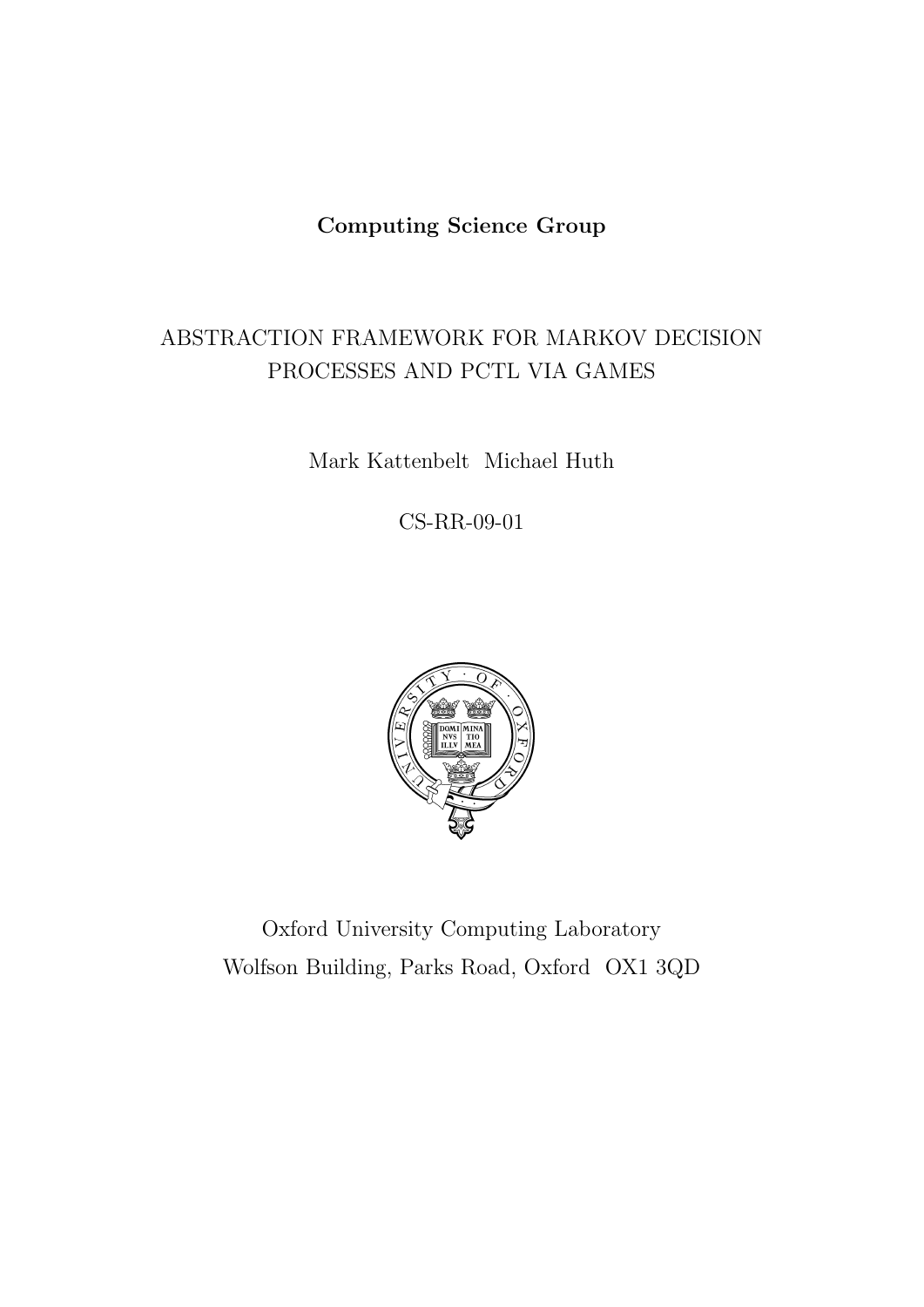# Computing Science Group

# ABSTRACTION FRAMEWORK FOR MARKOV DECISION PROCESSES AND PCTL VIA GAMES

Mark Kattenbelt Michael Huth

CS-RR-09-01



Oxford University Computing Laboratory Wolfson Building, Parks Road, Oxford OX1 3QD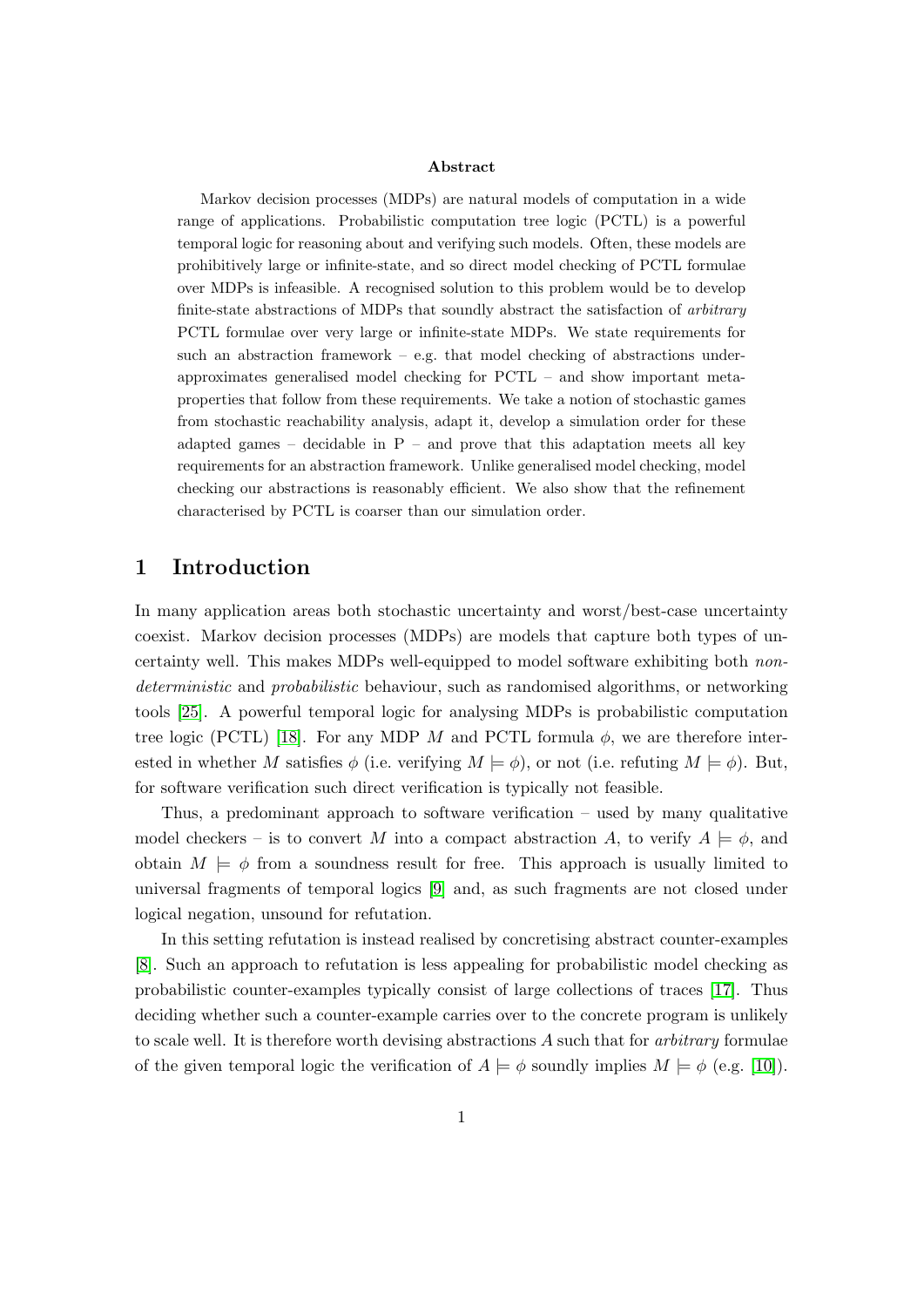#### Abstract

Markov decision processes (MDPs) are natural models of computation in a wide range of applications. Probabilistic computation tree logic (PCTL) is a powerful temporal logic for reasoning about and verifying such models. Often, these models are prohibitively large or infinite-state, and so direct model checking of PCTL formulae over MDPs is infeasible. A recognised solution to this problem would be to develop finite-state abstractions of MDPs that soundly abstract the satisfaction of arbitrary PCTL formulae over very large or infinite-state MDPs. We state requirements for such an abstraction framework – e.g. that model checking of abstractions underapproximates generalised model checking for PCTL – and show important metaproperties that follow from these requirements. We take a notion of stochastic games from stochastic reachability analysis, adapt it, develop a simulation order for these adapted games – decidable in  $P$  – and prove that this adaptation meets all key requirements for an abstraction framework. Unlike generalised model checking, model checking our abstractions is reasonably efficient. We also show that the refinement characterised by PCTL is coarser than our simulation order.

# 1 Introduction

In many application areas both stochastic uncertainty and worst/best-case uncertainty coexist. Markov decision processes (MDPs) are models that capture both types of uncertainty well. This makes MDPs well-equipped to model software exhibiting both nondeterministic and probabilistic behaviour, such as randomised algorithms, or networking tools [\[25\]](#page-19-0). A powerful temporal logic for analysing MDPs is probabilistic computation tree logic (PCTL) [\[18\]](#page-18-0). For any MDP M and PCTL formula  $\phi$ , we are therefore interested in whether M satisfies  $\phi$  (i.e. verifying  $M \models \phi$ ), or not (i.e. refuting  $M \models \phi$ ). But, for software verification such direct verification is typically not feasible.

Thus, a predominant approach to software verification – used by many qualitative model checkers – is to convert M into a compact abstraction A, to verify  $A \models \phi$ , and obtain  $M \models \phi$  from a soundness result for free. This approach is usually limited to universal fragments of temporal logics [\[9\]](#page-18-1) and, as such fragments are not closed under logical negation, unsound for refutation.

In this setting refutation is instead realised by concretising abstract counter-examples [\[8\]](#page-18-2). Such an approach to refutation is less appealing for probabilistic model checking as probabilistic counter-examples typically consist of large collections of traces [\[17\]](#page-18-3). Thus deciding whether such a counter-example carries over to the concrete program is unlikely to scale well. It is therefore worth devising abstractions A such that for *arbitrary* formulae of the given temporal logic the verification of  $A \models \phi$  soundly implies  $M \models \phi$  (e.g. [\[10\]](#page-18-4)).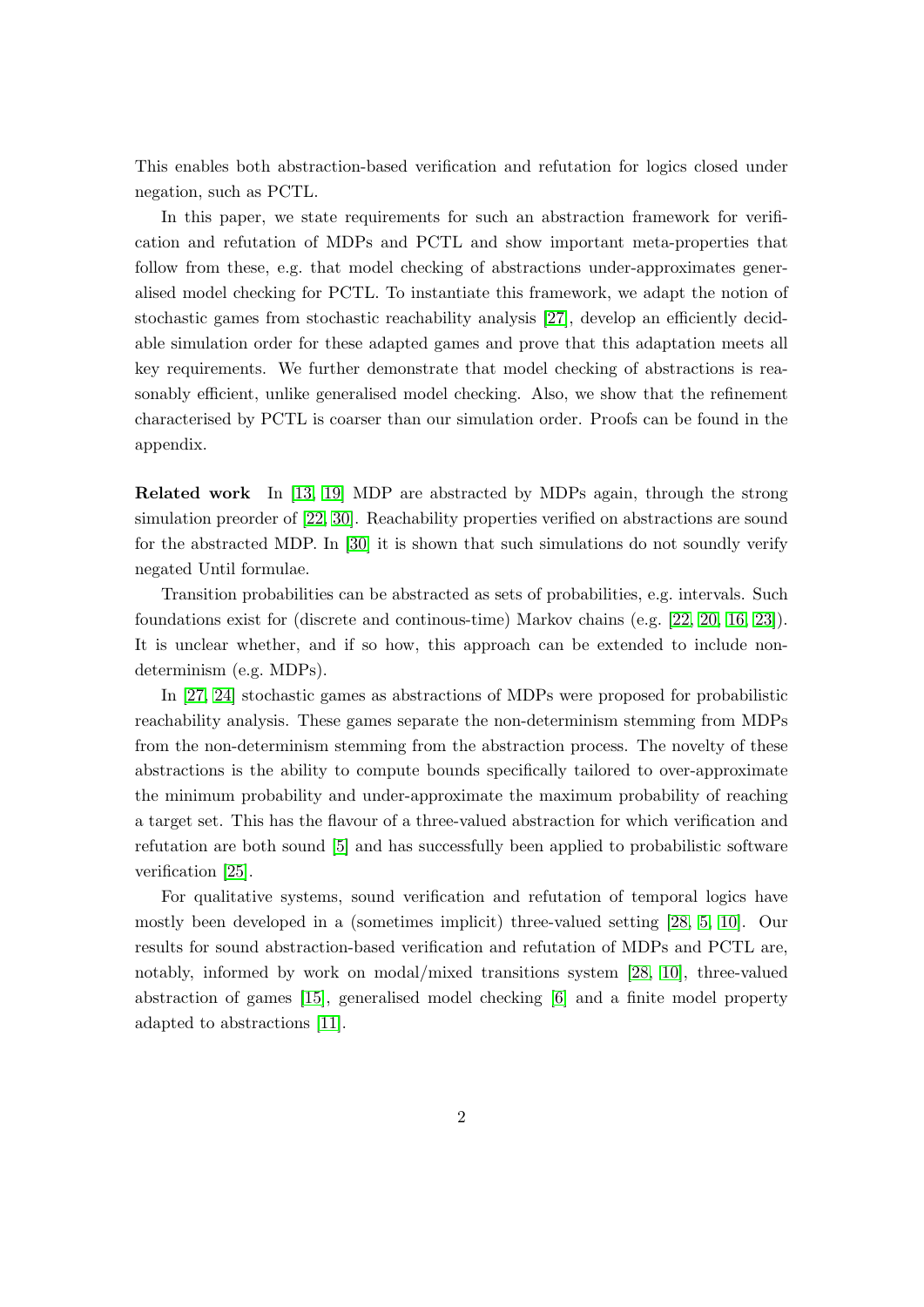This enables both abstraction-based verification and refutation for logics closed under negation, such as PCTL.

In this paper, we state requirements for such an abstraction framework for verification and refutation of MDPs and PCTL and show important meta-properties that follow from these, e.g. that model checking of abstractions under-approximates generalised model checking for PCTL. To instantiate this framework, we adapt the notion of stochastic games from stochastic reachability analysis [\[27\]](#page-19-1), develop an efficiently decidable simulation order for these adapted games and prove that this adaptation meets all key requirements. We further demonstrate that model checking of abstractions is reasonably efficient, unlike generalised model checking. Also, we show that the refinement characterised by PCTL is coarser than our simulation order. Proofs can be found in the appendix.

Related work In [\[13,](#page-18-5) [19\]](#page-18-6) MDP are abstracted by MDPs again, through the strong simulation preorder of [\[22,](#page-18-7) [30\]](#page-19-2). Reachability properties verified on abstractions are sound for the abstracted MDP. In [\[30\]](#page-19-2) it is shown that such simulations do not soundly verify negated Until formulae.

Transition probabilities can be abstracted as sets of probabilities, e.g. intervals. Such foundations exist for (discrete and continous-time) Markov chains (e.g. [\[22,](#page-18-7) [20,](#page-18-8) [16,](#page-18-9) [23\]](#page-18-10)). It is unclear whether, and if so how, this approach can be extended to include nondeterminism (e.g. MDPs).

In [\[27,](#page-19-1) [24\]](#page-18-11) stochastic games as abstractions of MDPs were proposed for probabilistic reachability analysis. These games separate the non-determinism stemming from MDPs from the non-determinism stemming from the abstraction process. The novelty of these abstractions is the ability to compute bounds specifically tailored to over-approximate the minimum probability and under-approximate the maximum probability of reaching a target set. This has the flavour of a three-valued abstraction for which verification and refutation are both sound [\[5\]](#page-17-0) and has successfully been applied to probabilistic software verification [\[25\]](#page-19-0).

For qualitative systems, sound verification and refutation of temporal logics have mostly been developed in a (sometimes implicit) three-valued setting [\[28,](#page-19-3) [5,](#page-17-0) [10\]](#page-18-4). Our results for sound abstraction-based verification and refutation of MDPs and PCTL are, notably, informed by work on modal/mixed transitions system [\[28,](#page-19-3) [10\]](#page-18-4), three-valued abstraction of games [\[15\]](#page-18-12), generalised model checking [\[6\]](#page-18-13) and a finite model property adapted to abstractions [\[11\]](#page-18-14).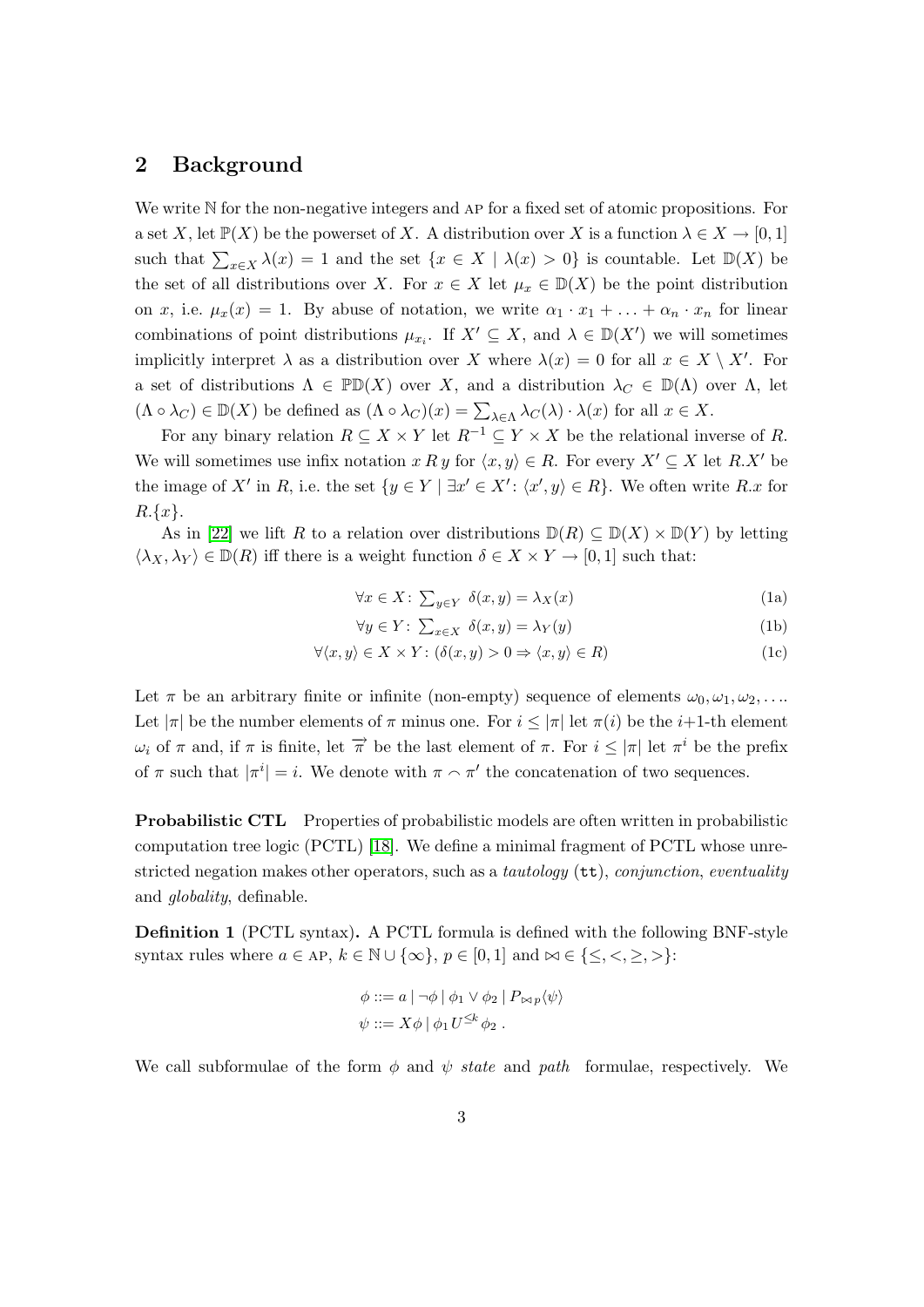# 2 Background

We write N for the non-negative integers and AP for a fixed set of atomic propositions. For a set X, let  $\mathbb{P}(X)$  be the powerset of X. A distribution over X is a function  $\lambda \in X \to [0,1]$ such that  $\sum_{x\in X} \lambda(x) = 1$  and the set  $\{x \in X \mid \lambda(x) > 0\}$  is countable. Let  $\mathbb{D}(X)$  be the set of all distributions over X. For  $x \in X$  let  $\mu_x \in D(X)$  be the point distribution on x, i.e.  $\mu_x(x) = 1$ . By abuse of notation, we write  $\alpha_1 \cdot x_1 + \ldots + \alpha_n \cdot x_n$  for linear combinations of point distributions  $\mu_{x_i}$ . If  $X' \subseteq X$ , and  $\lambda \in D(X')$  we will sometimes implicitly interpret  $\lambda$  as a distribution over X where  $\lambda(x) = 0$  for all  $x \in X \setminus X'$ . For a set of distributions  $\Lambda \in \mathbb{P}D(X)$  over X, and a distribution  $\lambda_C \in D(\Lambda)$  over  $\Lambda$ , let  $(\Lambda \circ \lambda_C) \in \mathbb{D}(X)$  be defined as  $(\Lambda \circ \lambda_C)(x) = \sum_{\lambda \in \Lambda} \lambda_C(\lambda) \cdot \lambda(x)$  for all  $x \in X$ .

For any binary relation  $R \subseteq X \times Y$  let  $R^{-1} \subseteq Y \times X$  be the relational inverse of R. We will sometimes use infix notation x R y for  $\langle x, y \rangle \in R$ . For every  $X' \subseteq X$  let R.X' be the image of X' in R, i.e. the set  $\{y \in Y \mid \exists x' \in X': \langle x', y \rangle \in R\}$ . We often write R.x for  $R.\{x\}.$ 

As in [\[22\]](#page-18-7) we lift R to a relation over distributions  $D(R) \subseteq D(X) \times D(Y)$  by letting  $\langle \lambda_X, \lambda_Y \rangle \in \mathbb{D}(R)$  iff there is a weight function  $\delta \in X \times Y \to [0,1]$  such that:

<span id="page-3-0"></span>
$$
\forall x \in X: \ \sum_{y \in Y} \delta(x, y) = \lambda_X(x) \tag{1a}
$$

$$
\forall y \in Y: \sum_{x \in X} \delta(x, y) = \lambda_Y(y) \tag{1b}
$$

$$
\forall \langle x, y \rangle \in X \times Y : (\delta(x, y) > 0 \Rightarrow \langle x, y \rangle \in R)
$$
\n
$$
(1c)
$$

Let  $\pi$  be an arbitrary finite or infinite (non-empty) sequence of elements  $\omega_0, \omega_1, \omega_2, \ldots$ Let  $|\pi|$  be the number elements of  $\pi$  minus one. For  $i \leq |\pi|$  let  $\pi(i)$  be the  $i+1$ -th element  $\omega_i$  of π and, if π is finite, let  $\overrightarrow{\pi}$  be the last element of π. For  $i \leq |\pi|$  let  $\pi^i$  be the prefix of  $\pi$  such that  $|\pi^i|=i$ . We denote with  $\pi \sim \pi'$  the concatenation of two sequences.

Probabilistic CTL Properties of probabilistic models are often written in probabilistic computation tree logic (PCTL) [\[18\]](#page-18-0). We define a minimal fragment of PCTL whose unrestricted negation makes other operators, such as a tautology ( $tt$ ), conjunction, eventuality and globality, definable.

Definition 1 (PCTL syntax). A PCTL formula is defined with the following BNF-style syntax rules where  $a \in AP$ ,  $k \in \mathbb{N} \cup \{\infty\}$ ,  $p \in [0, 1]$  and  $\in \{\leq, <, \geq, >\}$ :

$$
\phi ::= a | \neg \phi | \phi_1 \vee \phi_2 | P_{\bowtie p} \langle \psi \rangle
$$
  

$$
\psi ::= X \phi | \phi_1 U^{\leq k} \phi_2 .
$$

We call subformulae of the form  $\phi$  and  $\psi$  state and path formulae, respectively. We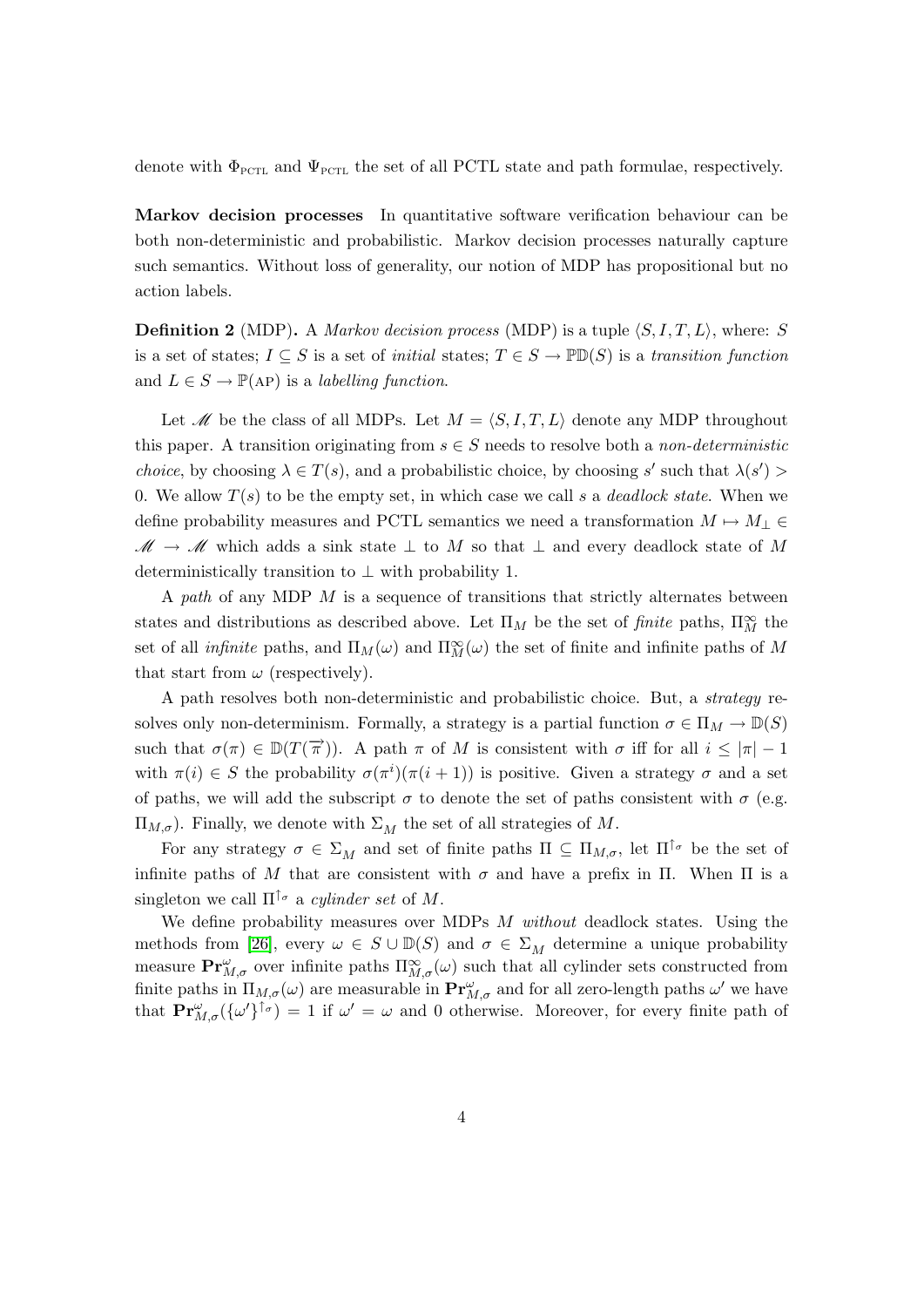denote with  $\Phi_{\text{PCTL}}$  and  $\Psi_{\text{PCTL}}$  the set of all PCTL state and path formulae, respectively.

Markov decision processes In quantitative software verification behaviour can be both non-deterministic and probabilistic. Markov decision processes naturally capture such semantics. Without loss of generality, our notion of MDP has propositional but no action labels.

**Definition 2** (MDP). A *Markov decision process* (MDP) is a tuple  $\langle S, I, T, L \rangle$ , where: S is a set of states;  $I \subseteq S$  is a set of *initial* states;  $T \in S \to \mathbb{P} \mathbb{D}(S)$  is a transition function and  $L \in S \to \mathbb{P}(\mathbf{AP})$  is a *labelling function*.

Let M be the class of all MDPs. Let  $M = \langle S, I, T, L \rangle$  denote any MDP throughout this paper. A transition originating from  $s \in S$  needs to resolve both a non-deterministic *choice*, by choosing  $\lambda \in T(s)$ , and a probabilistic choice, by choosing s' such that  $\lambda(s')$ 0. We allow  $T(s)$  to be the empty set, in which case we call s a *deadlock state*. When we define probability measures and PCTL semantics we need a transformation  $M \mapsto M_{\perp} \in$  $\mathscr{M} \to \mathscr{M}$  which adds a sink state  $\perp$  to M so that  $\perp$  and every deadlock state of M deterministically transition to  $\perp$  with probability 1.

A path of any MDP  $M$  is a sequence of transitions that strictly alternates between states and distributions as described above. Let  $\Pi_M$  be the set of *finite* paths,  $\Pi_M^{\infty}$  the set of all *infinite* paths, and  $\Pi_M(\omega)$  and  $\Pi_M^{\infty}(\omega)$  the set of finite and infinite paths of M that start from  $\omega$  (respectively).

A path resolves both non-deterministic and probabilistic choice. But, a strategy resolves only non-determinism. Formally, a strategy is a partial function  $\sigma \in \Pi_M \to \mathbb{D}(S)$ such that  $\sigma(\pi) \in D(T(\vec{\pi}))$ . A path  $\pi$  of M is consistent with  $\sigma$  iff for all  $i \leq |\pi| - 1$ with  $\pi(i) \in S$  the probability  $\sigma(\pi^i)(\pi(i+1))$  is positive. Given a strategy  $\sigma$  and a set of paths, we will add the subscript  $\sigma$  to denote the set of paths consistent with  $\sigma$  (e.g.  $\Pi_{M,\sigma}$ ). Finally, we denote with  $\Sigma_M$  the set of all strategies of M.

For any strategy  $\sigma \in \Sigma_M$  and set of finite paths  $\Pi \subseteq \Pi_{M,\sigma}$ , let  $\Pi^{\uparrow_{\sigma}}$  be the set of infinite paths of M that are consistent with  $\sigma$  and have a prefix in Π. When Π is a singleton we call  $\Pi^{\uparrow_{\sigma}}$  a *cylinder set* of M.

We define probability measures over MDPs  $M$  without deadlock states. Using the methods from [\[26\]](#page-19-4), every  $\omega \in S \cup \mathbb{D}(S)$  and  $\sigma \in \Sigma_M$  determine a unique probability measure  $Pr_{M,\sigma}^{\omega}$  over infinite paths  $\Pi_{M,\sigma}^{\infty}(\omega)$  such that all cylinder sets constructed from finite paths in  $\Pi_{M,\sigma}(\omega)$  are measurable in  $Pr^{\omega}_{M,\sigma}$  and for all zero-length paths  $\omega'$  we have that  $\mathbf{Pr}_{M,\sigma}^{\omega}(\{\omega'\}^{\uparrow_{\sigma}}) = 1$  if  $\omega' = \omega$  and 0 otherwise. Moreover, for every finite path of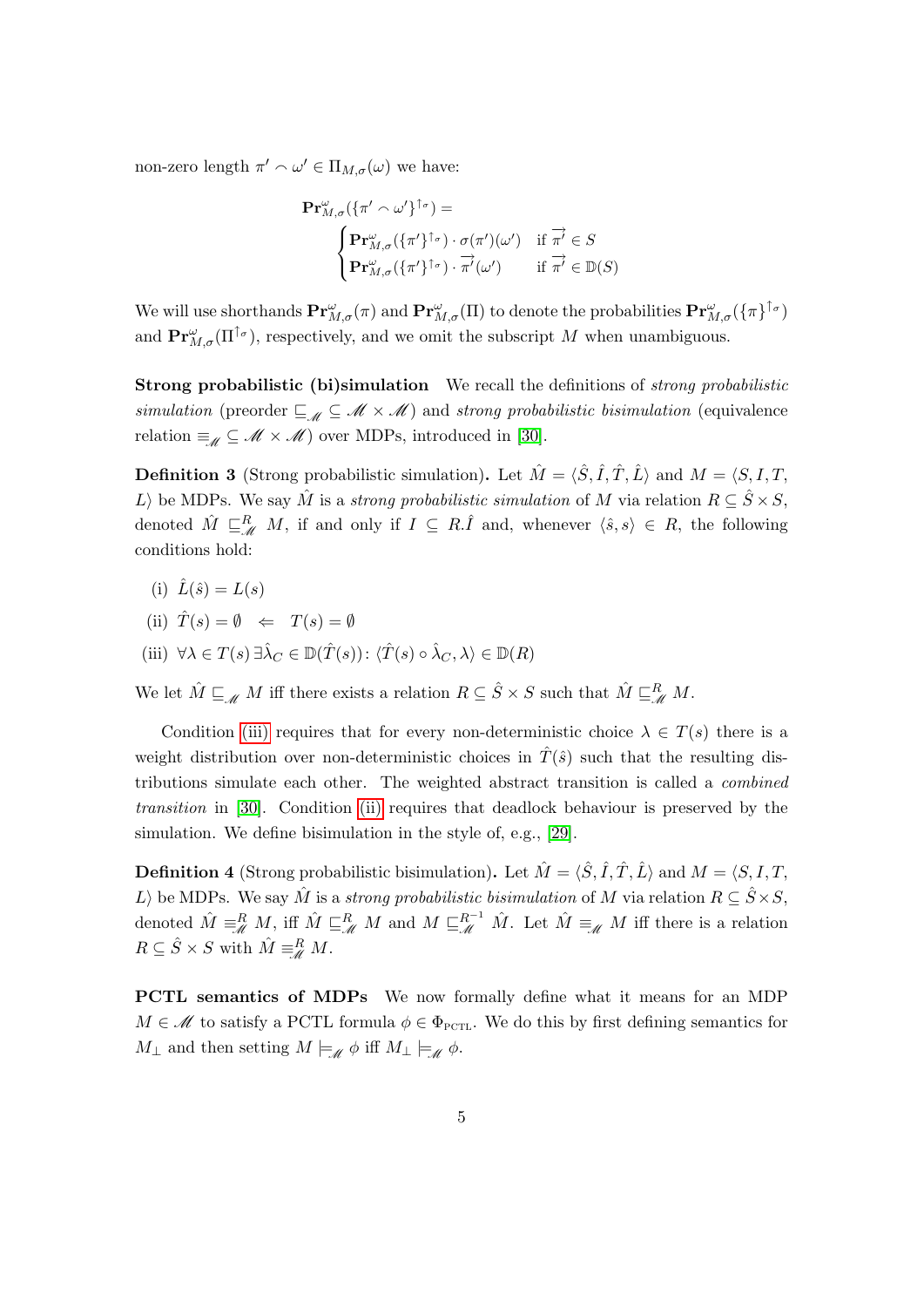non-zero length  $\pi' \sim \omega' \in \Pi_{M,\sigma}(\omega)$  we have:

$$
\mathbf{Pr}_{M,\sigma}^{\omega}(\{\pi' \sim \omega'\}^{\uparrow_{\sigma}}) =
$$
\n
$$
\begin{cases}\n\mathbf{Pr}_{M,\sigma}^{\omega}(\{\pi'\}^{\uparrow_{\sigma}}) \cdot \sigma(\pi')(\omega') & \text{if } \overrightarrow{\pi'} \in S \\
\mathbf{Pr}_{M,\sigma}^{\omega}(\{\pi'\}^{\uparrow_{\sigma}}) \cdot \overrightarrow{\pi'}(\omega') & \text{if } \overrightarrow{\pi'} \in \mathbb{D}(S)\n\end{cases}
$$

We will use shorthands  $Pr^{\omega}_{M,\sigma}(\pi)$  and  $Pr^{\omega}_{M,\sigma}(\Pi)$  to denote the probabilities  $Pr^{\omega}_{M,\sigma}(\{\pi\}^{\uparrow_{\sigma}})$ and  $\mathbf{Pr}_{M,\sigma}^{\omega}(\Pi^{\uparrow_{\sigma}})$ , respectively, and we omit the subscript M when unambiguous.

Strong probabilistic (bi)simulation We recall the definitions of strong probabilistic simulation (preorder  $\subseteq_{\mathcal{M}} \subseteq \mathcal{M} \times \mathcal{M}$ ) and strong probabilistic bisimulation (equivalence relation  $\equiv_{\mathscr{M}} \subseteq \mathscr{M} \times \mathscr{M}$  over MDPs, introduced in [\[30\]](#page-19-2).

<span id="page-5-3"></span>**Definition 3** (Strong probabilistic simulation). Let  $\hat{M} = \langle \hat{S}, \hat{I}, \hat{T}, \hat{L} \rangle$  and  $M = \langle S, I, T, \hat{T} \rangle$ L) be MDPs. We say  $\hat{M}$  is a strong probabilistic simulation of M via relation  $R \subseteq \hat{S} \times S$ , denoted  $\hat{M} \subseteq_M^R M$ , if and only if  $I \subseteq R.\hat{I}$  and, whenever  $\langle \hat{s}, s \rangle \in R$ , the following conditions hold:

- (i)  $\hat{L}(\hat{s}) = L(s)$
- <span id="page-5-1"></span>(ii)  $\hat{T}(s) = \emptyset \Leftrightarrow T(s) = \emptyset$
- <span id="page-5-0"></span>(iii)  $\forall \lambda \in T(s) \exists \hat{\lambda}_C \in \mathbb{D}(\hat{T}(s))$ :  $\langle \hat{T}(s) \circ \hat{\lambda}_C, \lambda \rangle \in \mathbb{D}(R)$

We let  $\hat{M} \sqsubseteq_{\mathscr{M}} M$  iff there exists a relation  $R \subseteq \hat{S} \times S$  such that  $\hat{M} \sqsubseteq_{\mathscr{M}}^R M$ .

Condition [\(iii\)](#page-5-0) requires that for every non-deterministic choice  $\lambda \in T(s)$  there is a weight distribution over non-deterministic choices in  $\hat{T}(\hat{s})$  such that the resulting distributions simulate each other. The weighted abstract transition is called a combined transition in [\[30\]](#page-19-2). Condition [\(ii\)](#page-5-1) requires that deadlock behaviour is preserved by the simulation. We define bisimulation in the style of, e.g., [\[29\]](#page-19-5).

<span id="page-5-2"></span>**Definition 4** (Strong probabilistic bisimulation). Let  $\hat{M} = \langle \hat{S}, \hat{I}, \hat{T}, \hat{L} \rangle$  and  $M = \langle S, I, T, \hat{T} \rangle$ L) be MDPs. We say  $\hat{M}$  is a strong probabilistic bisimulation of M via relation  $R \subseteq \hat{S} \times S$ , denoted  $\hat{M} \equiv_M^R M$ , iff  $\hat{M} \sqsubseteq_M^R M$  and  $M \sqsubseteq_M^{R^{-1}} \hat{M}$ . Let  $\hat{M} \equiv_M M$  iff there is a relation  $R \subseteq \hat{S} \times S$  with  $\hat{M} \equiv^R_{\mathscr{M}} M$ .

PCTL semantics of MDPs We now formally define what it means for an MDP  $M \in \mathcal{M}$  to satisfy a PCTL formula  $\phi \in \Phi_{\text{PCTL}}$ . We do this by first defining semantics for  $M_{\perp}$  and then setting  $M \models_{\mathscr{M}} \phi$  iff  $M_{\perp} \models_{\mathscr{M}} \phi$ .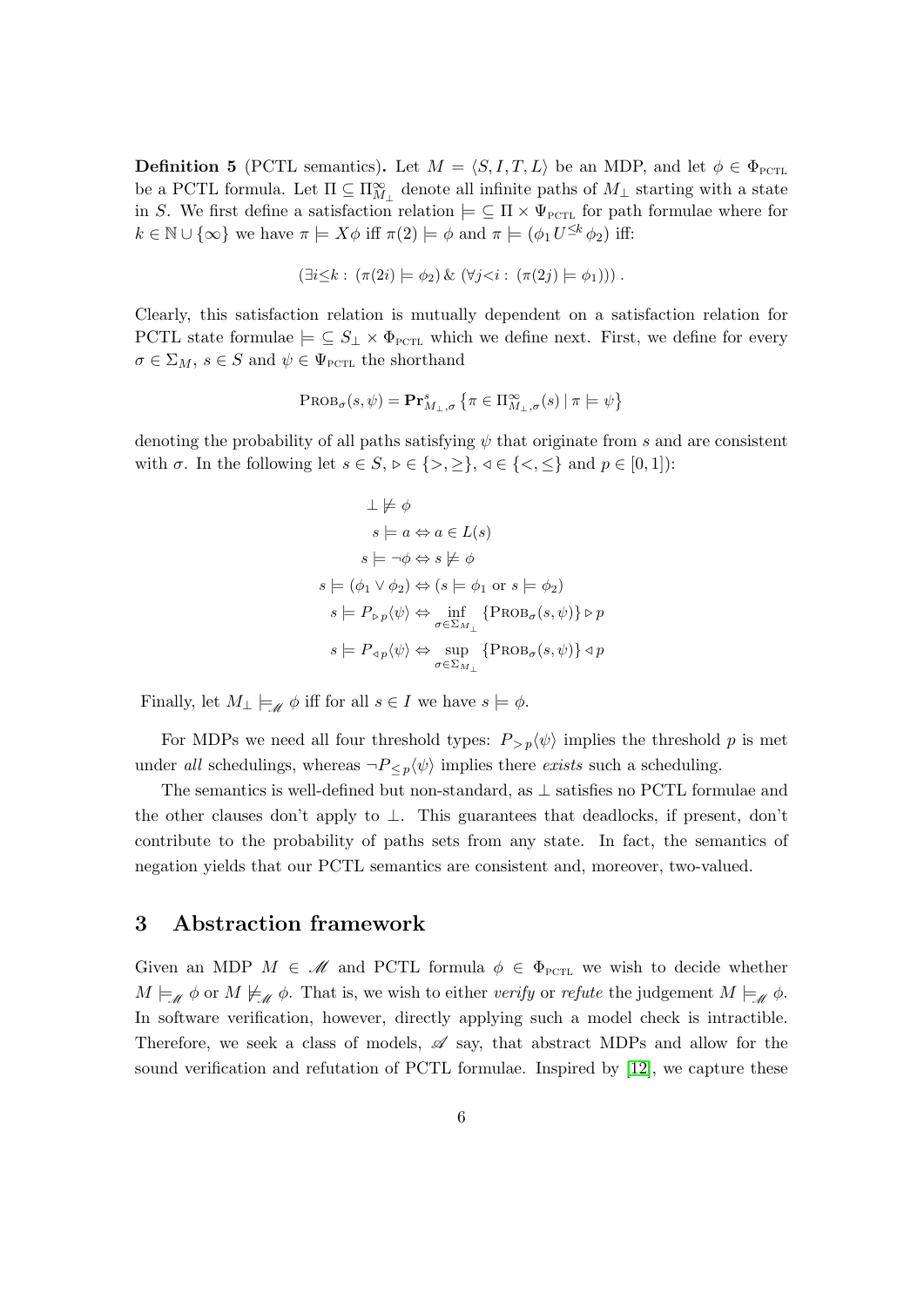**Definition 5** (PCTL semantics). Let  $M = \langle S, I, T, L \rangle$  be an MDP, and let  $\phi \in \Phi_{\text{PCTL}}$ be a PCTL formula. Let  $\Pi \subseteq \Pi_{M_{\perp}}^{\infty}$  denote all infinite paths of  $M_{\perp}$  starting with a state in S. We first define a satisfaction relation  $\models \subseteq \Pi \times \Psi_{\text{PCTL}}$  for path formulae where for  $k \in \mathbb{N} \cup \{\infty\}$  we have  $\pi \models X\phi$  iff  $\pi(2) \models \phi$  and  $\pi \models (\phi_1 U^{\leq k} \phi_2)$  iff:

$$
(\exists i \leq k : (\pi(2i) \models \phi_2) \& (\forall j \lt i : (\pi(2j) \models \phi_1)))
$$

Clearly, this satisfaction relation is mutually dependent on a satisfaction relation for PCTL state formulae  $\models \subseteq S_\perp \times \Phi_{\text{PCTL}}$  which we define next. First, we define for every  $\sigma \in \Sigma_M$ ,  $s \in S$  and  $\psi \in \Psi_{\text{PCTL}}$  the shorthand

$$
\mathrm{PROB}_{\sigma}(s, \psi) = \mathbf{Pr}^{s}_{M_{\perp}, \sigma} \left\{ \pi \in \Pi^{\infty}_{M_{\perp}, \sigma}(s) \mid \pi \models \psi \right\}
$$

denoting the probability of all paths satisfying  $\psi$  that originate from s and are consistent with  $\sigma$ . In the following let  $s \in S$ ,  $\triangleright \in \{>, \geq\}$ ,  $\triangleleft \in \{<,\leq\}$  and  $p \in [0,1]$ :

$$
\bot \not\models \phi
$$
\n
$$
s \models a \Leftrightarrow a \in L(s)
$$
\n
$$
s \models \neg \phi \Leftrightarrow s \not\models \phi
$$
\n
$$
s \models (\phi_1 \lor \phi_2) \Leftrightarrow (s \models \phi_1 \text{ or } s \models \phi_2)
$$
\n
$$
s \models P_{\triangleright p} \langle \psi \rangle \Leftrightarrow \inf_{\sigma \in \Sigma_{M_\perp}} \{ \text{PROB}_{\sigma}(s, \psi) \} \triangleright p
$$
\n
$$
s \models P_{\triangle p} \langle \psi \rangle \Leftrightarrow \sup_{\sigma \in \Sigma_{M_\perp}} \{ \text{PROB}_{\sigma}(s, \psi) \} \triangleleft p
$$

Finally, let  $M_{\perp} \models_{\mathscr{M}} \phi$  iff for all  $s \in I$  we have  $s \models \phi$ .

For MDPs we need all four threshold types:  $P_{> p}\langle \psi \rangle$  implies the threshold p is met under all schedulings, whereas  $\neg P_{\leq p}(\psi)$  implies there exists such a scheduling.

The semantics is well-defined but non-standard, as ⊥ satisfies no PCTL formulae and the other clauses don't apply to  $\perp$ . This guarantees that deadlocks, if present, don't contribute to the probability of paths sets from any state. In fact, the semantics of negation yields that our PCTL semantics are consistent and, moreover, two-valued.

# <span id="page-6-0"></span>3 Abstraction framework

Given an MDP  $M \in \mathcal{M}$  and PCTL formula  $\phi \in \Phi_{\text{PCTL}}$  we wish to decide whether  $M \models_{\mathscr{M}} \phi$  or  $M \not\models_{\mathscr{M}} \phi$ . That is, we wish to either verify or refute the judgement  $M \models_{\mathscr{M}} \phi$ . In software verification, however, directly applying such a model check is intractible. Therefore, we seek a class of models,  $\mathscr A$  say, that abstract MDPs and allow for the sound verification and refutation of PCTL formulae. Inspired by [\[12\]](#page-18-15), we capture these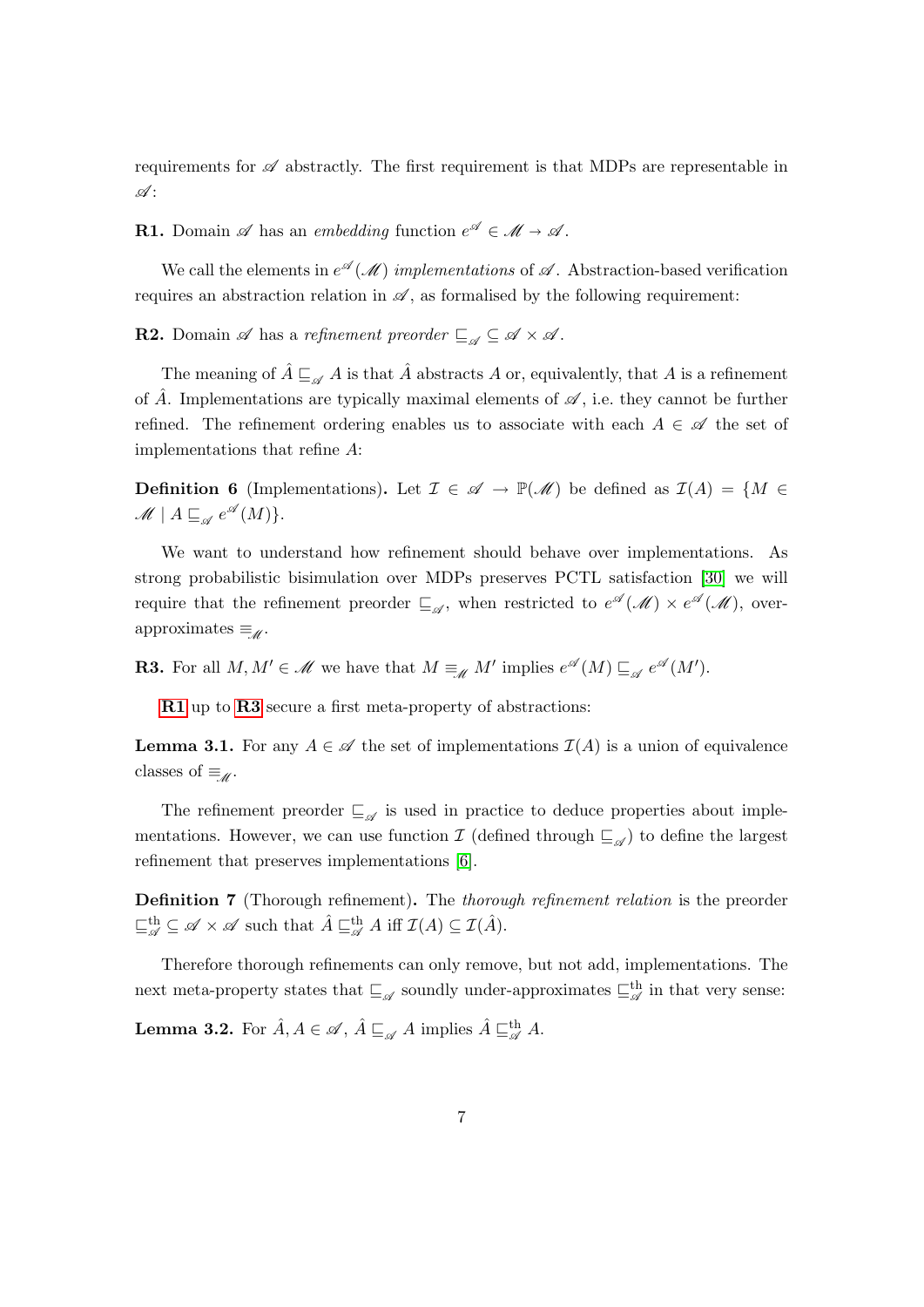requirements for  $\mathscr A$  abstractly. The first requirement is that MDPs are representable in  $\mathscr{A}$  :

<span id="page-7-0"></span>**R1.** Domain  $\mathscr A$  has an embedding function  $e^{\mathscr A} \in \mathscr M \to \mathscr A$ .

We call the elements in  $e^{\mathscr{A}}(\mathscr{M})$  implementations of  $\mathscr{A}$ . Abstraction-based verification requires an abstraction relation in  $\mathscr A$ , as formalised by the following requirement:

<span id="page-7-2"></span>**R2.** Domain  $\mathscr A$  has a refinement preorder  $\sqsubseteq_{\mathscr A} \subseteq \mathscr A \times \mathscr A$ .

The meaning of  $\hat{A} \sqsubseteq_{\mathscr{A}} A$  is that  $\hat{A}$  abstracts A or, equivalently, that A is a refinement of  $\hat{A}$ . Implementations are typically maximal elements of  $\mathscr{A}$ , i.e. they cannot be further refined. The refinement ordering enables us to associate with each  $A \in \mathscr{A}$  the set of implementations that refine A:

<span id="page-7-3"></span>**Definition 6** (Implementations). Let  $\mathcal{I} \in \mathcal{A} \to \mathbb{P}(\mathcal{M})$  be defined as  $\mathcal{I}(A) = \{M \in \mathcal{I} \mid \mathcal{I} \neq \emptyset\}$  $\mathscr{M} \mid A \sqsubseteq_{\mathscr{A}} e^{\mathscr{A}}(M) \}.$ 

We want to understand how refinement should behave over implementations. As strong probabilistic bisimulation over MDPs preserves PCTL satisfaction [\[30\]](#page-19-2) we will require that the refinement preorder  $\sqsubseteq_{\mathscr{A}}$ , when restricted to  $e^{\mathscr{A}}(\mathscr{M}) \times e^{\mathscr{A}}(\mathscr{M})$ , overapproximates  $\equiv_{\mathscr{M}}$ .

<span id="page-7-1"></span>**R3.** For all  $M, M' \in \mathcal{M}$  we have that  $M \equiv_M M'$  implies  $e^{\mathcal{A}}(M) \sqsubseteq_{\mathcal{A}} e^{\mathcal{A}}(M')$ .

[R1](#page-7-0) up to [R3](#page-7-1) secure a first meta-property of abstractions:

<span id="page-7-4"></span>**Lemma 3.1.** For any  $A \in \mathcal{A}$  the set of implementations  $\mathcal{I}(A)$  is a union of equivalence classes of  $\equiv_{\mathscr{M}}$ .

The refinement preorder  $\sqsubseteq_{\mathscr{A}}$  is used in practice to deduce properties about implementations. However, we can use function  $\mathcal I$  (defined through  $\subseteq_{\mathscr A}$ ) to define the largest refinement that preserves implementations [\[6\]](#page-18-13).

<span id="page-7-5"></span>Definition 7 (Thorough refinement). The thorough refinement relation is the preorder  $\square_{\mathscr{A}}^{\text{th}} \subseteq \mathscr{A} \times \mathscr{A}$  such that  $\hat{A} \sqsubseteq_{\mathscr{A}}^{\text{th}} A$  iff  $\mathcal{I}(A) \subseteq \mathcal{I}(\hat{A})$ .

Therefore thorough refinements can only remove, but not add, implementations. The next meta-property states that  $\sqsubseteq_{\mathscr{A}}$  soundly under-approximates  $\sqsubseteq_{\mathscr{A}}^{\text{th}}$  in that very sense:

<span id="page-7-6"></span>**Lemma 3.2.** For  $\hat{A}, A \in \mathscr{A}, \hat{A} \sqsubseteq_{\mathscr{A}} A$  implies  $\hat{A} \sqsubseteq_{\mathscr{A}}^{\text{th}} A$ .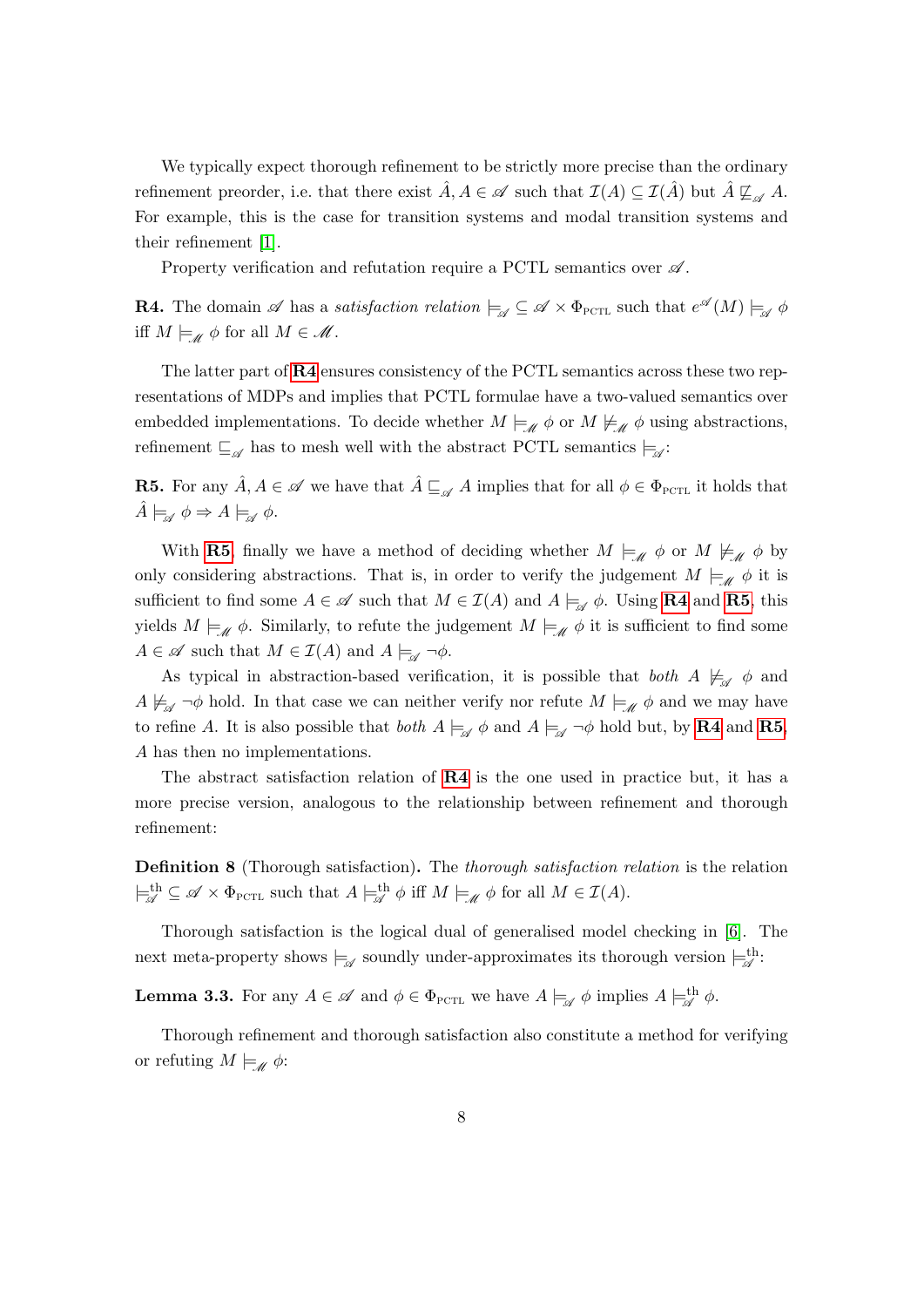We typically expect thorough refinement to be strictly more precise than the ordinary refinement preorder, i.e. that there exist  $\hat{A}, A \in \mathscr{A}$  such that  $\mathcal{I}(A) \subseteq \mathcal{I}(\hat{A})$  but  $\hat{A} \not\sqsubseteq_{\mathscr{A}} A$ . For example, this is the case for transition systems and modal transition systems and their refinement [\[1\]](#page-17-1).

Property verification and refutation require a PCTL semantics over  $\mathscr A$ .

<span id="page-8-0"></span>**R4.** The domain  $\mathscr A$  has a satisfaction relation  $\models_{\mathscr A} \subseteq \mathscr A \times \Phi_{\text{PCTL}}$  such that  $e^{\mathscr A}(M) \models_{\mathscr A} \phi$ iff  $M \models_{\mathscr{M}} \phi$  for all  $M \in \mathscr{M}$ .

The latter part of [R4](#page-8-0) ensures consistency of the PCTL semantics across these two representations of MDPs and implies that PCTL formulae have a two-valued semantics over embedded implementations. To decide whether  $M \models_{\mathscr{M}} \phi$  or  $M \not\models_{\mathscr{M}} \phi$  using abstractions, refinement  $\sqsubseteq_{\mathscr{A}}$  has to mesh well with the abstract PCTL semantics  $\models_{\mathscr{A}}$ :

<span id="page-8-1"></span>**R5.** For any  $\hat{A}, A \in \mathscr{A}$  we have that  $\hat{A} \sqsubseteq_{\mathscr{A}} A$  implies that for all  $\phi \in \Phi_{\text{PCTL}}$  it holds that  $\hat{A}\models_{\mathscr{A}}\phi\Rightarrow A\models_{\mathscr{A}}\phi.$ 

With [R5](#page-8-1), finally we have a method of deciding whether  $M \models_{\mathscr{M}} \phi$  or  $M \not\models_{\mathscr{M}} \phi$  by only considering abstractions. That is, in order to verify the judgement  $M \models_{\mathscr{M}} \phi$  it is sufficient to find some  $A \in \mathscr{A}$  such that  $M \in \mathcal{I}(A)$  and  $A \models_{\mathscr{A}} \phi$ . Using **[R4](#page-8-0)** and **[R5](#page-8-1)**, this yields  $M \models_{\mathscr{M}} \phi$ . Similarly, to refute the judgement  $M \models_{\mathscr{M}} \phi$  it is sufficient to find some  $A \in \mathscr{A}$  such that  $M \in \mathcal{I}(A)$  and  $A \models_{\mathscr{A}} \neg \phi$ .

As typical in abstraction-based verification, it is possible that both  $A \not\models_{\mathscr{A}} \phi$  and  $A \not\models_{\mathscr{A}} \neg \phi$  hold. In that case we can neither verify nor refute  $M \models_{\mathscr{A}} \phi$  and we may have to refine A. It is also possible that *both*  $A \models_{\mathscr{A}} \phi$  and  $A \models_{\mathscr{A}} \neg \phi$  hold but, by **[R4](#page-8-0)** and **[R5](#page-8-1)**, A has then no implementations.

The abstract satisfaction relation of [R4](#page-8-0) is the one used in practice but, it has a more precise version, analogous to the relationship between refinement and thorough refinement:

<span id="page-8-2"></span>Definition 8 (Thorough satisfaction). The thorough satisfaction relation is the relation  $\models^{\text{th}}_{\mathscr{A}} \subseteq \mathscr{A} \times \Phi_{\text{PCTL}}$  such that  $A \models^{\text{th}}_{\mathscr{A}} \phi$  iff  $M \models_{\mathscr{M}} \phi$  for all  $M \in \mathcal{I}(A)$ .

Thorough satisfaction is the logical dual of generalised model checking in [\[6\]](#page-18-13). The next meta-property shows  $\models_{\mathscr{A}}$  soundly under-approximates its thorough version  $\models_{\mathscr{A}}^{\text{th}}$ :

<span id="page-8-3"></span>**Lemma 3.3.** For any  $A \in \mathscr{A}$  and  $\phi \in \Phi_{\text{PCTL}}$  we have  $A \models_{\mathscr{A}} \phi$  implies  $A \models_{\mathscr{A}}^{\text{th}} \phi$ .

<span id="page-8-4"></span>Thorough refinement and thorough satisfaction also constitute a method for verifying or refuting  $M \models_{\mathscr{M}} \phi$ :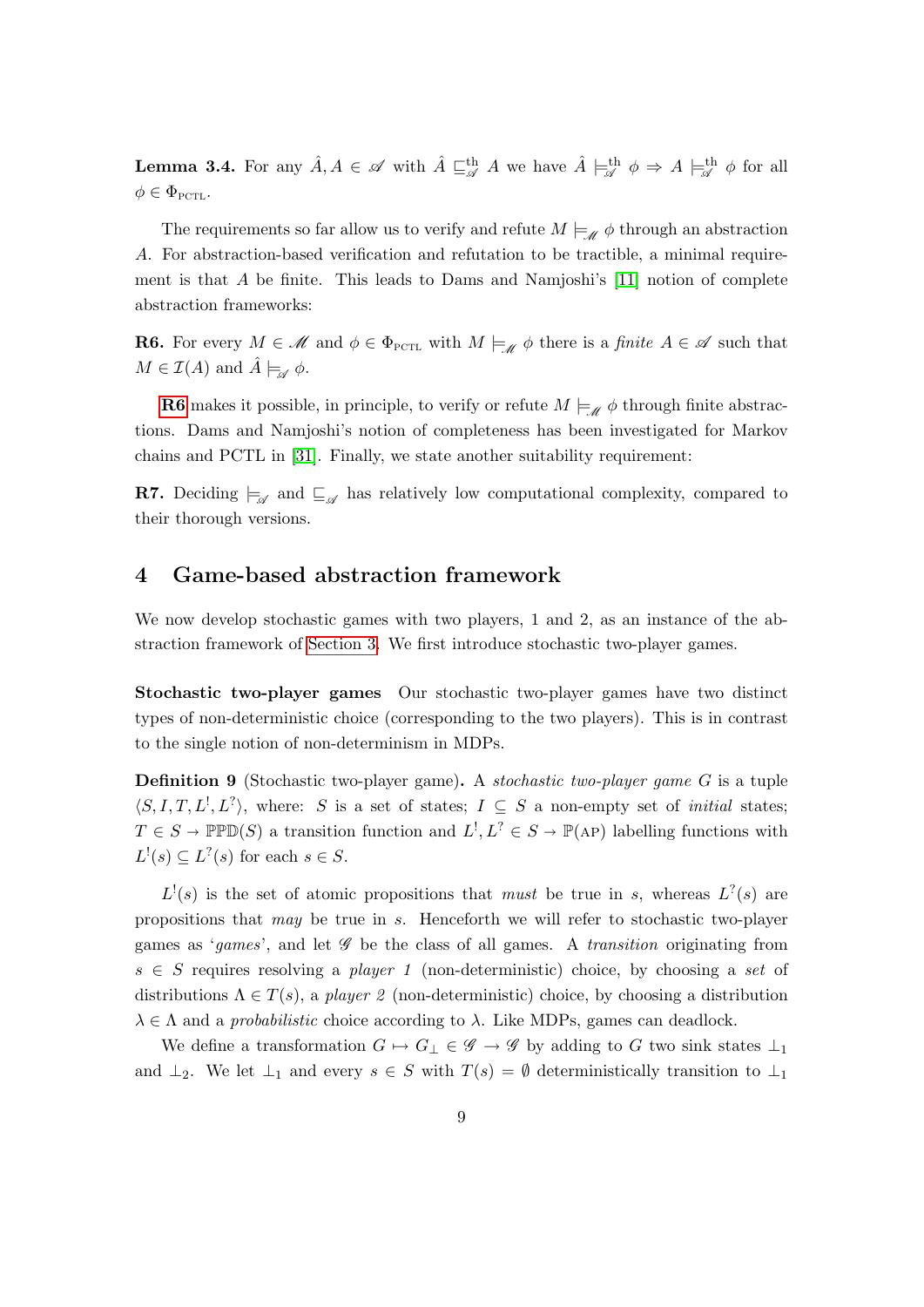**Lemma 3.4.** For any  $\hat{A}, A \in \mathscr{A}$  with  $\hat{A} \sqsubseteq_{\mathscr{A}}^{\text{th}} A$  we have  $\hat{A} \models_{\mathscr{A}}^{\text{th}} \phi \Rightarrow A \models_{\mathscr{A}}^{\text{th}} \phi$  for all  $\phi \in \Phi_{\text{PCTL}}$ .

The requirements so far allow us to verify and refute  $M \models_{\mathscr{M}} \phi$  through an abstraction A. For abstraction-based verification and refutation to be tractible, a minimal requirement is that  $A$  be finite. This leads to Dams and Namjoshi's [\[11\]](#page-18-14) notion of complete abstraction frameworks:

<span id="page-9-0"></span>**R6.** For every  $M \in \mathcal{M}$  and  $\phi \in \Phi_{\text{PCTL}}$  with  $M \models_{\mathcal{M}} \phi$  there is a *finite*  $A \in \mathcal{A}$  such that  $M \in \mathcal{I}(A)$  and  $\hat{A} \models_{\mathscr{A}} \phi$ .

**[R6](#page-9-0)** makes it possible, in principle, to verify or refute  $M \models_{\mathscr{M}} \phi$  through finite abstractions. Dams and Namjoshi's notion of completeness has been investigated for Markov chains and PCTL in [\[31\]](#page-19-6). Finally, we state another suitability requirement:

<span id="page-9-1"></span>**R7.** Deciding  $\models_{\mathscr{A}}$  and  $\models_{\mathscr{A}}$  has relatively low computational complexity, compared to their thorough versions.

# 4 Game-based abstraction framework

We now develop stochastic games with two players, 1 and 2, as an instance of the abstraction framework of [Section 3.](#page-6-0) We first introduce stochastic two-player games.

Stochastic two-player games Our stochastic two-player games have two distinct types of non-deterministic choice (corresponding to the two players). This is in contrast to the single notion of non-determinism in MDPs.

<span id="page-9-2"></span>Definition 9 (Stochastic two-player game). A stochastic two-player game G is a tuple  $\langle S, I, T, L^1, L^2 \rangle$ , where: S is a set of states;  $I \subseteq S$  a non-empty set of *initial* states;  $T \in S \to \mathbb{P} \mathbb{P} \mathbb{D}(S)$  a transition function and  $L^!, L^? \in S \to \mathbb{P}(\mathbb{A}P)$  labelling functions with  $L^!(s) \subseteq L^?$  (s) for each  $s \in S$ .

 $L^!(s)$  is the set of atomic propositions that must be true in s, whereas  $L^?$  (s) are propositions that may be true in s. Henceforth we will refer to stochastic two-player games as 'games', and let  $\mathscr G$  be the class of all games. A transition originating from  $s \in S$  requires resolving a player 1 (non-deterministic) choice, by choosing a set of distributions  $\Lambda \in T(s)$ , a player 2 (non-deterministic) choice, by choosing a distribution  $\lambda \in \Lambda$  and a *probabilistic* choice according to  $\lambda$ . Like MDPs, games can deadlock.

We define a transformation  $G \mapsto G_{\perp} \in \mathscr{G} \to \mathscr{G}$  by adding to G two sink states  $\perp_1$ and  $\perp_2$ . We let  $\perp_1$  and every  $s \in S$  with  $T(s) = \emptyset$  deterministically transition to  $\perp_1$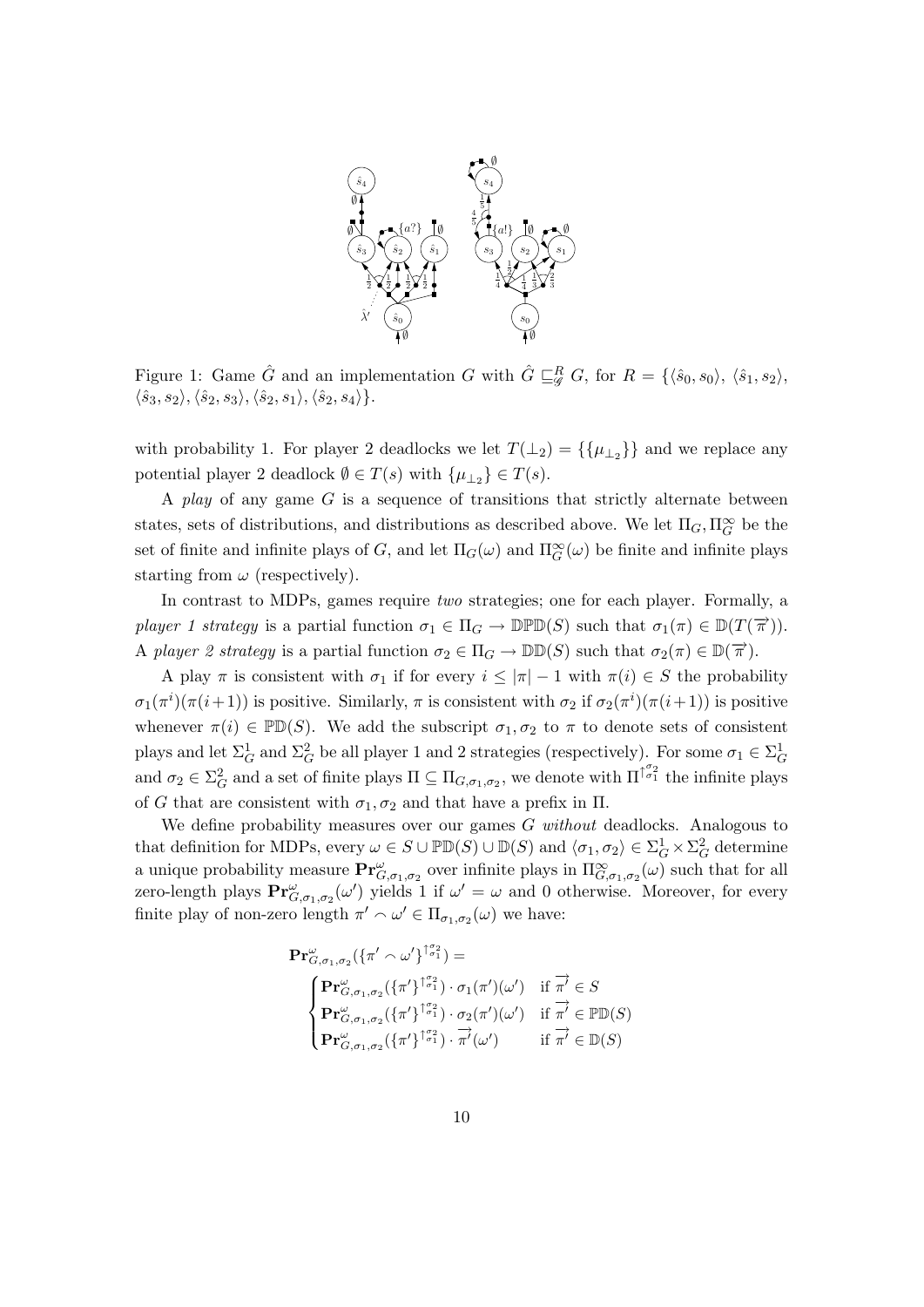

<span id="page-10-0"></span>Figure 1: Game  $\hat{G}$  and an implementation G with  $\hat{G} \sqsubseteq_{\mathscr{G}}^R G$ , for  $R = \{\langle \hat{s}_0, s_0 \rangle, \langle \hat{s}_1, s_2 \rangle,$  $\langle \hat{s}_3, s_2 \rangle, \langle \hat{s}_2, s_3 \rangle, \langle \hat{s}_2, s_1 \rangle, \langle \hat{s}_2, s_4 \rangle\}.$ 

with probability 1. For player 2 deadlocks we let  $T(\perp_2) = \{\{\mu_{\perp_2}\}\}\$ and we replace any potential player 2 deadlock  $\emptyset \in T(s)$  with  $\{\mu_{\perp_2}\} \in T(s)$ .

A play of any game  $G$  is a sequence of transitions that strictly alternate between states, sets of distributions, and distributions as described above. We let  $\Pi_G, \Pi_G^{\infty}$  be the set of finite and infinite plays of G, and let  $\Pi_G(\omega)$  and  $\Pi_G^{\infty}(\omega)$  be finite and infinite plays starting from  $\omega$  (respectively).

In contrast to MDPs, games require two strategies; one for each player. Formally, a player 1 strategy is a partial function  $\sigma_1 \in \Pi_G \to \mathbb{D} \mathbb{P} \mathbb{D}(S)$  such that  $\sigma_1(\pi) \in \mathbb{D}(T(\overrightarrow{\pi}))$ . A player 2 strategy is a partial function  $\sigma_2 \in \Pi_G \to \mathbb{D}(\mathbb{D}(S))$  such that  $\sigma_2(\pi) \in \mathbb{D}(\overrightarrow{\pi})$ .

A play  $\pi$  is consistent with  $\sigma_1$  if for every  $i \leq |\pi| - 1$  with  $\pi(i) \in S$  the probability  $\sigma_1(\pi^i)(\pi(i+1))$  is positive. Similarly,  $\pi$  is consistent with  $\sigma_2$  if  $\sigma_2(\pi^i)(\pi(i+1))$  is positive whenever  $\pi(i) \in \mathbb{P}(\mathbb{D}(S))$ . We add the subscript  $\sigma_1, \sigma_2$  to  $\pi$  to denote sets of consistent plays and let  $\Sigma_G^1$  and  $\Sigma_G^2$  be all player 1 and 2 strategies (respectively). For some  $\sigma_1 \in \Sigma_G^1$ and  $\sigma_2 \in \Sigma_G^2$  and a set of finite plays  $\Pi \subseteq \Pi_{G,\sigma_1,\sigma_2}$ , we denote with  $\Pi^{\{\sigma_2\}}$  the infinite plays of G that are consistent with  $\sigma_1, \sigma_2$  and that have a prefix in  $\Pi$ .

We define probability measures over our games  $G$  without deadlocks. Analogous to that definition for MDPs, every  $\omega \in S \cup \mathbb{P} \mathbb{D}(S) \cup \mathbb{D}(S)$  and  $\langle \sigma_1, \sigma_2 \rangle \in \Sigma_G^1 \times \Sigma_G^2$  determine a unique probability measure  $\mathbf{Pr}^{\omega}_{G,\sigma_1,\sigma_2}$  over infinite plays in  $\Pi^{\infty}_{G,\sigma_1,\sigma_2}(\omega)$  such that for all zero-length plays  $\mathbf{Pr}_{G,\sigma_1,\sigma_2}^{\omega}(\omega')$  yields 1 if  $\omega'=\omega$  and 0 otherwise. Moreover, for every finite play of non-zero length  $\pi' \sim \omega' \in \Pi_{\sigma_1, \sigma_2}(\omega)$  we have:

$$
\begin{aligned}\n\mathbf{Pr}_{G,\sigma_1,\sigma_2}^{\omega}(\{\pi' \sim \omega'\}^{\uparrow \sigma_1^{\sigma_2}}) &= \\
\begin{cases}\n\mathbf{Pr}_{G,\sigma_1,\sigma_2}^{\omega}(\{\pi'\}^{\uparrow \sigma_1^{\sigma_2}}) \cdot \sigma_1(\pi')(\omega') & \text{if } \overrightarrow{\pi'} \in S \\
\mathbf{Pr}_{G,\sigma_1,\sigma_2}^{\omega}(\{\pi'\}^{\uparrow \sigma_1^{\sigma_2}}) \cdot \sigma_2(\pi')(\omega') & \text{if } \overrightarrow{\pi'} \in \mathbb{P} \mathbb{D}(S) \\
\mathbf{Pr}_{G,\sigma_1,\sigma_2}^{\omega}(\{\pi'\}^{\uparrow \sigma_1^{\sigma_2}}) \cdot \overrightarrow{\pi'}(\omega') & \text{if } \overrightarrow{\pi'} \in \mathbb{D}(S)\n\end{cases}\n\end{aligned}
$$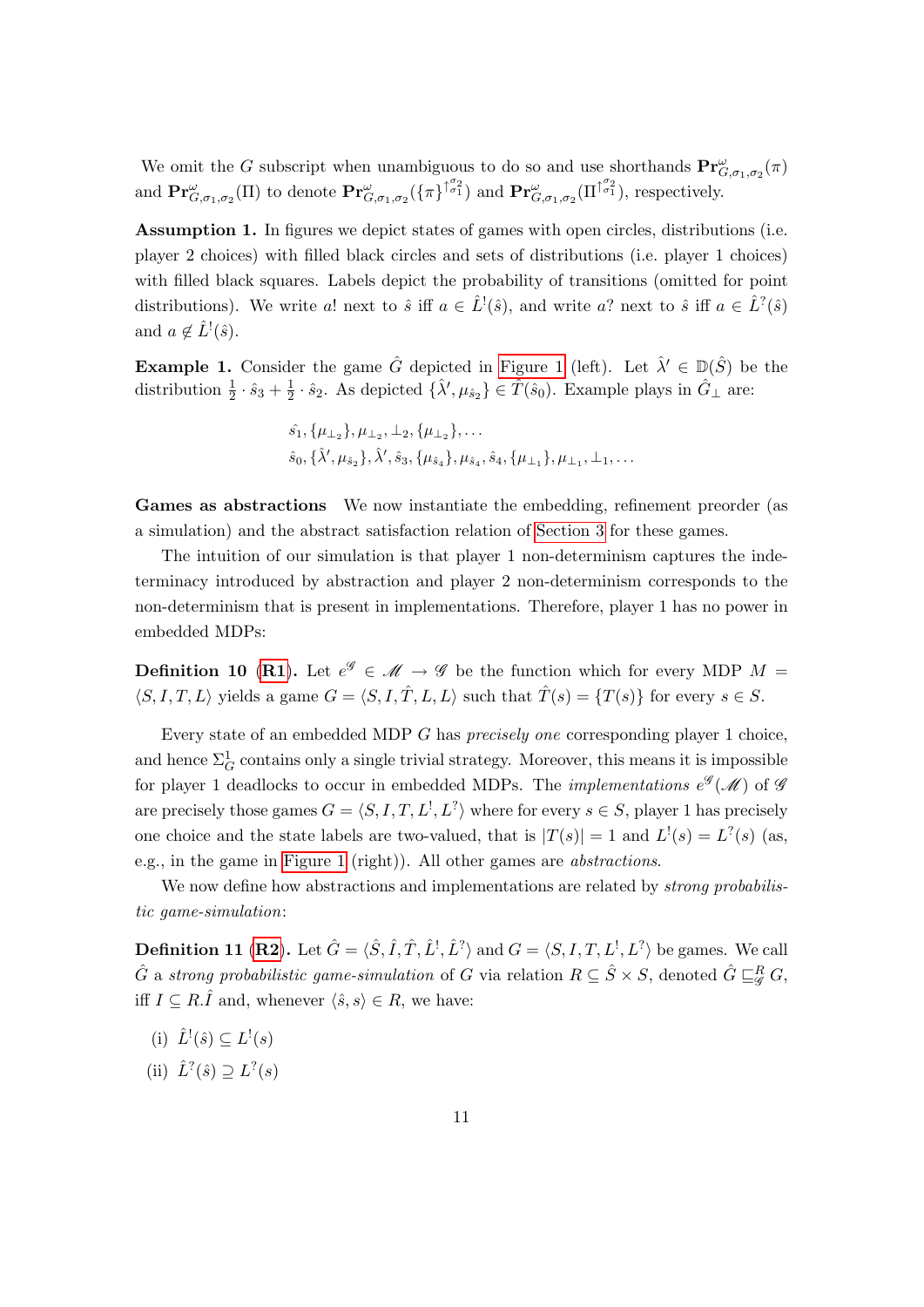We omit the G subscript when unambiguous to do so and use shorthands  $Pr_{G,\sigma_1,\sigma_2}^{\omega}(\pi)$ and  $\mathbf{Pr}_{G,\sigma_1,\sigma_2}^{\omega}(\Pi)$  to denote  $\mathbf{Pr}_{G,\sigma_1,\sigma_2}^{\omega}(\{\pi\}^{\uparrow_{\sigma_1}^{\sigma_2}})$  and  $\mathbf{Pr}_{G,\sigma_1,\sigma_2}^{\omega}(\Pi^{\uparrow_{\sigma_1}^{\sigma_2}})$ , respectively.

Assumption 1. In figures we depict states of games with open circles, distributions (i.e. player 2 choices) with filled black circles and sets of distributions (i.e. player 1 choices) with filled black squares. Labels depict the probability of transitions (omitted for point distributions). We write a! next to  $\hat{s}$  iff  $a \in \hat{L}^{\{1\}}(\hat{s})$ , and write a? next to  $\hat{s}$  iff  $a \in \hat{L}^{\{2\}}(\hat{s})$ and  $a \notin \hat{L}^{\dagger}(\hat{s})$ .

**Example 1.** Consider the game  $\hat{G}$  depicted in [Figure 1](#page-10-0) (left). Let  $\hat{\lambda}' \in \mathbb{D}(\hat{S})$  be the distribution  $\frac{1}{2} \cdot \hat{s}_3 + \frac{1}{2}$  $\frac{1}{2} \cdot \hat{s}_2$ . As depicted  $\{\hat{\lambda}', \mu_{\hat{s}_2}\} \in \hat{T}(\hat{s}_0)$ . Example plays in  $\hat{G}_{\perp}$  are:

> $\hat{s_1}, \{\mu_{\perp_2}\}, \mu_{\perp_2}, \perp_2, \{\mu_{\perp_2}\}, \ldots$  $\hat{s}_0, \{\hat{\lambda}', \mu_{\hat{s}_2}\}, \hat{\lambda}', \hat{s}_3, \{\mu_{\hat{s}_4}\}, \mu_{\hat{s}_4}, \hat{s}_4, \{\mu_{\perp_1}\}, \mu_{\perp_1}, \perp_1, \ldots$

<span id="page-11-0"></span>Games as abstractions We now instantiate the embedding, refinement preorder (as a simulation) and the abstract satisfaction relation of [Section 3](#page-6-0) for these games.

The intuition of our simulation is that player 1 non-determinism captures the indeterminacy introduced by abstraction and player 2 non-determinism corresponds to the non-determinism that is present in implementations. Therefore, player 1 has no power in embedded MDPs:

<span id="page-11-1"></span>**Definition 10 ([R1](#page-7-0)).** Let  $e^{\mathscr{G}} \in \mathscr{M} \to \mathscr{G}$  be the function which for every MDP  $M =$  $\langle S, I, T, L \rangle$  yields a game  $G = \langle S, I, \hat{T}, L, L \rangle$  such that  $\hat{T}(s) = \{T(s)\}$  for every  $s \in S$ .

Every state of an embedded MDP G has precisely one corresponding player 1 choice, and hence  $\Sigma^1_G$  contains only a single trivial strategy. Moreover, this means it is impossible for player 1 deadlocks to occur in embedded MDPs. The *implementations*  $e^{\mathscr{G}}(\mathscr{M})$  of  $\mathscr{G}$ are precisely those games  $G = \langle S, I, T, L^1, L^2 \rangle$  where for every  $s \in S$ , player 1 has precisely one choice and the state labels are two-valued, that is  $|T(s)| = 1$  and  $L^1(s) = L^2(s)$  (as, e.g., in the game in [Figure 1](#page-10-0) (right)). All other games are abstractions.

We now define how abstractions and implementations are related by *strong probabilis*tic game-simulation:

<span id="page-11-2"></span>**Definition 11 ([R2](#page-7-2)).** Let  $\hat{G} = \langle \hat{S}, \hat{I}, \hat{T}, \hat{L}^{\dagger}, \hat{L}^{\dagger} \rangle$  and  $G = \langle S, I, T, L^{\dagger}, L^{\dagger} \rangle$  be games. We call  $\hat{G}$  a strong probabilistic game-simulation of  $G$  via relation  $R \subseteq \hat{S} \times S$ , denoted  $\hat{G} \sqsubseteq^R_\mathscr{G} G$ , iff  $I \subseteq R.\hat{I}$  and, whenever  $\langle \hat{s}, s \rangle \in R$ , we have:

- <span id="page-11-3"></span>(i)  $\hat{L}^!(\hat{s}) \subseteq L^!(s)$
- <span id="page-11-4"></span>(ii)  $\hat{L}^?(\hat{s}) \supseteq L^?(s)$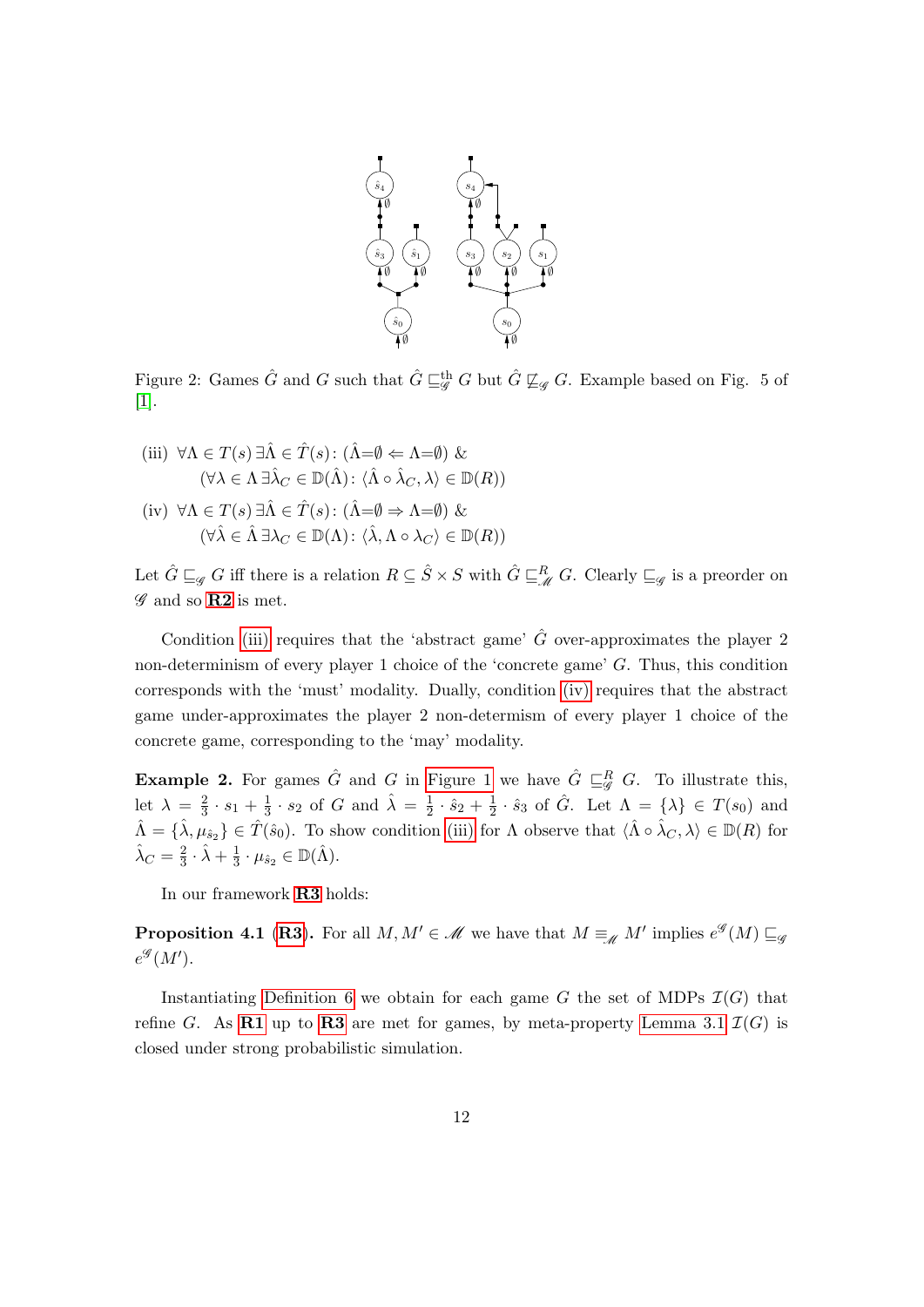

<span id="page-12-2"></span>Figure 2: Games  $\hat{G}$  and G such that  $\hat{G} \sqsubseteqg^{\text{th}} G$  but  $\hat{G} \not\sqsubseteq_g G$ . Example based on Fig. 5 of [\[1\]](#page-17-1).

<span id="page-12-1"></span><span id="page-12-0"></span>(iii)  $\forall \Lambda \in T(s) \exists \hat{\Lambda} \in \hat{T}(s) : (\hat{\Lambda} = \emptyset \Leftarrow \Lambda = \emptyset) \&$  $(\forall \lambda \in \Lambda \exists \hat{\lambda}_C \in \mathbb{D}(\hat{\Lambda}) : \langle \hat{\Lambda} \circ \hat{\lambda}_C, \lambda \rangle \in \mathbb{D}(R))$ (iv)  $\forall \Lambda \in T(s) \exists \hat{\Lambda} \in \hat{T}(s) : (\hat{\Lambda} = \emptyset \Rightarrow \Lambda = \emptyset) \&$  $(\forall \hat{\lambda} \in \hat{\Lambda} \exists \lambda_C \in \mathbb{D}(\Lambda): \langle \hat{\lambda}, \Lambda \circ \lambda_C \rangle \in \mathbb{D}(R))$ 

Let  $\hat{G} \sqsubseteq_{\mathscr{G}} G$  iff there is a relation  $R \subseteq \hat{S} \times S$  with  $\hat{G} \sqsubseteq_{\mathscr{M}}^R G$ . Clearly  $\sqsubseteq_{\mathscr{G}}$  is a preorder on  $\mathscr G$  and so  $\mathbf{R2}$  $\mathbf{R2}$  $\mathbf{R2}$  is met.

Condition [\(iii\)](#page-12-0) requires that the 'abstract game'  $\hat{G}$  over-approximates the player 2 non-determinism of every player 1 choice of the 'concrete game' G. Thus, this condition corresponds with the 'must' modality. Dually, condition [\(iv\)](#page-12-1) requires that the abstract game under-approximates the player 2 non-determism of every player 1 choice of the concrete game, corresponding to the 'may' modality.

**Example 2.** For games  $\hat{G}$  and G in [Figure 1](#page-10-0) we have  $\hat{G} \sqsubseteq g^R G$ . To illustrate this, let  $\lambda = \frac{2}{3}$  $\frac{2}{3} \cdot s_1 + \frac{1}{3}$  $\frac{1}{3} \cdot s_2$  of G and  $\hat{\lambda} = \frac{1}{2}$  $\frac{1}{2} \cdot \hat{s}_2 + \frac{1}{2}$  $\frac{1}{2} \cdot \hat{s}_3$  of  $\hat{G}$ . Let  $\Lambda = {\lambda} \in T(s_0)$  and  $\hat{\Lambda} = {\{\hat{\lambda}, \mu_{\hat{s}_2}\}} \in \hat{T}(\hat{s}_0)$ . To show condition [\(iii\)](#page-12-0) for  $\Lambda$  observe that  $\langle \hat{\Lambda} \circ \hat{\lambda}_C, \lambda \rangle \in \mathbb{D}(R)$  for  $\hat{\lambda}_C = \frac{2}{3}$  $rac{2}{3} \cdot \hat{\lambda} + \frac{1}{3}$  $\frac{1}{3} \cdot \mu_{\hat{s}_2} \in \mathbb{D}(\hat{\Lambda}).$ 

In our framework [R3](#page-7-1) holds:

<span id="page-12-3"></span>**Proposition 4.1 ([R3](#page-7-1)).** For all  $M, M' \in \mathcal{M}$  we have that  $M \equiv_{\mathcal{M}} M'$  implies  $e^{\mathcal{G}}(M) \sqsubseteq_{\mathcal{G}}$  $e^{\mathscr{G}}(M').$ 

Instantiating [Definition 6](#page-7-3) we obtain for each game G the set of MDPs  $\mathcal{I}(G)$  that refine G. As [R1](#page-7-0) up to [R3](#page-7-1) are met for games, by meta-property [Lemma 3.1](#page-7-4)  $\mathcal{I}(G)$  is closed under strong probabilistic simulation.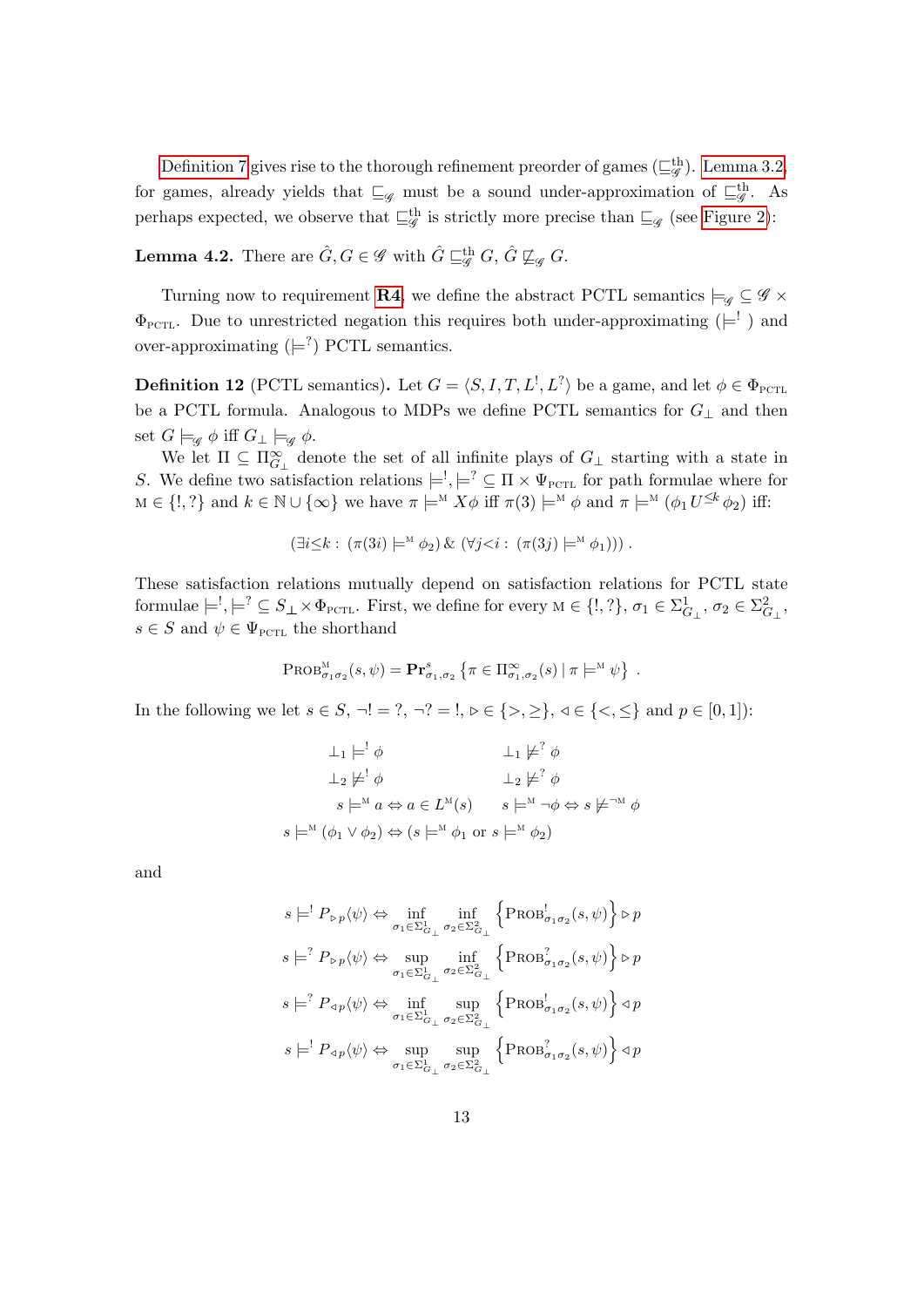[Definition 7](#page-7-5) gives rise to the thorough refinement preorder of games  $(\sqsubseteq_g^{\text{th}})$ . [Lemma 3.2,](#page-7-6) for games, already yields that  $\sqsubseteq_{\mathscr{G}}$  must be a sound under-approximation of  $\sqsubseteq_{\mathscr{G}}^{\text{th}}$ . As perhaps expected, we observe that  $\sqsubseteq^{\text{th}}_{\mathscr{G}}$  is strictly more precise than  $\sqsubseteq_{\mathscr{G}}$  (see [Figure 2\)](#page-12-2):

<span id="page-13-0"></span>**Lemma 4.2.** There are  $\hat{G}, G \in \mathscr{G}$  with  $\hat{G} \sqsubseteqg^{\text{th}} G$ ,  $\hat{G} \not\sqsubseteq_g G$ .

Turning now to requirement [R4](#page-8-0), we define the abstract PCTL semantics  $\models_{\mathscr{G}} \subseteq \mathscr{G} \times$  $\Phi_{\text{PCTL}}$ . Due to unrestricted negation this requires both under-approximating ( $\models'$ ) and over-approximating  $( \models^? )$  PCTL semantics.

<span id="page-13-1"></span>**Definition 12** (PCTL semantics). Let  $G = \langle S, I, T, L^1, L^2 \rangle$  be a game, and let  $\phi \in \Phi_{\text{PCTL}}$ be a PCTL formula. Analogous to MDPs we define PCTL semantics for  $G_{\perp}$  and then set  $G \models_{\mathscr{G}} \phi$  iff  $G_{\perp} \models_{\mathscr{G}} \phi$ .

We let  $\Pi \subseteq \Pi_{G_\perp}^{\infty}$  denote the set of all infinite plays of  $G_\perp$  starting with a state in S. We define two satisfaction relations  $\models' , \models' \subseteq \Pi \times \Psi_{\text{PCTL}}$  for path formulae where for  $M \in \{!,\}$  and  $k \in \mathbb{N} \cup \{\infty\}$  we have  $\pi \models^M X \phi$  iff  $\pi(3) \models^M \phi$  and  $\pi \models^M (\phi_1 U^{\leq k} \phi_2)$  iff:

$$
(\exists i \leq k : (\pi(3i) \models^{\mathcal{M}} \phi_2) \& (\forall j < i : (\pi(3j) \models^{\mathcal{M}} \phi_1)))
$$

These satisfaction relations mutually depend on satisfaction relations for PCTL state formulae  $\models^!, \models^? \subseteq S_\perp \times \Phi_{\text{PCTL}}$ . First, we define for every  $M \in \{!, ?\}, \sigma_1 \in \Sigma^1_{G_\perp}, \sigma_2 \in \Sigma^2_{G_\perp},$  $s \in S$  and  $\psi \in \Psi_{\text{PCTL}}$  the shorthand

$$
\operatorname{PROB}_{\sigma_1\sigma_2}^M(s,\psi) = \mathbf{Pr}_{\sigma_1,\sigma_2}^s \left\{ \pi \in \Pi_{\sigma_1,\sigma_2}^{\infty}(s) \mid \pi \models^M \psi \right\}.
$$

In the following we let  $s \in S$ ,  $\neg ! = ?$ ,  $\neg ? = !$ ,  $\triangleright \in \{>, \geq\}$ ,  $\triangleleft \in \{<, \leq\}$  and  $p \in [0, 1]$ :

$$
\perp_1 \models^! \phi \qquad \perp_1 \not\models^? \phi
$$
  

$$
\perp_2 \not\models^! \phi \qquad \perp_2 \not\models^? \phi
$$
  

$$
s \models^{\mathcal{M}} a \Leftrightarrow a \in L^{\mathcal{M}}(s) \qquad s \models^{\mathcal{M}} \neg \phi \Leftrightarrow s \not\models^{\neg \mathcal{M}} \phi
$$
  

$$
s \models^{\mathcal{M}} (\phi_1 \lor \phi_2) \Leftrightarrow (s \models^{\mathcal{M}} \phi_1 \text{ or } s \models^{\mathcal{M}} \phi_2)
$$

and

$$
\begin{split} &s\models^!P_{\triangleright p}\langle\psi\rangle \Leftrightarrow \inf_{\sigma_1\in \Sigma^1_{G_\bot}}\inf_{\sigma_2\in \Sigma^2_{G_\bot}}\left\{\text{PROB}_{\sigma_1\sigma_2}^!(s,\psi)\right\}\rhd p\\ &s\models^?P_{\triangleright p}\langle\psi\rangle \Leftrightarrow \sup_{\sigma_1\in \Sigma^1_{G_\bot}}\inf_{\sigma_2\in \Sigma^2_{G_\bot}}\left\{\text{PROB}_{\sigma_1\sigma_2}^?(s,\psi)\right\}\rhd p\\ &s\models^?P_{\triangleleft p}\langle\psi\rangle \Leftrightarrow \inf_{\sigma_1\in \Sigma^1_{G_\bot}}\sup_{\sigma_2\in \Sigma^2_{G_\bot}}\left\{\text{PROB}_{\sigma_1\sigma_2}^!(s,\psi)\right\}\lhd p\\ &s\models^!P_{\triangleleft p}\langle\psi\rangle \Leftrightarrow \sup_{\sigma_1\in \Sigma^1_{G_\bot}}\sup_{\sigma_2\in \Sigma^2_{G_\bot}}\left\{\text{PROB}_{\sigma_1\sigma_2}^?(s,\psi)\right\}\lhd p \end{split}
$$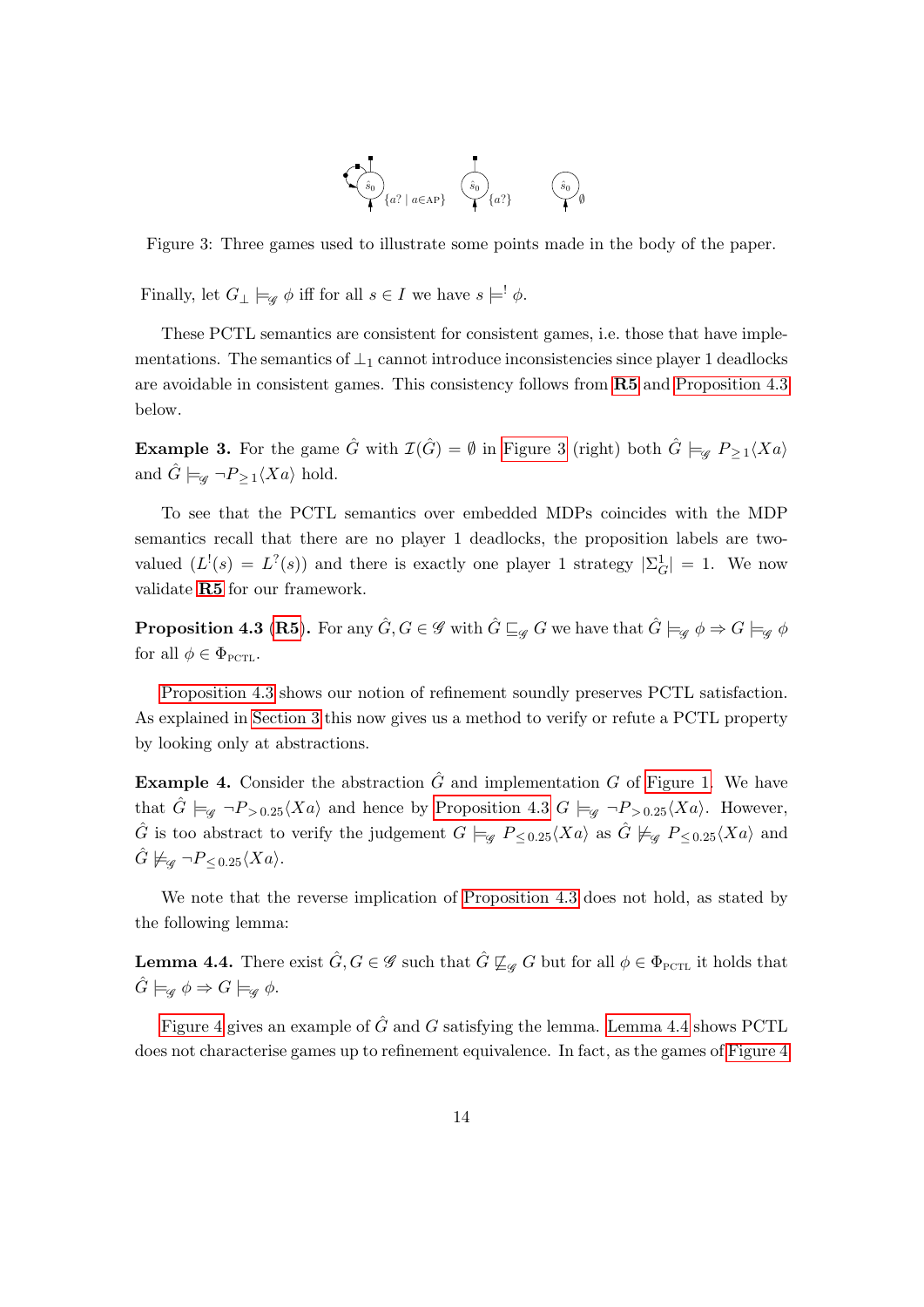

<span id="page-14-1"></span>Figure 3: Three games used to illustrate some points made in the body of the paper.

Finally, let  $G_{\perp} \models_{\mathscr{G}} \phi$  iff for all  $s \in I$  we have  $s \models' \phi$ .

These PCTL semantics are consistent for consistent games, i.e. those that have implementations. The semantics of  $\perp_1$  cannot introduce inconsistencies since player 1 deadlocks are avoidable in consistent games. This consistency follows from [R5](#page-8-1) and [Proposition 4.3](#page-14-0) below.

**Example 3.** For the game  $\hat{G}$  with  $\mathcal{I}(\hat{G}) = \emptyset$  in [Figure 3](#page-14-1) (right) both  $\hat{G} \models_{\mathscr{G}} P_{\geq 1} \langle Xa \rangle$ and  $\hat{G} \models_{\mathscr{G}} \neg P_{\geq 1} \langle Xa \rangle$  hold.

To see that the PCTL semantics over embedded MDPs coincides with the MDP semantics recall that there are no player 1 deadlocks, the proposition labels are twovalued  $(L^!(s) = L^?(\mathfrak{s}))$  and there is exactly one player 1 strategy  $|\Sigma_G^1| = 1$ . We now validate [R5](#page-8-1) for our framework.

<span id="page-14-0"></span>**Proposition 4.3 ([R5](#page-8-1)).** For any  $\hat{G}$ ,  $G \in \mathscr{G}$  with  $\hat{G} \sqsubseteq_{\mathscr{G}} G$  we have that  $\hat{G} \models_{\mathscr{G}} \phi \Rightarrow G \models_{\mathscr{G}} \phi$ for all  $\phi \in \Phi_{\text{PCTL}}$ .

[Proposition 4.3](#page-14-0) shows our notion of refinement soundly preserves PCTL satisfaction. As explained in [Section 3](#page-6-0) this now gives us a method to verify or refute a PCTL property by looking only at abstractions.

**Example 4.** Consider the abstraction  $\hat{G}$  and implementation G of [Figure 1.](#page-10-0) We have that  $\hat{G} \models_{\mathscr{G}} \neg P_{>0.25}\langle Xa \rangle$  and hence by [Proposition 4.3](#page-14-0)  $G \models_{\mathscr{G}} \neg P_{>0.25}\langle Xa \rangle$ . However,  $\hat{G}$  is too abstract to verify the judgement  $G \models_{\mathscr{G}} P_{\leq 0.25} \langle Xa \rangle$  as  $\hat{G} \not\models_{\mathscr{G}} P_{\leq 0.25} \langle Xa \rangle$  and  $\ddot{G} \not\models_{\mathscr{G}} \neg P_{\leq 0.25} \langle Xa \rangle.$ 

We note that the reverse implication of [Proposition 4.3](#page-14-0) does not hold, as stated by the following lemma:

<span id="page-14-2"></span>**Lemma 4.4.** There exist  $\hat{G}, G \in \mathscr{G}$  such that  $\hat{G} \not\sqsubseteq_{\mathscr{G}} G$  but for all  $\phi \in \Phi_{\text{PCTL}}$  it holds that  $\hat{G} \models_{\mathscr{G}} \phi \Rightarrow G \models_{\mathscr{G}} \phi.$ 

[Figure 4](#page-15-0) gives an example of  $\hat{G}$  and G satisfying the lemma. [Lemma 4.4](#page-14-2) shows PCTL does not characterise games up to refinement equivalence. In fact, as the games of [Figure 4](#page-15-0)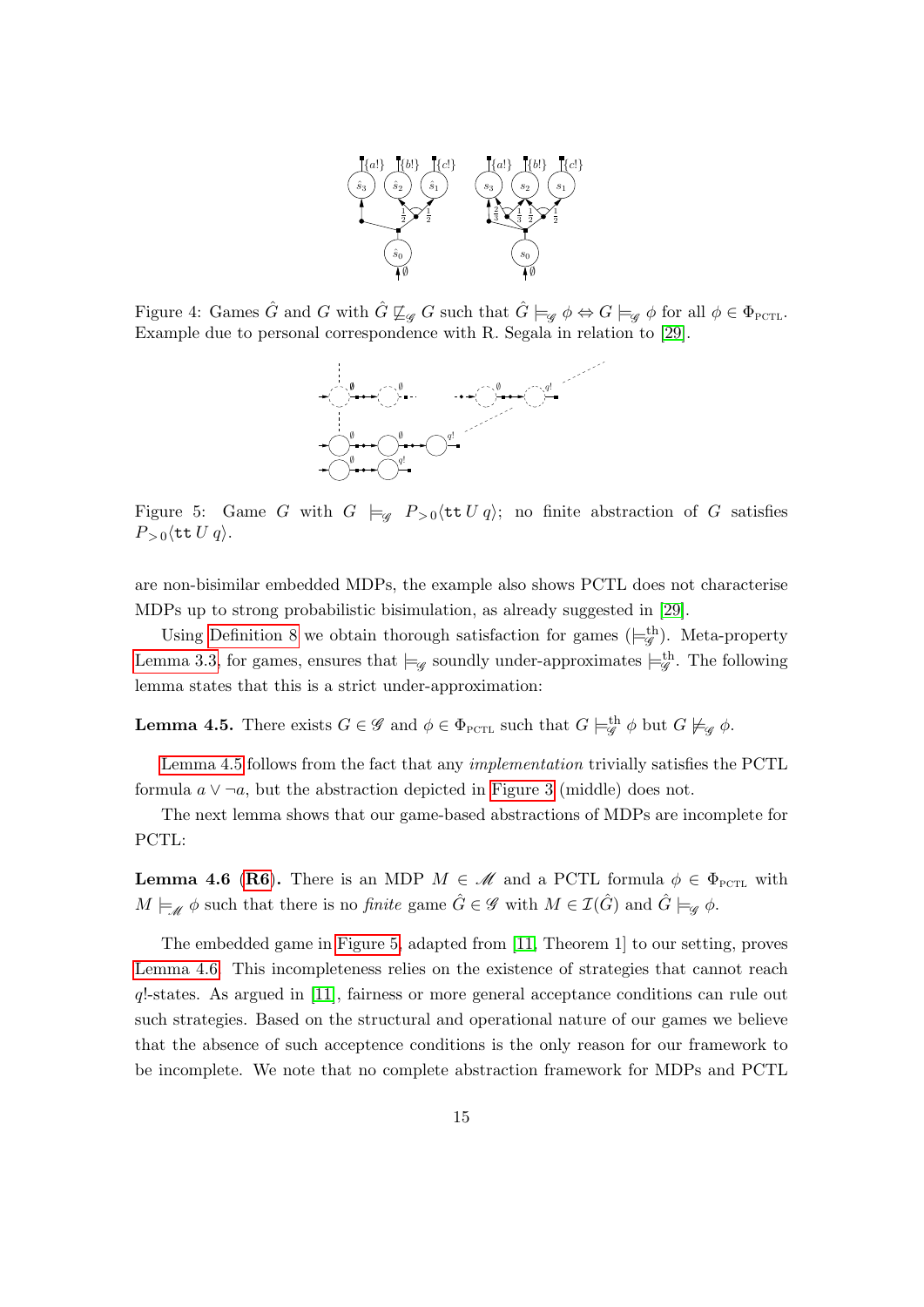

<span id="page-15-0"></span>Figure 4: Games  $\hat{G}$  and G with  $\hat{G} \not\sqsubseteq_{\mathscr{G}} G$  such that  $\hat{G} \models_{\mathscr{G}} \phi \Leftrightarrow G \models_{\mathscr{G}} \phi$  for all  $\phi \in \Phi_{\text{PCTL}}$ . Example due to personal correspondence with R. Segala in relation to [\[29\]](#page-19-5).



<span id="page-15-2"></span>Figure 5: Game G with  $G \models_{\mathscr{G}} P_{>0} \langle \texttt{tt } U q \rangle$ ; no finite abstraction of G satisfies  $P_{>0}\langle$ tt  $U q\rangle$ .

are non-bisimilar embedded MDPs, the example also shows PCTL does not characterise MDPs up to strong probabilistic bisimulation, as already suggested in [\[29\]](#page-19-5).

Using [Definition 8](#page-8-2) we obtain thorough satisfaction for games  $(\models_g^{\text{th}})$ . Meta-property [Lemma 3.3,](#page-8-3) for games, ensures that  $\models_{\mathscr{G}}$  soundly under-approximates  $\models_{\mathscr{G}}^{\text{th}}$ . The following lemma states that this is a strict under-approximation:

<span id="page-15-1"></span>**Lemma 4.5.** There exists  $G \in \mathscr{G}$  and  $\phi \in \Phi_{\text{PCTL}}$  such that  $G \models_{\mathscr{G}}^{\text{th}} \phi$  but  $G \not\models_{\mathscr{G}} \phi$ .

[Lemma 4.5](#page-15-1) follows from the fact that any implementation trivially satisfies the PCTL formula  $a \vee \neg a$ , but the abstraction depicted in [Figure 3](#page-14-1) (middle) does not.

The next lemma shows that our game-based abstractions of MDPs are incomplete for PCTL:

<span id="page-15-3"></span>**Lemma 4.6 ([R6](#page-9-0)).** There is an MDP  $M \in \mathcal{M}$  and a PCTL formula  $\phi \in \Phi_{\text{PCTL}}$  with  $M \models_{\mathscr{M}} \phi$  such that there is no *finite* game  $\hat{G} \in \mathscr{G}$  with  $M \in \mathcal{I}(\hat{G})$  and  $\hat{G} \models_{\mathscr{G}} \phi$ .

The embedded game in [Figure 5,](#page-15-2) adapted from [\[11,](#page-18-14) Theorem 1] to our setting, proves [Lemma 4.6.](#page-15-3) This incompleteness relies on the existence of strategies that cannot reach q!-states. As argued in [\[11\]](#page-18-14), fairness or more general acceptance conditions can rule out such strategies. Based on the structural and operational nature of our games we believe that the absence of such acceptence conditions is the only reason for our framework to be incomplete. We note that no complete abstraction framework for MDPs and PCTL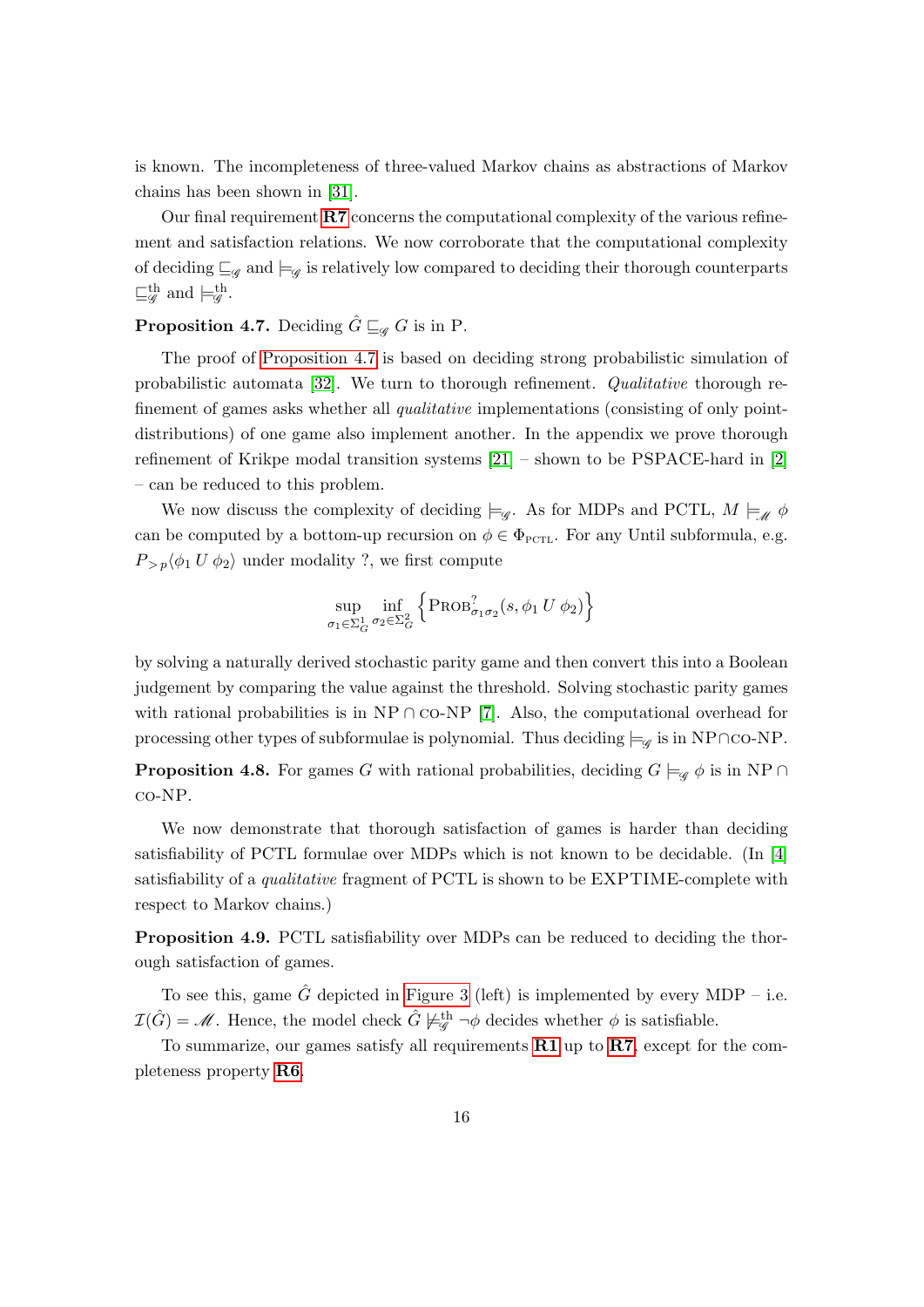is known. The incompleteness of three-valued Markov chains as abstractions of Markov chains has been shown in [\[31\]](#page-19-6).

Our final requirement  $\mathbb{R}7$  concerns the computational complexity of the various refinement and satisfaction relations. We now corroborate that the computational complexity of deciding  $\sqsubseteq_{\mathscr{G}}$  and  $\models_{\mathscr{G}}$  is relatively low compared to deciding their thorough counterparts  $\sqsubseteq^{\text{th}}_{\mathscr{G}}$  and  $\models^{\text{th}}_{\mathscr{G}}$ .

# <span id="page-16-0"></span>**Proposition 4.7.** Deciding  $\hat{G} \sqsubseteq_{\mathscr{G}} G$  is in P.

The proof of [Proposition 4.7](#page-16-0) is based on deciding strong probabilistic simulation of probabilistic automata [\[32\]](#page-19-7). We turn to thorough refinement. Qualitative thorough refinement of games asks whether all *qualitative* implementations (consisting of only pointdistributions) of one game also implement another. In the appendix we prove thorough refinement of Krikpe modal transition systems [\[21\]](#page-18-16) – shown to be PSPACE-hard in [\[2\]](#page-17-2) – can be reduced to this problem.

We now discuss the complexity of deciding  $\models_{\mathscr{G}}$ . As for MDPs and PCTL,  $M \models_{\mathscr{M}} \phi$ can be computed by a bottom-up recursion on  $\phi \in \Phi_{\text{PCTL}}$ . For any Until subformula, e.g.  $P_{\geq p}\langle \phi_1 U \phi_2 \rangle$  under modality ?, we first compute

$$
\sup_{\sigma_1 \in \Sigma_G^1} \inf_{\sigma_2 \in \Sigma_G^2} \left\{ \text{PROB}_{\sigma_1 \sigma_2}^?(s, \phi_1 U \phi_2) \right\}
$$

by solving a naturally derived stochastic parity game and then convert this into a Boolean judgement by comparing the value against the threshold. Solving stochastic parity games with rational probabilities is in NP ∩ co-NP [\[7\]](#page-18-17). Also, the computational overhead for processing other types of subformulae is polynomial. Thus deciding  $\models_{\mathscr{G}}$  is in NP∩co-NP.

**Proposition 4.8.** For games G with rational probabilities, deciding  $G \models_{\mathscr{G}} \phi$  is in NP ∩ co-NP.

We now demonstrate that thorough satisfaction of games is harder than deciding satisfiability of PCTL formulae over MDPs which is not known to be decidable. (In [\[4\]](#page-17-3) satisfiability of a qualitative fragment of PCTL is shown to be EXPTIME-complete with respect to Markov chains.)

<span id="page-16-1"></span>Proposition 4.9. PCTL satisfiability over MDPs can be reduced to deciding the thorough satisfaction of games.

To see this, game  $\hat{G}$  depicted in [Figure 3](#page-14-1) (left) is implemented by every MDP – i.e.  $\mathcal{I}(\hat{G}) = \mathcal{M}$ . Hence, the model check  $\hat{G} \not\models^{\text{th}}_{\mathscr{G}} \neg \phi$  decides whether  $\phi$  is satisfiable.

To summarize, our games satisfy all requirements  $R1$  up to  $R7$ , except for the completeness property [R6](#page-9-0).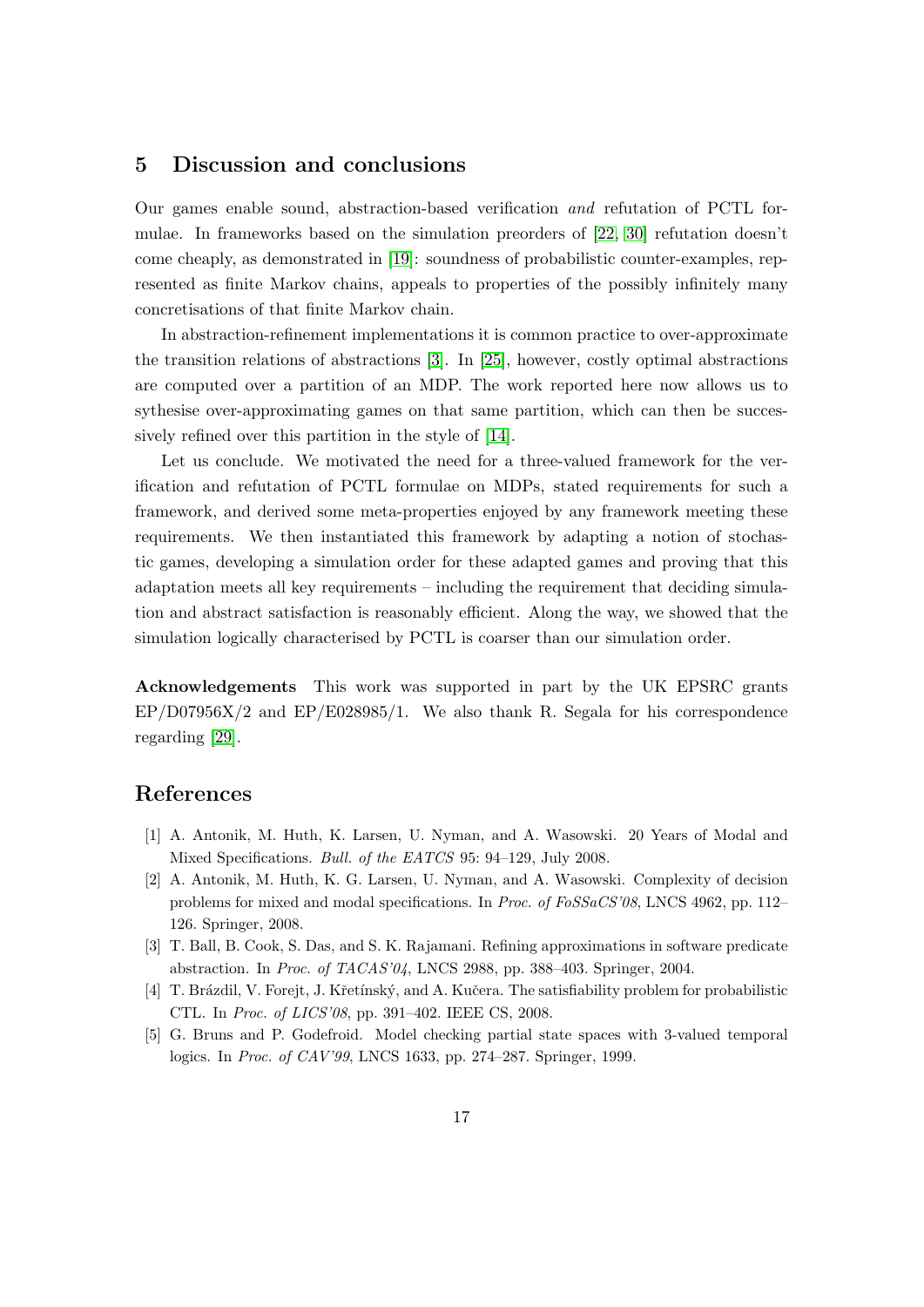# 5 Discussion and conclusions

Our games enable sound, abstraction-based verification and refutation of PCTL formulae. In frameworks based on the simulation preorders of [\[22,](#page-18-7) [30\]](#page-19-2) refutation doesn't come cheaply, as demonstrated in [\[19\]](#page-18-6): soundness of probabilistic counter-examples, represented as finite Markov chains, appeals to properties of the possibly infinitely many concretisations of that finite Markov chain.

In abstraction-refinement implementations it is common practice to over-approximate the transition relations of abstractions [\[3\]](#page-17-4). In [\[25\]](#page-19-0), however, costly optimal abstractions are computed over a partition of an MDP. The work reported here now allows us to sythesise over-approximating games on that same partition, which can then be successively refined over this partition in the style of [\[14\]](#page-18-18).

Let us conclude. We motivated the need for a three-valued framework for the verification and refutation of PCTL formulae on MDPs, stated requirements for such a framework, and derived some meta-properties enjoyed by any framework meeting these requirements. We then instantiated this framework by adapting a notion of stochastic games, developing a simulation order for these adapted games and proving that this adaptation meets all key requirements – including the requirement that deciding simulation and abstract satisfaction is reasonably efficient. Along the way, we showed that the simulation logically characterised by PCTL is coarser than our simulation order.

Acknowledgements This work was supported in part by the UK EPSRC grants  $EP/D07956X/2$  and  $EP/E028985/1$ . We also thank R. Segala for his correspondence regarding [\[29\]](#page-19-5).

# References

- <span id="page-17-1"></span>[1] A. Antonik, M. Huth, K. Larsen, U. Nyman, and A. Wasowski. 20 Years of Modal and Mixed Specifications. Bull. of the EATCS 95: 94–129, July 2008.
- <span id="page-17-2"></span>[2] A. Antonik, M. Huth, K. G. Larsen, U. Nyman, and A. Wasowski. Complexity of decision problems for mixed and modal specifications. In Proc. of FoSSaCS'08, LNCS 4962, pp. 112– 126. Springer, 2008.
- <span id="page-17-4"></span>[3] T. Ball, B. Cook, S. Das, and S. K. Rajamani. Refining approximations in software predicate abstraction. In Proc. of TACAS'04, LNCS 2988, pp. 388–403. Springer, 2004.
- <span id="page-17-3"></span>[4] T. Brázdil, V. Forejt, J. Křetínský, and A. Kučera. The satisfiability problem for probabilistic CTL. In Proc. of LICS'08, pp. 391–402. IEEE CS, 2008.
- <span id="page-17-0"></span>[5] G. Bruns and P. Godefroid. Model checking partial state spaces with 3-valued temporal logics. In Proc. of CAV'99, LNCS 1633, pp. 274–287. Springer, 1999.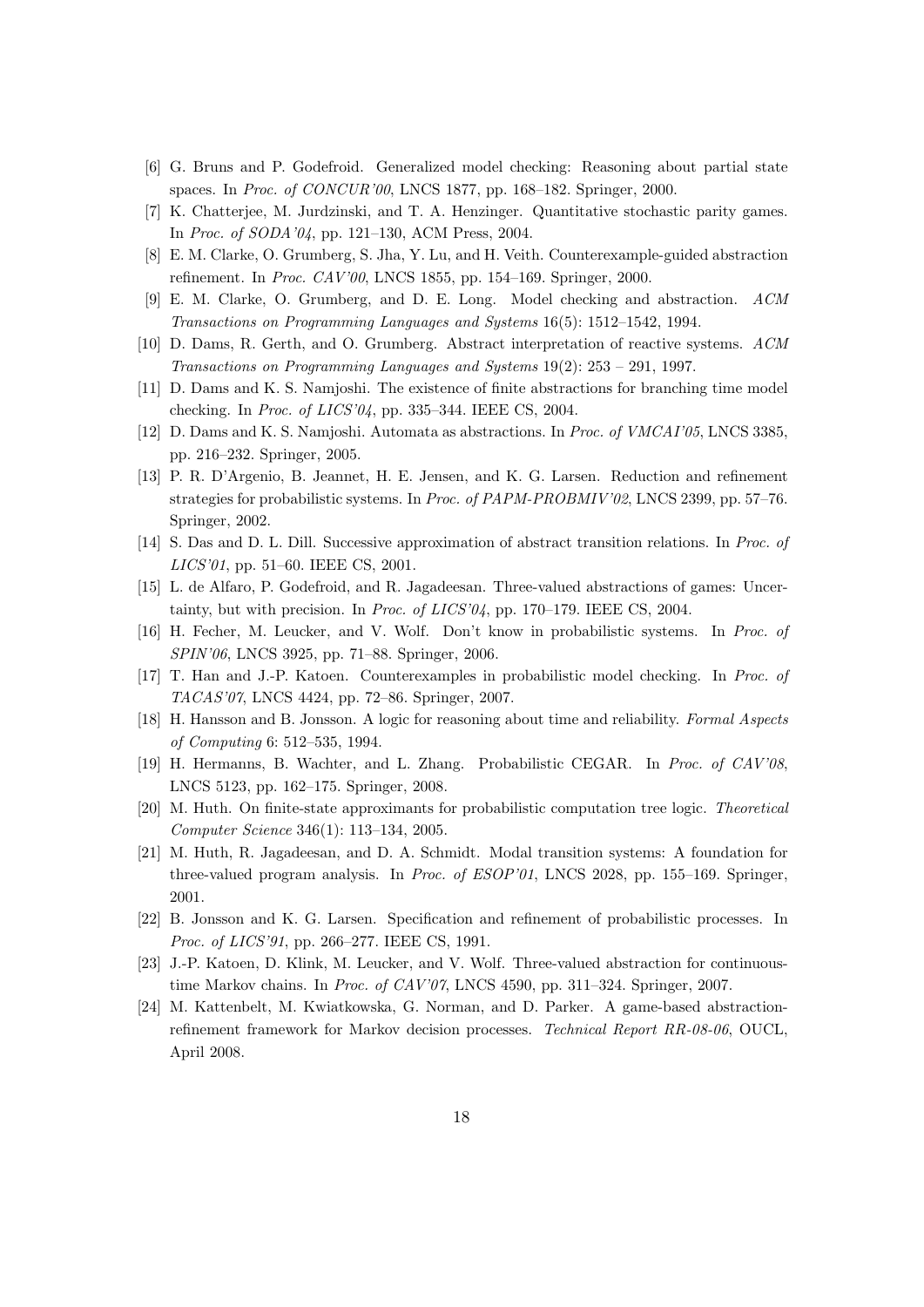- <span id="page-18-13"></span>[6] G. Bruns and P. Godefroid. Generalized model checking: Reasoning about partial state spaces. In Proc. of CONCUR'00, LNCS 1877, pp. 168–182. Springer, 2000.
- <span id="page-18-17"></span>[7] K. Chatterjee, M. Jurdzinski, and T. A. Henzinger. Quantitative stochastic parity games. In Proc. of SODA'04, pp. 121–130, ACM Press, 2004.
- <span id="page-18-2"></span>[8] E. M. Clarke, O. Grumberg, S. Jha, Y. Lu, and H. Veith. Counterexample-guided abstraction refinement. In Proc. CAV'00, LNCS 1855, pp. 154–169. Springer, 2000.
- <span id="page-18-1"></span>[9] E. M. Clarke, O. Grumberg, and D. E. Long. Model checking and abstraction. ACM Transactions on Programming Languages and Systems 16(5): 1512–1542, 1994.
- <span id="page-18-4"></span>[10] D. Dams, R. Gerth, and O. Grumberg. Abstract interpretation of reactive systems. ACM Transactions on Programming Languages and Systems 19(2): 253 – 291, 1997.
- <span id="page-18-14"></span>[11] D. Dams and K. S. Namjoshi. The existence of finite abstractions for branching time model checking. In Proc. of LICS'04, pp. 335–344. IEEE CS, 2004.
- <span id="page-18-15"></span>[12] D. Dams and K. S. Namjoshi. Automata as abstractions. In Proc. of VMCAI'05, LNCS 3385, pp. 216–232. Springer, 2005.
- <span id="page-18-5"></span>[13] P. R. D'Argenio, B. Jeannet, H. E. Jensen, and K. G. Larsen. Reduction and refinement strategies for probabilistic systems. In Proc. of PAPM-PROBMIV'02, LNCS 2399, pp. 57–76. Springer, 2002.
- <span id="page-18-18"></span>[14] S. Das and D. L. Dill. Successive approximation of abstract transition relations. In Proc. of LICS'01, pp. 51–60. IEEE CS, 2001.
- <span id="page-18-12"></span>[15] L. de Alfaro, P. Godefroid, and R. Jagadeesan. Three-valued abstractions of games: Uncertainty, but with precision. In *Proc. of LICS'04*, pp. 170–179. IEEE CS, 2004.
- <span id="page-18-9"></span>[16] H. Fecher, M. Leucker, and V. Wolf. Don't know in probabilistic systems. In Proc. of SPIN'06, LNCS 3925, pp. 71–88. Springer, 2006.
- <span id="page-18-3"></span>[17] T. Han and J.-P. Katoen. Counterexamples in probabilistic model checking. In Proc. of TACAS'07, LNCS 4424, pp. 72–86. Springer, 2007.
- <span id="page-18-0"></span>[18] H. Hansson and B. Jonsson. A logic for reasoning about time and reliability. Formal Aspects of Computing 6: 512–535, 1994.
- <span id="page-18-6"></span>[19] H. Hermanns, B. Wachter, and L. Zhang. Probabilistic CEGAR. In Proc. of CAV'08, LNCS 5123, pp. 162–175. Springer, 2008.
- <span id="page-18-8"></span>[20] M. Huth. On finite-state approximants for probabilistic computation tree logic. Theoretical Computer Science 346(1): 113–134, 2005.
- <span id="page-18-16"></span>[21] M. Huth, R. Jagadeesan, and D. A. Schmidt. Modal transition systems: A foundation for three-valued program analysis. In Proc. of ESOP'01, LNCS 2028, pp. 155–169. Springer, 2001.
- <span id="page-18-7"></span>[22] B. Jonsson and K. G. Larsen. Specification and refinement of probabilistic processes. In Proc. of LICS'91, pp. 266–277. IEEE CS, 1991.
- <span id="page-18-10"></span>[23] J.-P. Katoen, D. Klink, M. Leucker, and V. Wolf. Three-valued abstraction for continuoustime Markov chains. In Proc. of CAV'07, LNCS 4590, pp. 311–324. Springer, 2007.
- <span id="page-18-11"></span>[24] M. Kattenbelt, M. Kwiatkowska, G. Norman, and D. Parker. A game-based abstractionrefinement framework for Markov decision processes. Technical Report RR-08-06, OUCL, April 2008.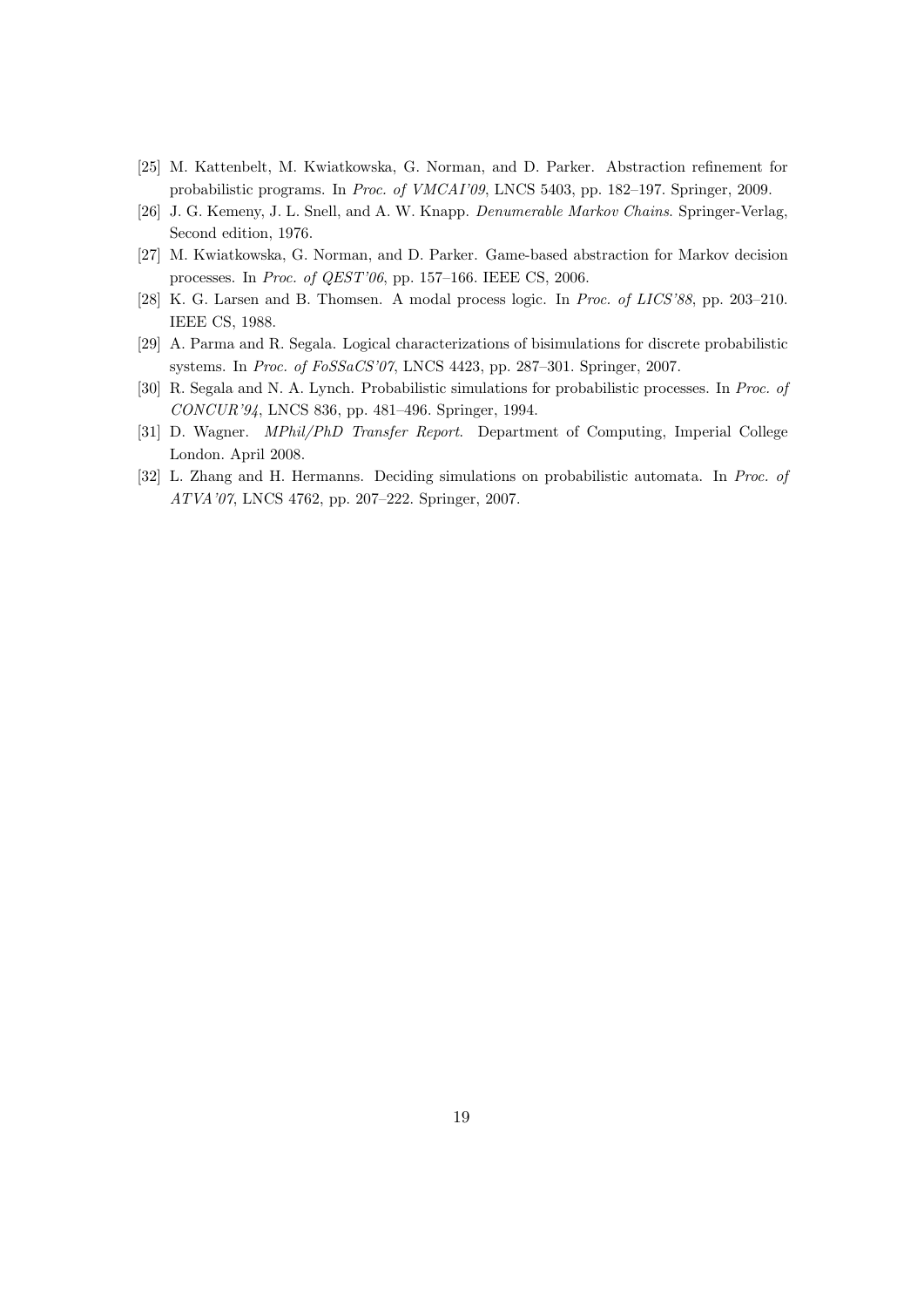- <span id="page-19-0"></span>[25] M. Kattenbelt, M. Kwiatkowska, G. Norman, and D. Parker. Abstraction refinement for probabilistic programs. In Proc. of VMCAI'09, LNCS 5403, pp. 182–197. Springer, 2009.
- <span id="page-19-4"></span>[26] J. G. Kemeny, J. L. Snell, and A. W. Knapp. Denumerable Markov Chains. Springer-Verlag, Second edition, 1976.
- <span id="page-19-1"></span>[27] M. Kwiatkowska, G. Norman, and D. Parker. Game-based abstraction for Markov decision processes. In Proc. of QEST'06, pp. 157–166. IEEE CS, 2006.
- <span id="page-19-3"></span>[28] K. G. Larsen and B. Thomsen. A modal process logic. In Proc. of LICS'88, pp. 203–210. IEEE CS, 1988.
- <span id="page-19-5"></span>[29] A. Parma and R. Segala. Logical characterizations of bisimulations for discrete probabilistic systems. In Proc. of FoSSaCS'07, LNCS 4423, pp. 287–301. Springer, 2007.
- <span id="page-19-2"></span>[30] R. Segala and N. A. Lynch. Probabilistic simulations for probabilistic processes. In Proc. of CONCUR'94, LNCS 836, pp. 481–496. Springer, 1994.
- <span id="page-19-6"></span>[31] D. Wagner. MPhil/PhD Transfer Report. Department of Computing, Imperial College London. April 2008.
- <span id="page-19-7"></span>[32] L. Zhang and H. Hermanns. Deciding simulations on probabilistic automata. In Proc. of ATVA'07, LNCS 4762, pp. 207–222. Springer, 2007.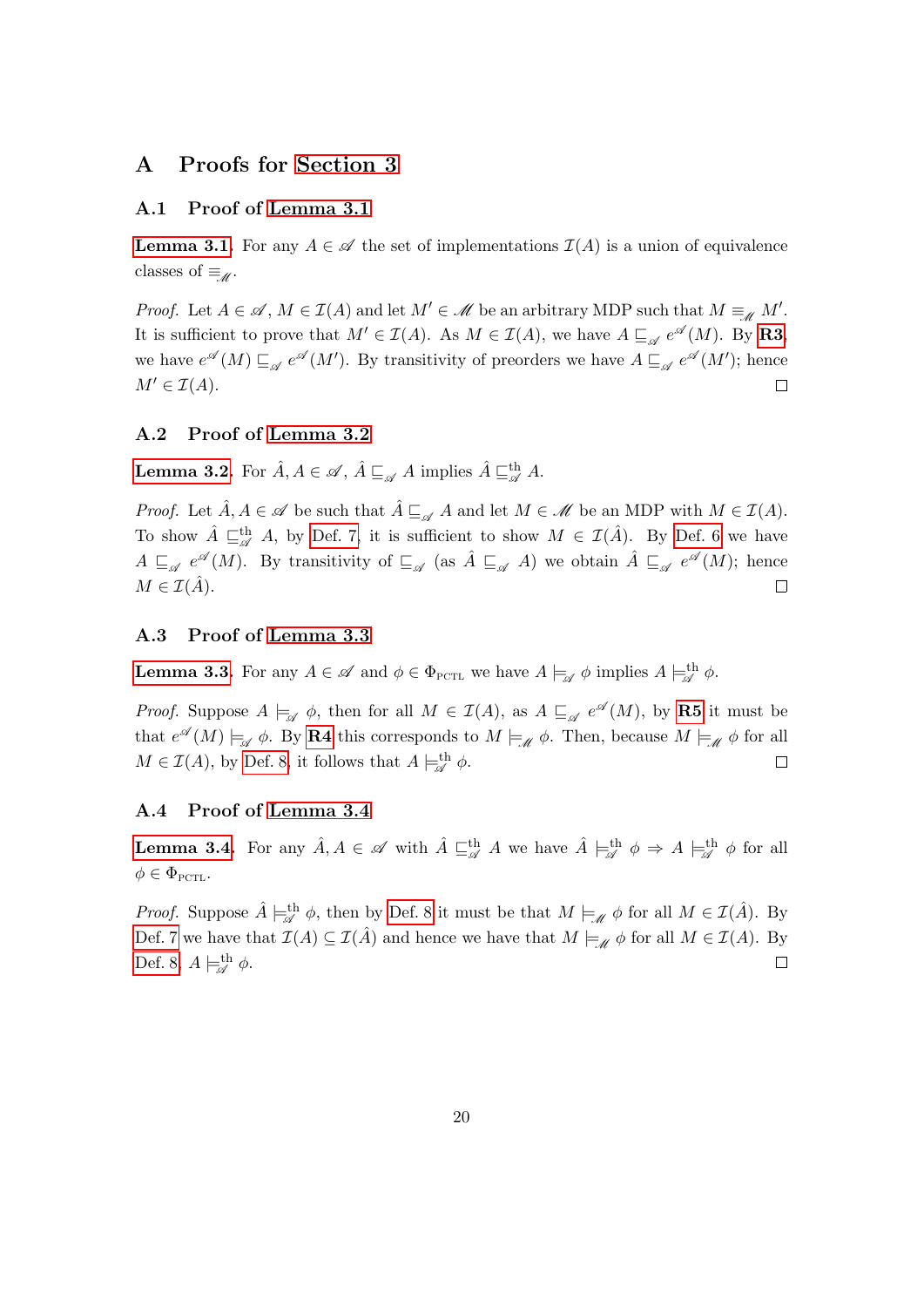# A Proofs for [Section 3](#page-6-0)

#### A.1 Proof of [Lemma 3.1](#page-7-4)

**[Lemma 3.1.](#page-7-4)** For any  $A \in \mathcal{A}$  the set of implementations  $\mathcal{I}(A)$  is a union of equivalence classes of  $\equiv_{\mathscr{M}}$ .

*Proof.* Let  $A \in \mathcal{A}$ ,  $M \in \mathcal{I}(A)$  and let  $M' \in \mathcal{M}$  be an arbitrary MDP such that  $M \equiv_M M'$ . It is sufficient to prove that  $M' \in \mathcal{I}(A)$ . As  $M \in \mathcal{I}(A)$ , we have  $A \sqsubseteq_{\mathscr{A}} e^{\mathscr{A}}(M)$ . By **[R3](#page-7-1)**, we have  $e^{\mathscr{A}}(M) \sqsubseteq_{\mathscr{A}} e^{\mathscr{A}}(M')$ . By transitivity of preorders we have  $A \sqsubseteq_{\mathscr{A}} e^{\mathscr{A}}(M')$ ; hence  $M' \in \mathcal{I}(A)$ .  $\Box$ 

### A.2 Proof of [Lemma 3.2](#page-7-6)

**[Lemma 3.2.](#page-7-6)** For  $\hat{A}, A \in \mathscr{A}, \hat{A} \sqsubseteq_{\mathscr{A}} A$  implies  $\hat{A} \sqsubseteq_{\mathscr{A}}^{\text{th}} A$ .

*Proof.* Let  $\hat{A}, A \in \mathscr{A}$  be such that  $\hat{A} \sqsubseteq_{\mathscr{A}} A$  and let  $M \in \mathscr{M}$  be an MDP with  $M \in \mathcal{I}(A)$ . To show  $\hat{A} \sqsubseteq_{\mathscr{A}}^{\text{th}} A$ , by [Def. 7,](#page-7-5) it is sufficient to show  $M \in \mathcal{I}(\hat{A})$ . By [Def. 6](#page-7-3) we have  $A \sqsubseteq_{\mathscr{A}} e^{\mathscr{A}}(M)$ . By transitivity of  $\sqsubseteq_{\mathscr{A}}$  (as  $\hat{A} \sqsubseteq_{\mathscr{A}} A$ ) we obtain  $\hat{A} \sqsubseteq_{\mathscr{A}} e^{\mathscr{A}}(M)$ ; hence  $M \in \mathcal{I}(\hat{A}).$  $\Box$ 

## A.3 Proof of [Lemma 3.3](#page-8-3)

**[Lemma 3.3.](#page-8-3)** For any  $A \in \mathscr{A}$  and  $\phi \in \Phi_{\text{PCTL}}$  we have  $A \models_{\mathscr{A}} \phi$  implies  $A \models_{\mathscr{A}}^{\text{th}} \phi$ .

*Proof.* Suppose  $A \models_{\mathscr{A}} \phi$ , then for all  $M \in \mathcal{I}(A)$ , as  $A \sqsubseteq_{\mathscr{A}} e^{\mathscr{A}}(M)$ , by **[R5](#page-8-1)** it must be that  $e^{\mathscr{A}}(M) \models_{\mathscr{A}} \phi$ . By [R4](#page-8-0) this corresponds to  $M \models_{\mathscr{M}} \phi$ . Then, because  $M \models_{\mathscr{M}} \phi$  for all  $M \in \mathcal{I}(A)$ , by [Def. 8,](#page-8-2) it follows that  $A \models^{\text{th}}_{\mathscr{A}} \phi$ .  $\Box$ 

### A.4 Proof of [Lemma 3.4](#page-8-4)

**[Lemma 3.4.](#page-8-4)** For any  $\hat{A}, A \in \mathscr{A}$  with  $\hat{A} \sqsubseteq^{\text{th}}_{\mathscr{A}} A$  we have  $\hat{A} \models^{\text{th}}_{\mathscr{A}} \phi \Rightarrow A \models^{\text{th}}_{\mathscr{A}} \phi$  for all  $\phi \in \Phi_{\text{PCTL}}$ .

*Proof.* Suppose  $\hat{A} \models^{\text{th}}_{\mathscr{A}} \phi$ , then by [Def. 8](#page-8-2) it must be that  $M \models_{\mathscr{M}} \phi$  for all  $M \in \mathcal{I}(\hat{A})$ . By [Def. 7](#page-7-5) we have that  $\mathcal{I}(A) \subseteq \mathcal{I}(\hat{A})$  and hence we have that  $M \models_{\mathscr{M}} \phi$  for all  $M \in \mathcal{I}(A)$ . By [Def. 8,](#page-8-2)  $A \models^{\text{th}}_{\mathscr{A}} \phi$ .  $\Box$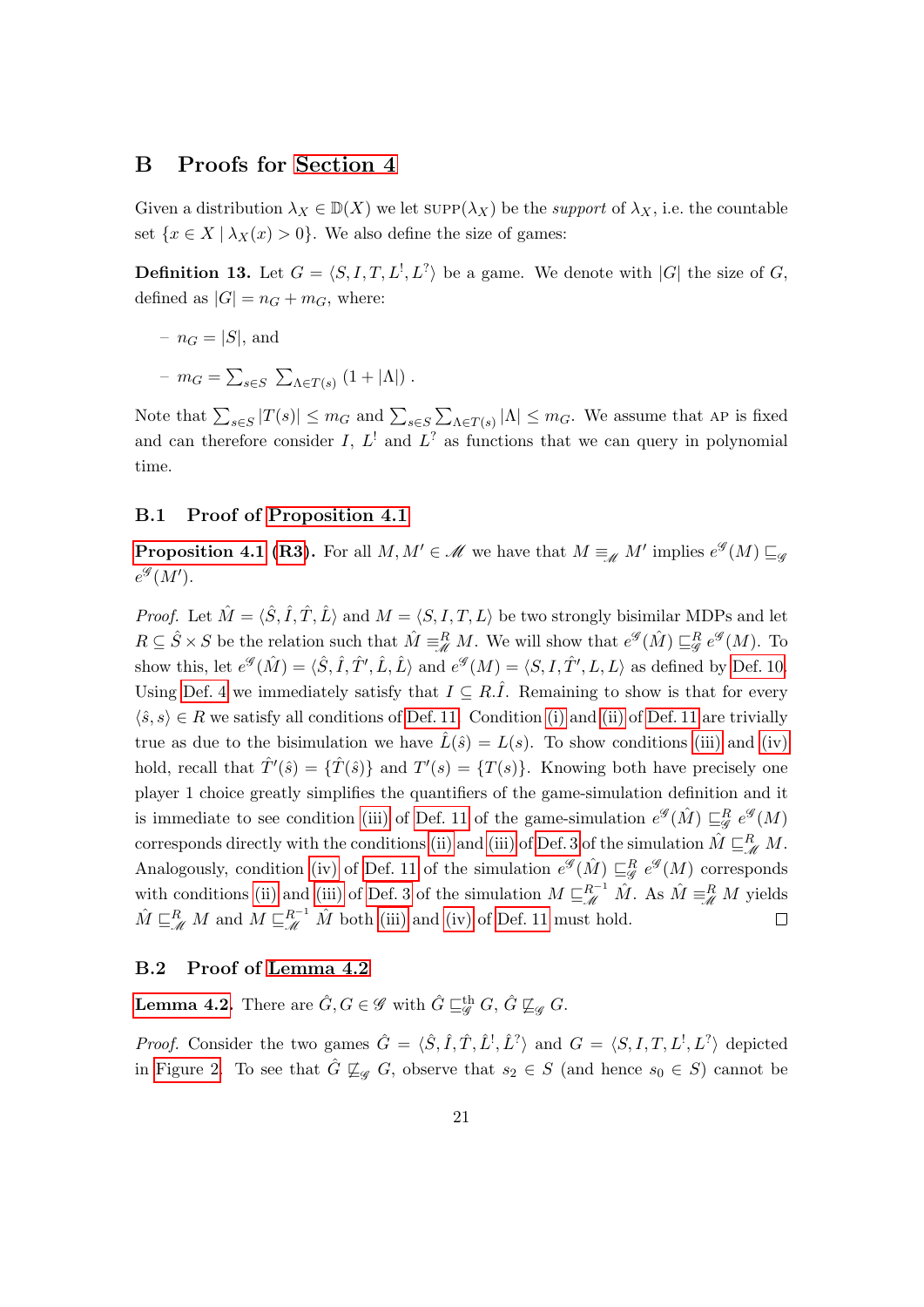## B Proofs for [Section 4](#page-11-0)

Given a distribution  $\lambda_X \in D(X)$  we let  $\text{supp}(\lambda_X)$  be the *support* of  $\lambda_X$ , i.e. the countable set  $\{x \in X \mid \lambda_X(x) > 0\}$ . We also define the size of games:

**Definition 13.** Let  $G = \langle S, I, T, L^1, L^2 \rangle$  be a game. We denote with  $|G|$  the size of G, defined as  $|G| = n_G + m_G$ , where:

- $n_G = |S|$ , and
- $m_G = \sum_{s \in S} \sum_{\Lambda \in T(s)} (1 + |\Lambda|)$ .

Note that  $\sum_{s \in S} |T(s)| \leq m_G$  and  $\sum_{s \in S} \sum_{\Lambda \in T(s)} |\Lambda| \leq m_G$ . We assume that AP is fixed and can therefore consider I,  $L^!$  and  $L^?$  as functions that we can query in polynomial time.

#### B.1 Proof of [Proposition 4.1](#page-12-3)

**[Proposition 4.1](#page-12-3) [\(R3\)](#page-7-1).** For all  $M, M' \in \mathcal{M}$  we have that  $M \equiv_{\mathcal{M}} M'$  implies  $e^{\mathcal{G}}(M) \sqsubseteq_{\mathcal{G}}$  $e^{\mathscr{G}}(M').$ 

*Proof.* Let  $\hat{M} = \langle \hat{S}, \hat{I}, \hat{T}, \hat{L} \rangle$  and  $M = \langle S, I, T, L \rangle$  be two strongly bisimilar MDPs and let  $R \subseteq \hat{S} \times S$  be the relation such that  $\hat{M} \equiv^R_{\mathscr{M}} M$ . We will show that  $e^{\mathscr{G}}(\hat{M}) \sqsubseteq^R_{\mathscr{G}} e^{\mathscr{G}}(M)$ . To show this, let  $e^{\mathscr{G}}(\hat{M}) = \langle \hat{S}, \hat{I}, \hat{T}', \hat{L}, \hat{L} \rangle$  and  $e^{\mathscr{G}}(M) = \langle S, I, \hat{T}', L, L \rangle$  as defined by [Def. 10.](#page-11-1) Using [Def. 4](#page-5-2) we immediately satisfy that  $I \subseteq R.\hat{I}$ . Remaining to show is that for every  $\langle \hat{s}, s \rangle \in R$  we satisfy all conditions of [Def. 11.](#page-11-2) Condition [\(i\)](#page-11-3) and [\(ii\)](#page-11-4) of [Def. 11](#page-11-2) are trivially true as due to the bisimulation we have  $\hat{L}(\hat{s}) = L(s)$ . To show conditions [\(iii\)](#page-12-0) and [\(iv\)](#page-12-1) hold, recall that  $\hat{T}'(\hat{s}) = {\hat{T}(\hat{s})}$  and  $T'(s) = {T(s)}$ . Knowing both have precisely one player 1 choice greatly simplifies the quantifiers of the game-simulation definition and it is immediate to see condition [\(iii\)](#page-12-0) of [Def. 11](#page-11-2) of the game-simulation  $e^{\mathscr{G}}(\hat{M}) \sqsubseteq_{\mathscr{G}}^R e^{\mathscr{G}}(M)$ corresponds directly with the conditions [\(ii\)](#page-5-1) and [\(iii\)](#page-5-0) of [Def. 3](#page-5-3) of the simulation  $\hat{M} \sqsubseteq_M^R M$ . Analogously, condition [\(iv\)](#page-12-1) of [Def. 11](#page-11-2) of the simulation  $e^{\mathscr{G}}(\hat{M}) \sqsubseteq_{\mathscr{G}}^R e^{\mathscr{G}}(M)$  corresponds with conditions [\(ii\)](#page-5-1) and [\(iii\)](#page-5-0) of [Def. 3](#page-5-3) of the simulation  $M \sqsubseteq_{\mathscr{M}}^{R^{-1}} \hat{M}$ . As  $\hat{M} \equiv_{\mathscr{M}}^R M$  yields  $\hat{M} \sqsubseteq_{\mathscr{M}}^R M$  and  $M \sqsubseteq_{\mathscr{M}}^{R^{-1}} \hat{M}$  both [\(iii\)](#page-12-0) and [\(iv\)](#page-12-1) of [Def. 11](#page-11-2) must hold.  $\Box$ 

### B.2 Proof of [Lemma 4.2](#page-13-0)

**[Lemma 4.2.](#page-13-0)** There are  $\hat{G}, G \in \mathscr{G}$  with  $\hat{G} \sqsubseteqg^{\text{th}} G$ ,  $\hat{G} \not\sqsubseteq_g G$ .

*Proof.* Consider the two games  $\hat{G} = \langle \hat{S}, \hat{I}, \hat{T}, \hat{L}^{\dagger}, \hat{L}^{\dagger} \rangle$  and  $G = \langle S, I, T, L^{\dagger}, L^{\dagger} \rangle$  depicted in [Figure 2.](#page-12-2) To see that  $\hat{G} \not\sqsubseteq_{\mathscr{G}} G$ , observe that  $s_2 \in S$  (and hence  $s_0 \in S$ ) cannot be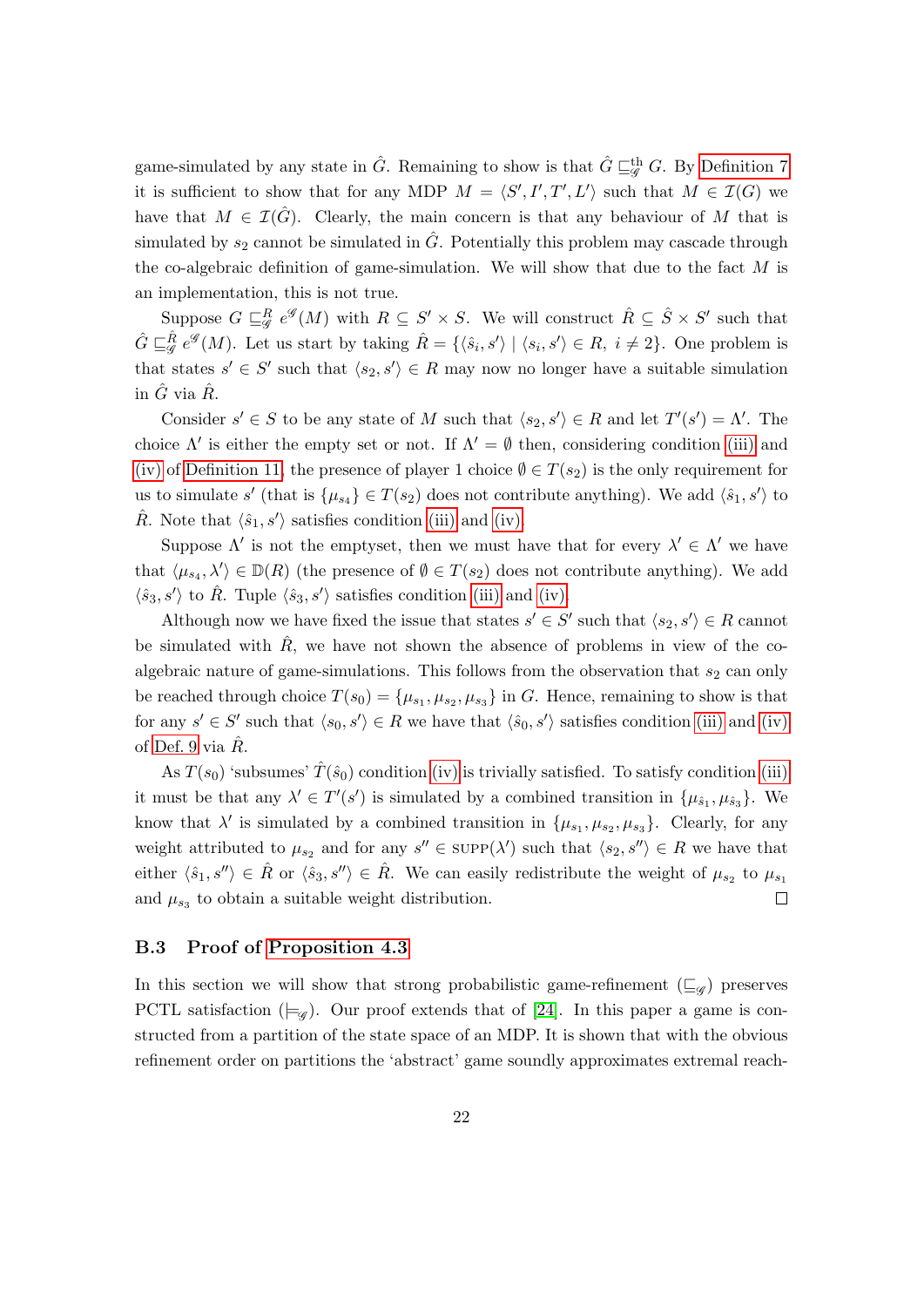game-simulated by any state in  $\hat{G}$ . Remaining to show is that  $\hat{G} \sqsubseteqg^{\text{th}} G$ . By [Definition 7](#page-7-5) it is sufficient to show that for any MDP  $M = \langle S', I', T', L' \rangle$  such that  $M \in \mathcal{I}(G)$  we have that  $M \in \mathcal{I}(\hat{G})$ . Clearly, the main concern is that any behaviour of M that is simulated by  $s_2$  cannot be simulated in  $\tilde{G}$ . Potentially this problem may cascade through the co-algebraic definition of game-simulation. We will show that due to the fact  $M$  is an implementation, this is not true.

Suppose  $G \sqsubseteq_{\mathscr{G}}^R e^{\mathscr{G}}(M)$  with  $R \subseteq S' \times S$ . We will construct  $\hat{R} \subseteq \hat{S} \times S'$  such that  $\hat{G} \sqsubseteq_{\mathscr{G}}^{\hat{R}} e^{\mathscr{G}}(M)$ . Let us start by taking  $\hat{R} = \{\langle \hat{s}_i, s' \rangle \mid \langle s_i, s' \rangle \in R, i \neq 2\}$ . One problem is that states  $s' \in S'$  such that  $\langle s_2, s' \rangle \in R$  may now no longer have a suitable simulation in  $\hat{G}$  via  $\hat{R}$ .

Consider  $s' \in S$  to be any state of M such that  $\langle s_2, s' \rangle \in R$  and let  $T'(s') = \Lambda'$ . The choice  $\Lambda'$  is either the empty set or not. If  $\Lambda' = \emptyset$  then, considering condition [\(iii\)](#page-12-0) and [\(iv\)](#page-12-1) of [Definition 11,](#page-11-2) the presence of player 1 choice  $\emptyset \in T(s_2)$  is the only requirement for us to simulate s' (that is  $\{\mu_{s_4}\}\in T(s_2)$  does not contribute anything). We add  $\langle \hat{s}_1, s' \rangle$  to  $\hat{R}$ . Note that  $\langle \hat{s}_1, s' \rangle$  satisfies condition [\(iii\)](#page-12-0) and [\(iv\).](#page-12-1)

Suppose  $\Lambda'$  is not the emptyset, then we must have that for every  $\lambda' \in \Lambda'$  we have that  $\langle \mu_{s_4}, \lambda' \rangle \in \mathbb{D}(R)$  (the presence of  $\emptyset \in T(s_2)$  does not contribute anything). We add  $\langle \hat{s}_3, s' \rangle$  to  $\hat{R}$ . Tuple  $\langle \hat{s}_3, s' \rangle$  satisfies condition [\(iii\)](#page-12-0) and [\(iv\).](#page-12-1)

Although now we have fixed the issue that states  $s' \in S'$  such that  $\langle s_2, s' \rangle \in R$  cannot be simulated with  $\hat{R}$ , we have not shown the absence of problems in view of the coalgebraic nature of game-simulations. This follows from the observation that  $s_2$  can only be reached through choice  $T(s_0) = {\mu_{s_1}, \mu_{s_2}, \mu_{s_3}}$  in G. Hence, remaining to show is that for any  $s' \in S'$  such that  $\langle s_0, s' \rangle \in R$  we have that  $\langle \hat{s}_0, s' \rangle$  satisfies condition [\(iii\)](#page-12-0) and [\(iv\)](#page-12-1) of [Def. 9](#page-9-2) via  $\hat{R}$ .

As  $T(s_0)$  'subsumes'  $\hat{T}(\hat{s}_0)$  condition [\(iv\)](#page-12-1) is trivially satisfied. To satisfy condition [\(iii\)](#page-12-0) it must be that any  $\lambda' \in T'(s')$  is simulated by a combined transition in  $\{\mu_{\hat{s}_1}, \mu_{\hat{s}_3}\}\$ . We know that  $\lambda'$  is simulated by a combined transition in  $\{\mu_{s_1}, \mu_{s_2}, \mu_{s_3}\}\$ . Clearly, for any weight attributed to  $\mu_{s_2}$  and for any  $s'' \in \text{supp}(\lambda')$  such that  $\langle s_2, s'' \rangle \in R$  we have that either  $\langle \hat{s}_1, s'' \rangle \in \hat{R}$  or  $\langle \hat{s}_3, s'' \rangle \in \hat{R}$ . We can easily redistribute the weight of  $\mu_{s_2}$  to  $\mu_{s_1}$ and  $\mu_{s_3}$  to obtain a suitable weight distribution.  $\Box$ 

#### B.3 Proof of [Proposition 4.3](#page-14-0)

In this section we will show that strong probabilistic game-refinement  $(\sqsubseteq_g)$  preserves PCTL satisfaction ( $\models_{\mathscr{G}}$ ). Our proof extends that of [\[24\]](#page-18-11). In this paper a game is constructed from a partition of the state space of an MDP. It is shown that with the obvious refinement order on partitions the 'abstract' game soundly approximates extremal reach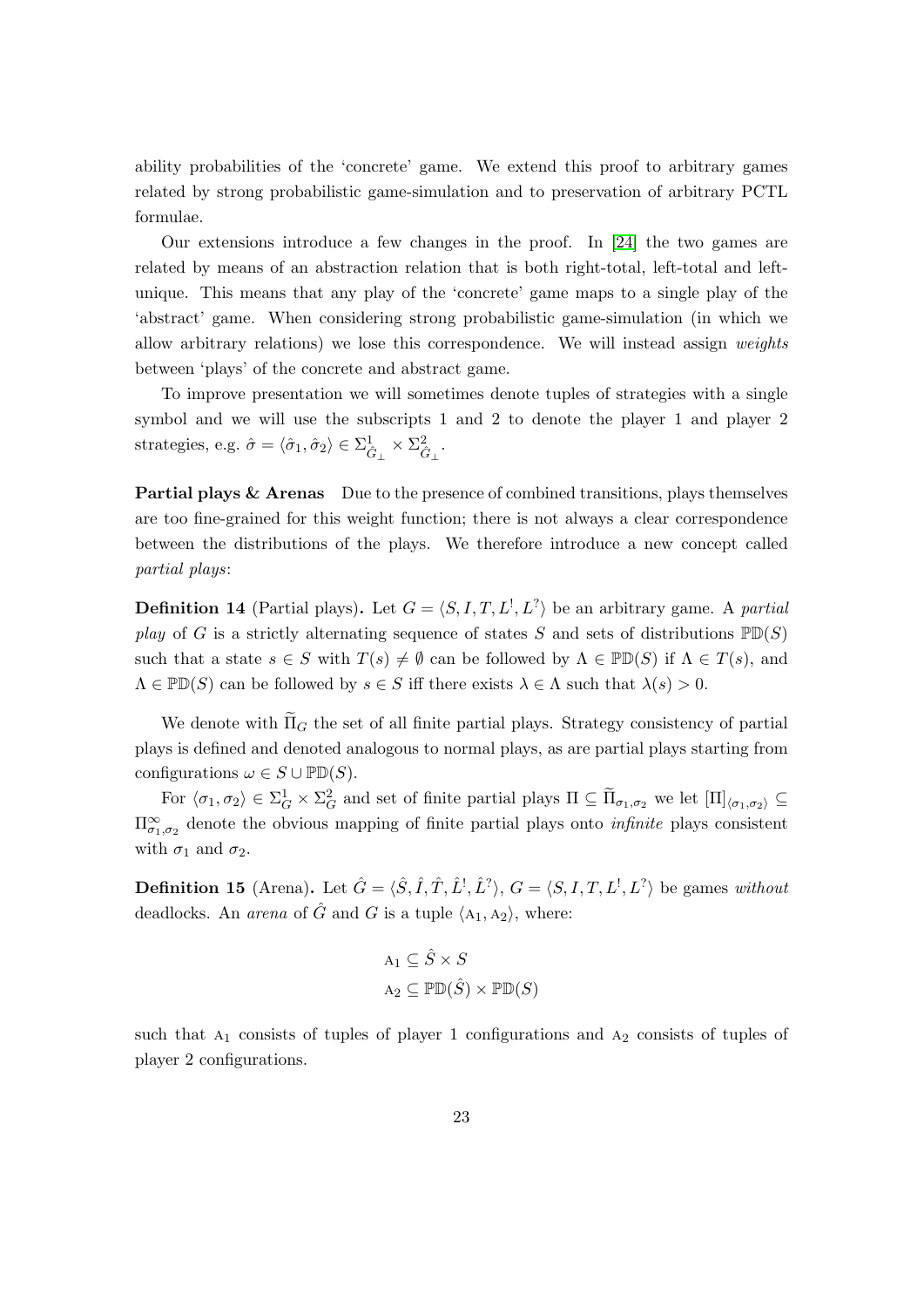ability probabilities of the 'concrete' game. We extend this proof to arbitrary games related by strong probabilistic game-simulation and to preservation of arbitrary PCTL formulae.

Our extensions introduce a few changes in the proof. In [\[24\]](#page-18-11) the two games are related by means of an abstraction relation that is both right-total, left-total and leftunique. This means that any play of the 'concrete' game maps to a single play of the 'abstract' game. When considering strong probabilistic game-simulation (in which we allow arbitrary relations) we lose this correspondence. We will instead assign weights between 'plays' of the concrete and abstract game.

To improve presentation we will sometimes denote tuples of strategies with a single symbol and we will use the subscripts 1 and 2 to denote the player 1 and player 2 strategies, e.g.  $\hat{\sigma} = \langle \hat{\sigma}_1, \hat{\sigma}_2 \rangle \in \Sigma^1_{\hat{G}_{\perp}} \times \Sigma^2_{\hat{G}_{\perp}}$ .

Partial plays & Arenas Due to the presence of combined transitions, plays themselves are too fine-grained for this weight function; there is not always a clear correspondence between the distributions of the plays. We therefore introduce a new concept called partial plays:

**Definition 14** (Partial plays). Let  $G = \langle S, I, T, L^1, L^2 \rangle$  be an arbitrary game. A partial play of G is a strictly alternating sequence of states S and sets of distributions  $PD(S)$ such that a state  $s \in S$  with  $T(s) \neq \emptyset$  can be followed by  $\Lambda \in \mathbb{P}(\mathbb{D}(S))$  if  $\Lambda \in T(s)$ , and  $\Lambda \in \mathbb{P} \mathbb{D}(S)$  can be followed by  $s \in S$  iff there exists  $\lambda \in \Lambda$  such that  $\lambda(s) > 0$ .

We denote with  $\Pi_G$  the set of all finite partial plays. Strategy consistency of partial plays is defined and denoted analogous to normal plays, as are partial plays starting from configurations  $\omega \in S \cup \mathbb{P} \mathbb{D}(S)$ .

For  $\langle \sigma_1, \sigma_2 \rangle \in \Sigma_G^1 \times \Sigma_G^2$  and set of finite partial plays  $\Pi \subseteq \widetilde{\Pi}_{\sigma_1, \sigma_2}$  we let  $[\Pi]_{\langle \sigma_1, \sigma_2 \rangle} \subseteq$  $\Pi_{\sigma_1,\sigma_2}^{\infty}$  denote the obvious mapping of finite partial plays onto *infinite* plays consistent with  $\sigma_1$  and  $\sigma_2$ .

**Definition 15** (Arena). Let  $\hat{G} = \langle \hat{S}, \hat{I}, \hat{T}, \hat{L}^{\dagger}, \hat{L}^{\dagger} \rangle$ ,  $G = \langle S, I, T, L^{\dagger}, L^{\dagger} \rangle$  be games without deadlocks. An *arena* of  $\hat{G}$  and  $G$  is a tuple  $\langle A_1, A_2 \rangle$ , where:

$$
A_1 \subseteq \hat{S} \times S
$$

$$
A_2 \subseteq \mathbb{P} \mathbb{D}(\hat{S}) \times \mathbb{P} \mathbb{D}(S)
$$

such that  $A_1$  consists of tuples of player 1 configurations and  $A_2$  consists of tuples of player 2 configurations.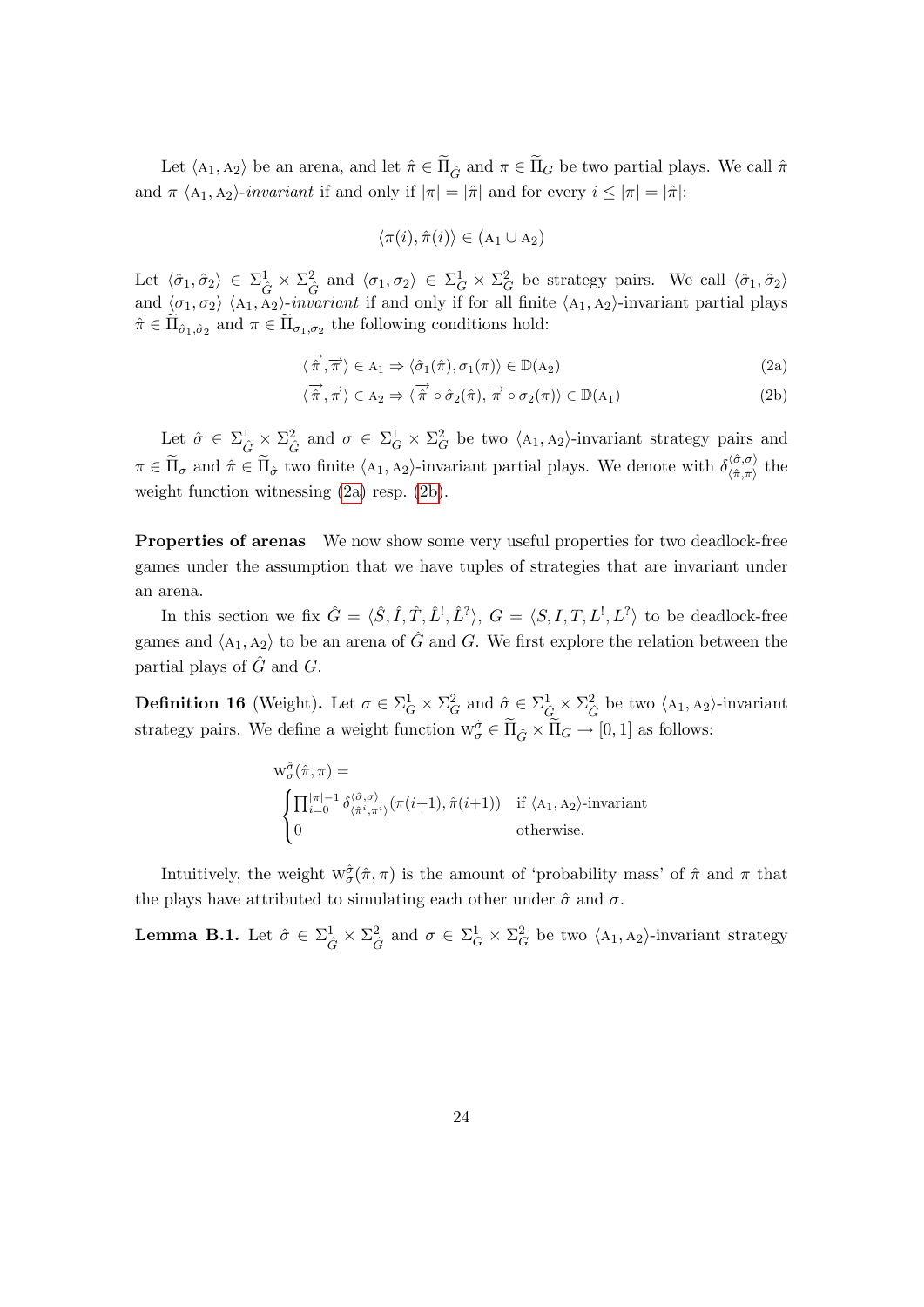Let  $\langle A_1, A_2 \rangle$  be an arena, and let  $\hat{\pi} \in \tilde{\Pi}_{\hat{G}}$  and  $\pi \in \tilde{\Pi}_G$  be two partial plays. We call  $\hat{\pi}$ and  $\pi \langle A_1, A_2 \rangle$ -*invariant* if and only if  $|\pi| = |\hat{\pi}|$  and for every  $i \leq |\pi| = |\hat{\pi}|$ :

<span id="page-24-1"></span><span id="page-24-0"></span>
$$
\langle \pi(i), \hat{\pi}(i) \rangle \in (A_1 \cup A_2)
$$

Let  $\langle \hat{\sigma}_1, \hat{\sigma}_2 \rangle \in \Sigma^1_{\hat{G}} \times \Sigma^2_{\hat{G}}$  and  $\langle \sigma_1, \sigma_2 \rangle \in \Sigma^1_{\hat{G}} \times \Sigma^2_{\hat{G}}$  be strategy pairs. We call  $\langle \hat{\sigma}_1, \hat{\sigma}_2 \rangle$ and  $\langle \sigma_1, \sigma_2 \rangle$   $\langle A_1, A_2 \rangle$ -invariant if and only if for all finite  $\langle A_1, A_2 \rangle$ -invariant partial plays  $\hat{\pi} \in \Pi_{\hat{\sigma}_1, \hat{\sigma}_2}$  and  $\pi \in \Pi_{\sigma_1, \sigma_2}$  the following conditions hold:

$$
\langle \overrightarrow{\hat{\pi}}, \overrightarrow{\pi} \rangle \in A_1 \Rightarrow \langle \hat{\sigma}_1(\hat{\pi}), \sigma_1(\pi) \rangle \in \mathbb{D}(A_2)
$$
\n(2a)

$$
\langle \overrightarrow{\hat{\pi}}, \overrightarrow{\pi} \rangle \in A_2 \Rightarrow \langle \overrightarrow{\hat{\pi}} \circ \hat{\sigma}_2(\hat{\pi}), \overrightarrow{\pi} \circ \sigma_2(\pi) \rangle \in \mathbb{D}(A_1)
$$
 (2b)

Let  $\hat{\sigma} \in \Sigma_{\hat{G}}^1 \times \Sigma_{\hat{G}}^2$  and  $\sigma \in \Sigma_{G}^1 \times \Sigma_{G}^2$  be two  $\langle A_1, A_2 \rangle$ -invariant strategy pairs and  $\pi \in \tilde{\Pi}_{\sigma}$  and  $\hat{\pi} \in \tilde{\Pi}_{\hat{\sigma}}$  two finite  $\langle A_1, A_2 \rangle$ -invariant partial plays. We denote with  $\delta^{\langle \hat{\sigma}, \sigma \rangle}_{\langle \hat{\pi}, \pi \rangle}$  $\chi_{\langle \hat{\pi},\pi \rangle}^{\langle \sigma,\sigma \rangle}$  the weight function witnessing [\(2a\)](#page-24-0) resp. [\(2b\)](#page-24-1).

Properties of arenas We now show some very useful properties for two deadlock-free games under the assumption that we have tuples of strategies that are invariant under an arena.

In this section we fix  $\hat{G} = \langle \hat{S}, \hat{I}, \hat{T}, \hat{L}^{\dagger}, \hat{L}^{\dagger} \rangle$ ,  $G = \langle S, I, T, L^{\dagger}, L^{\dagger} \rangle$  to be deadlock-free games and  $\langle A_1, A_2 \rangle$  to be an arena of  $\hat{G}$  and G. We first explore the relation between the partial plays of  $\hat{G}$  and  $G$ .

<span id="page-24-2"></span>**Definition 16** (Weight). Let  $\sigma \in \Sigma_G^1 \times \Sigma_G^2$  and  $\hat{\sigma} \in \Sigma_{\hat{G}}^1 \times \Sigma_{\hat{G}}^2$  be two  $\langle A_1, A_2 \rangle$ -invariant strategy pairs. We define a weight function  $w^{\hat{\sigma}}_{\sigma} \in \tilde{\Pi}_{\hat{G}} \times \tilde{\Pi}_{G} \to [0, 1]$  as follows:

$$
w^{\hat{\sigma}}_{\sigma}(\hat{\pi}, \pi) = \n\begin{cases} \n\prod_{i=0}^{|\pi|-1} \delta^{\langle \hat{\sigma}, \sigma \rangle}_{\langle \hat{\pi}^i, \pi^i \rangle}(\pi(i+1), \hat{\pi}(i+1)) & \text{if } \langle A_1, A_2 \rangle \text{-invariant} \\ \n0 & \text{otherwise.} \n\end{cases}
$$

Intuitively, the weight  $w^{\hat{\sigma}}_{\sigma}(\hat{\pi}, \pi)$  is the amount of 'probability mass' of  $\hat{\pi}$  and  $\pi$  that the plays have attributed to simulating each other under  $\hat{\sigma}$  and  $\sigma$ .

**Lemma B.1.** Let  $\hat{\sigma} \in \Sigma_{\hat{G}}^1 \times \Sigma_{\hat{G}}^2$  and  $\sigma \in \Sigma_{G}^1 \times \Sigma_{G}^2$  be two  $\langle A_1, A_2 \rangle$ -invariant strategy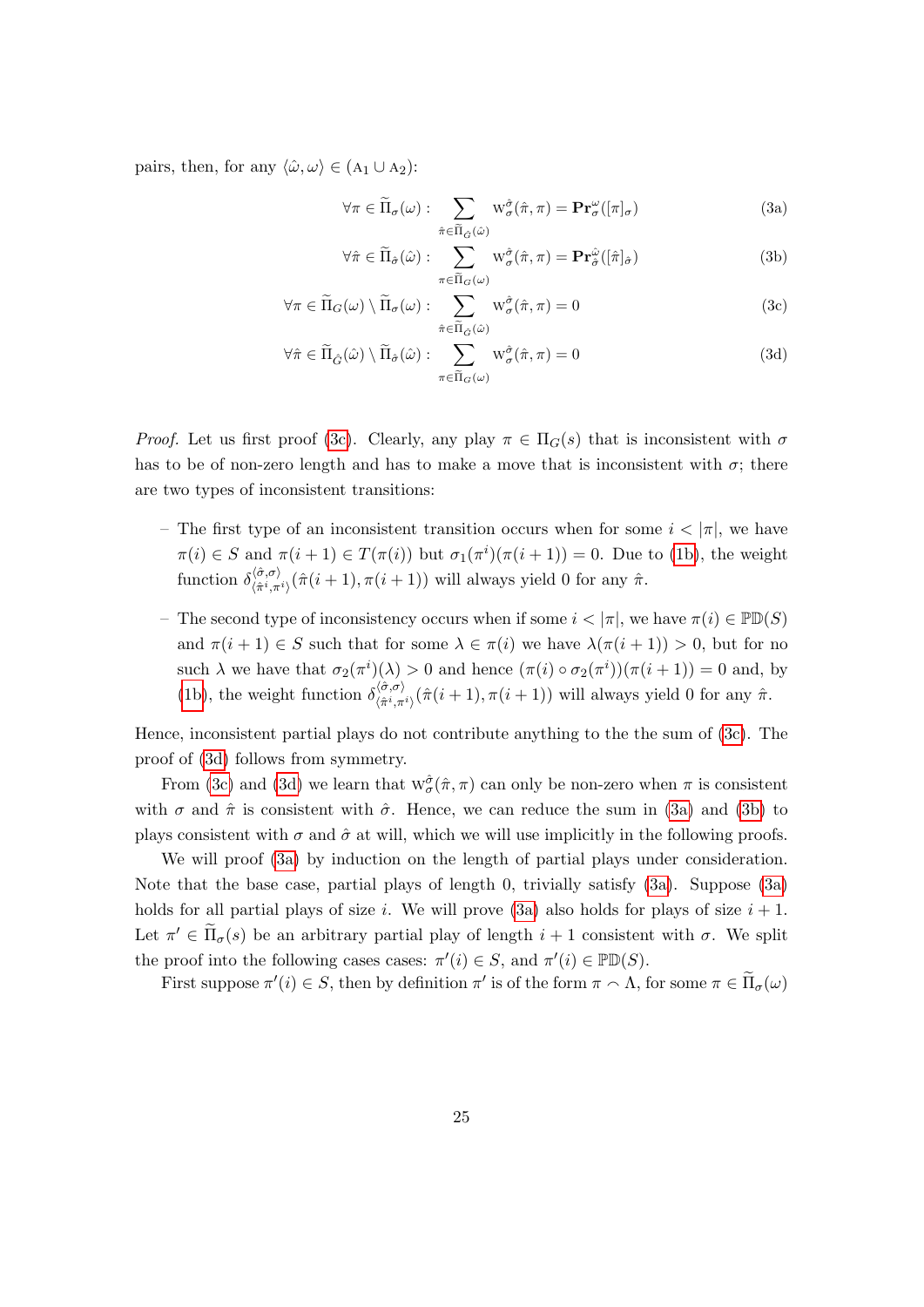pairs, then, for any  $\langle \hat{\omega}, \omega \rangle \in (A_1 \cup A_2)$ :

<span id="page-25-3"></span><span id="page-25-2"></span>
$$
\forall \pi \in \widetilde{\Pi}_{\sigma}(\omega) : \sum_{\hat{\pi} \in \widetilde{\Pi}_{\hat{G}}(\hat{\omega})} W_{\sigma}^{\hat{\sigma}}(\hat{\pi}, \pi) = \mathbf{Pr}_{\sigma}^{\omega}([\pi]_{\sigma})
$$
(3a)

<span id="page-25-1"></span><span id="page-25-0"></span>
$$
\forall \hat{\pi} \in \widetilde{\Pi}_{\hat{\sigma}}(\hat{\omega}) : \sum_{\pi \in \widetilde{\Pi}_{G}(\omega)} W^{\hat{\sigma}}_{\sigma}(\hat{\pi}, \pi) = \mathbf{Pr}_{\hat{\sigma}}^{\hat{\omega}}([\hat{\pi}]_{\hat{\sigma}})
$$
(3b)

$$
\forall \pi \in \widetilde{\Pi}_G(\omega) \setminus \widetilde{\Pi}_{\sigma}(\omega) : \sum_{\hat{\pi} \in \widetilde{\Pi}_{\hat{G}}(\hat{\omega})} \mathbf{w}_{\sigma}^{\hat{\sigma}}(\hat{\pi}, \pi) = 0 \tag{3c}
$$

$$
\forall \hat{\pi} \in \widetilde{\Pi}_{\hat{G}}(\hat{\omega}) \setminus \widetilde{\Pi}_{\hat{\sigma}}(\hat{\omega}) : \sum_{\pi \in \widetilde{\Pi}_{G}(\omega)} W^{\hat{\sigma}}_{\sigma}(\hat{\pi}, \pi) = 0 \tag{3d}
$$

*Proof.* Let us first proof [\(3c\)](#page-25-0). Clearly, any play  $\pi \in \Pi_G(s)$  that is inconsistent with  $\sigma$ has to be of non-zero length and has to make a move that is inconsistent with  $\sigma$ ; there are two types of inconsistent transitions:

- The first type of an inconsistent transition occurs when for some  $i < |\pi|$ , we have  $\pi(i) \in S$  and  $\pi(i+1) \in T(\pi(i))$  but  $\sigma_1(\pi^i)(\pi(i+1)) = 0$ . Due to [\(1b\)](#page-3-0), the weight function  $\delta^{\langle \hat{\sigma}, \sigma \rangle}_{\langle \hat{\pi}^i \pi \rangle}$  $\langle \hat{\pi}^{(o,o)}_{\hat{\pi}^i,\pi^i} \rangle(\hat{\pi}(i+1),\pi(i+1))$  will always yield 0 for any  $\hat{\pi}$ .
- The second type of inconsistency occurs when if some  $i < |\pi|$ , we have  $\pi(i) \in \mathbb{P}D(S)$ and  $\pi(i+1) \in S$  such that for some  $\lambda \in \pi(i)$  we have  $\lambda(\pi(i+1)) > 0$ , but for no such  $\lambda$  we have that  $\sigma_2(\pi^i)(\lambda) > 0$  and hence  $(\pi(i) \circ \sigma_2(\pi^i))(\pi(i+1)) = 0$  and, by [\(1b\)](#page-3-0), the weight function  $\delta^{\langle \hat{\sigma}, \sigma \rangle}_{\langle \hat{\sigma}^i \rangle \pi}$  $\langle \hat{\pi}^{(0),0'}_{\hat{\pi}^i,\pi^i} \rangle(\hat{\pi}(i+1),\pi(i+1))$  will always yield 0 for any  $\hat{\pi}$ .

Hence, inconsistent partial plays do not contribute anything to the the sum of [\(3c\)](#page-25-0). The proof of [\(3d\)](#page-25-1) follows from symmetry.

From [\(3c\)](#page-25-0) and [\(3d\)](#page-25-1) we learn that  $w^{\hat{\sigma}}_{\sigma}(\hat{\pi}, \pi)$  can only be non-zero when  $\pi$  is consistent with  $\sigma$  and  $\hat{\pi}$  is consistent with  $\hat{\sigma}$ . Hence, we can reduce the sum in [\(3a\)](#page-25-2) and [\(3b\)](#page-25-3) to plays consistent with  $\sigma$  and  $\hat{\sigma}$  at will, which we will use implicitly in the following proofs.

We will proof  $(3a)$  by induction on the length of partial plays under consideration. Note that the base case, partial plays of length 0, trivially satisfy [\(3a\)](#page-25-2). Suppose [\(3a\)](#page-25-2) holds for all partial plays of size i. We will prove [\(3a\)](#page-25-2) also holds for plays of size  $i + 1$ . Let  $\pi' \in \tilde{\Pi}_{\sigma}(s)$  be an arbitrary partial play of length  $i+1$  consistent with  $\sigma$ . We split the proof into the following cases cases:  $\pi'(i) \in S$ , and  $\pi'(i) \in \mathbb{P} \mathbb{D}(S)$ .

First suppose  $\pi'(i) \in S$ , then by definition  $\pi'$  is of the form  $\pi \cap \Lambda$ , for some  $\pi \in \tilde{\Pi}_{\sigma}(\omega)$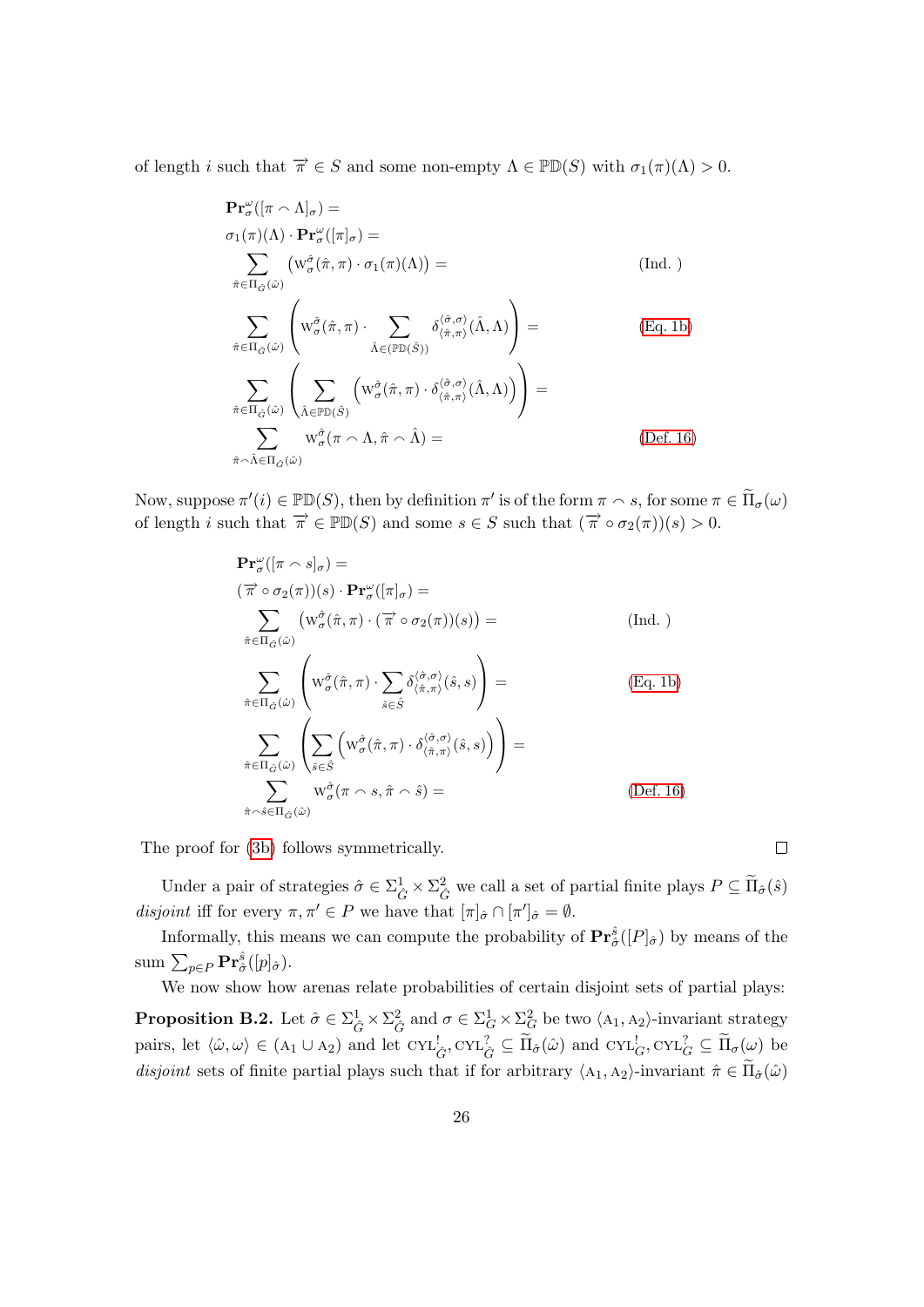of length i such that  $\overrightarrow{\pi} \in S$  and some non-empty  $\Lambda \in \mathbb{P}(\mathbb{D}(S))$  with  $\sigma_1(\pi)(\Lambda) > 0$ .

$$
\begin{split}\n&\mathbf{Pr}_{\sigma}^{\omega}([\pi \wedge \Lambda]_{\sigma}) = \\
&\sigma_{1}(\pi)(\Lambda) \cdot \mathbf{Pr}_{\sigma}^{\omega}([\pi]_{\sigma}) = \\
&\sum_{\hat{\pi} \in \Pi_{\hat{G}}(\hat{\omega})} \left( w_{\sigma}^{\hat{\sigma}}(\hat{\pi}, \pi) \cdot \sigma_{1}(\pi)(\Lambda) \right) = \\
&\sum_{\hat{\pi} \in \Pi_{\hat{G}}(\hat{\omega})} \left( w_{\sigma}^{\hat{\sigma}}(\hat{\pi}, \pi) \cdot \sum_{\hat{\Lambda} \in (\mathbb{P} \mathbb{D}(\hat{S}))} \delta_{(\hat{\pi}, \pi)}^{(\hat{\sigma}, \sigma)}(\hat{\Lambda}, \Lambda) \right) = \\
&\sum_{\hat{\pi} \in \Pi_{\hat{G}}(\hat{\omega})} \left( \sum_{\hat{\Lambda} \in \mathbb{P} \mathbb{D}(\hat{S})} \left( w_{\sigma}^{\hat{\sigma}}(\hat{\pi}, \pi) \cdot \delta_{(\hat{\pi}, \pi)}^{(\hat{\sigma}, \sigma)}(\hat{\Lambda}, \Lambda) \right) \right) = \\
&\sum_{\hat{\pi} \sim \hat{\Lambda} \in \Pi_{\hat{G}}(\hat{\omega})} w_{\sigma}^{\hat{\sigma}}(\pi \wedge \Lambda, \hat{\pi} \wedge \hat{\Lambda}) = \\
&\text{(Def. 16)}\n\end{split}
$$

Now, suppose  $\pi'(i) \in \mathbb{P} \mathbb{D}(S)$ , then by definition  $\pi'$  is of the form  $\pi \sim s$ , for some  $\pi \in \widetilde{\Pi}_{\sigma}(\omega)$ of length i such that  $\overrightarrow{\pi} \in \mathbb{P}D(S)$  and some  $s \in S$  such that  $(\overrightarrow{\pi} \circ \sigma_2(\pi))(s) > 0$ .

$$
\mathbf{Pr}_{\sigma}^{\omega}([\pi \cap s]_{\sigma}) =
$$
\n
$$
(\overrightarrow{\pi} \circ \sigma_{2}(\pi))(s) \cdot \mathbf{Pr}_{\sigma}^{\omega}([\pi]_{\sigma}) =
$$
\n
$$
\sum_{\hat{\pi} \in \Pi_{\hat{G}}(\hat{\omega})} (w_{\sigma}^{\hat{\sigma}}(\hat{\pi}, \pi) \cdot (\overrightarrow{\pi} \circ \sigma_{2}(\pi))(s)) =
$$
\n
$$
\sum_{\hat{\pi} \in \Pi_{\hat{G}}(\hat{\omega})} \left( w_{\sigma}^{\hat{\sigma}}(\hat{\pi}, \pi) \cdot \sum_{\hat{s} \in \hat{S}} \delta_{(\hat{\pi}, \pi)}^{(\hat{\sigma}, \sigma)}(\hat{s}, s) \right) =
$$
\n
$$
\sum_{\hat{\pi} \in \Pi_{\hat{G}}(\hat{\omega})} \left( \sum_{\hat{s} \in \hat{S}} \left( w_{\sigma}^{\hat{\sigma}}(\hat{\pi}, \pi) \cdot \delta_{(\hat{\pi}, \pi)}^{(\hat{\sigma}, \sigma)}(\hat{s}, s) \right) \right) =
$$
\n
$$
\sum_{\hat{\pi} \sim \hat{s} \in \Pi_{\hat{G}}(\hat{\omega})} w_{\sigma}^{\hat{\sigma}}(\pi \cap s, \hat{\pi} \cap \hat{s}) =
$$
\n
$$
(Def. 16)
$$

The proof for [\(3b\)](#page-25-3) follows symmetrically.

Under a pair of strategies  $\hat{\sigma} \in \Sigma_{\hat{G}}^1 \times \Sigma_{\hat{G}}^2$  we call a set of partial finite plays  $P \subseteq \widetilde{\Pi}_{\hat{\sigma}}(\hat{s})$ disjoint iff for every  $\pi, \pi' \in P$  we have that  $[\pi]_{\hat{\sigma}} \cap [\pi']_{\hat{\sigma}} = \emptyset$ .

 $\Box$ 

Informally, this means we can compute the probability of  $\mathbf{Pr}^{\hat{s}}_{\hat{\sigma}}([P]_{\hat{\sigma}})$  by means of the  $\operatorname{sum}\sum_{p\in P}\mathbf{Pr}^{\hat{s}}_{\hat{\sigma}}([p]_{\hat{\sigma}}).$ 

<span id="page-26-0"></span>We now show how arenas relate probabilities of certain disjoint sets of partial plays: **Proposition B.2.** Let  $\hat{\sigma} \in \sum_{\hat{G}}^{1} \times \sum_{\hat{G}}^{2}$  and  $\sigma \in \sum_{G}^{1} \times \sum_{G}^{2}$  be two  $\langle A_1, A_2 \rangle$ -invariant strategy pairs, let  $\langle \hat{\omega}, \omega \rangle \in (A_1 \cup A_2)$  and let  $\text{CYL}_{\hat{G}}^1$ ,  $\text{CYL}_{\hat{G}}^2 \subseteq \widetilde{\Pi}_{\hat{\sigma}}(\hat{\omega})$  and  $\text{CYL}_{G}^1$ ,  $\text{CYL}_{G}^2 \subseteq \widetilde{\Pi}_{\sigma}(\omega)$  be disjoint sets of finite partial plays such that if for arbitrary  $\langle A_1, A_2 \rangle$ -invariant  $\hat{\pi} \in \tilde{\Pi}_{\hat{\sigma}}(\hat{\omega})$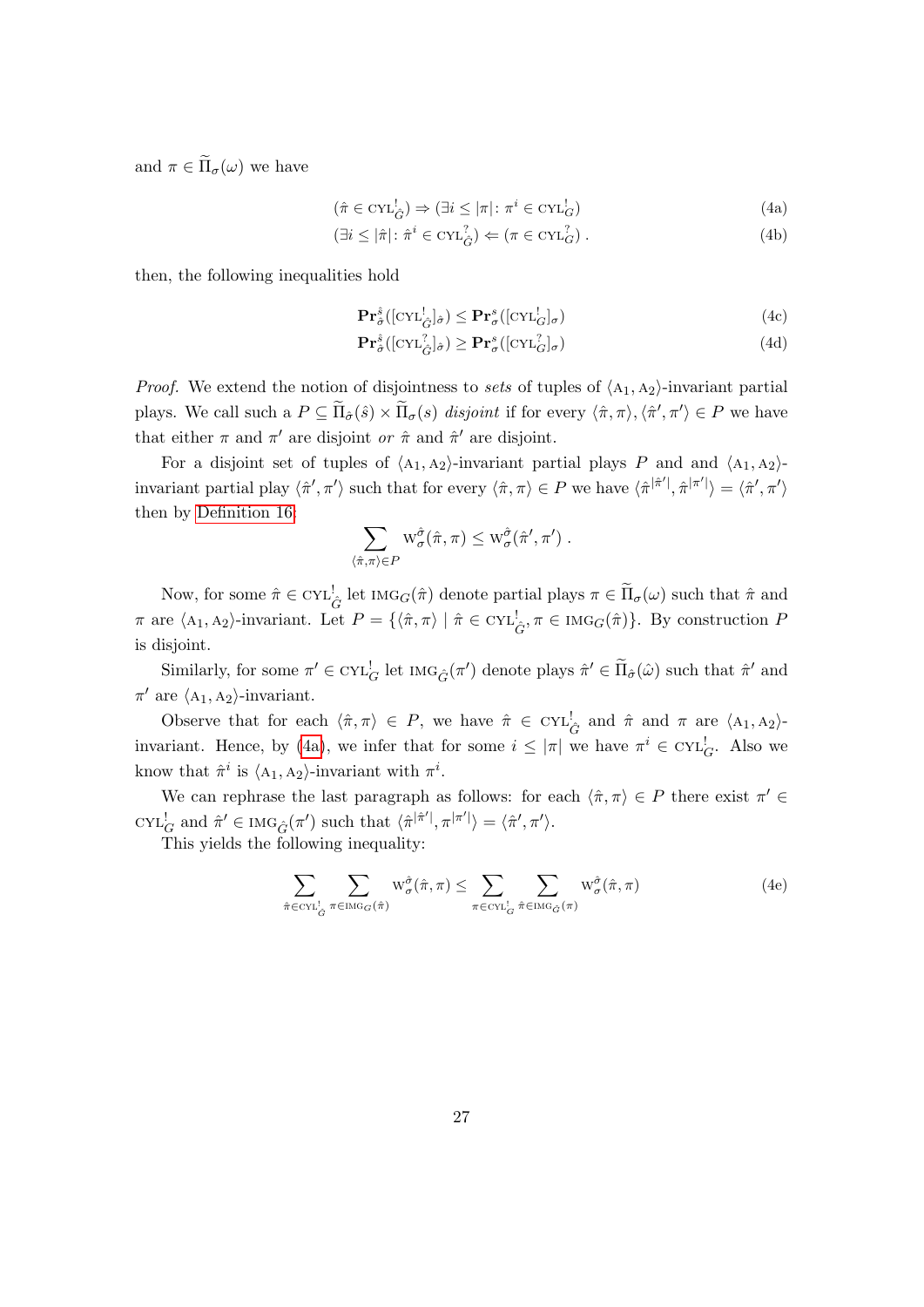and  $\pi \in \widetilde{\Pi}_{\sigma}(\omega)$  we have

$$
(\hat{\pi} \in \mathrm{CYL}_{\hat{G}}^! \Rightarrow (\exists i \le |\pi| : \pi^i \in \mathrm{CYL}_G^!)
$$
\n(4a)

$$
(\exists i \le |\hat{\pi}| \colon \hat{\pi}^i \in \text{CYL}_{\hat{G}}^? \rangle \Leftarrow (\pi \in \text{CYL}_{G}^?). \tag{4b}
$$

then, the following inequalities hold

<span id="page-27-1"></span><span id="page-27-0"></span>
$$
\mathbf{Pr}_{\hat{\sigma}}^{\hat{s}}\left(\left[\mathrm{CYL}_{\hat{G}}^{!}\right]_{\hat{\sigma}}\right) \leq \mathbf{Pr}_{\sigma}^{s}\left(\left[\mathrm{CYL}_{G}^{!}\right]_{\sigma}\right) \tag{4c}
$$

<span id="page-27-3"></span>
$$
\mathbf{Pr}_{\hat{\sigma}}^{\hat{s}}\left(\left[\mathrm{CYL}_{\hat{G}}^? \right]_{\hat{\sigma}}\right) \geq \mathbf{Pr}_{\sigma}^s\left(\left[\mathrm{CYL}_{G}^? \right]_{\sigma}\right) \tag{4d}
$$

*Proof.* We extend the notion of disjointness to sets of tuples of  $\langle A_1, A_2 \rangle$ -invariant partial plays. We call such a  $P \subseteq \widetilde{\Pi}_{\hat{\sigma}}(\hat{s}) \times \widetilde{\Pi}_{\sigma}(s)$  disjoint if for every  $\langle \hat{\pi}, \pi \rangle, \langle \hat{\pi}', \pi' \rangle \in P$  we have that either  $\pi$  and  $\pi'$  are disjoint or  $\hat{\pi}$  and  $\hat{\pi}'$  are disjoint.

For a disjoint set of tuples of  $\langle A_1, A_2 \rangle$ -invariant partial plays P and and  $\langle A_1, A_2 \rangle$ invariant partial play  $\langle \hat{\pi}', \pi' \rangle$  such that for every  $\langle \hat{\pi}, \pi \rangle \in P$  we have  $\langle \hat{\pi}^{|\hat{\pi}'|}, \hat{\pi}^{|\pi'|} \rangle = \langle \hat{\pi}', \pi' \rangle$ then by [Definition 16:](#page-24-2)

$$
\sum_{\langle \hat{\pi}, \pi \rangle \in P} w_{\sigma}^{\hat{\sigma}}(\hat{\pi}, \pi) \leq w_{\sigma}^{\hat{\sigma}}(\hat{\pi}', \pi') .
$$

Now, for some  $\hat{\pi} \in \text{CYL}_{\hat{G}}^{\perp}$  let  $\text{Ind}_{G}(\hat{\pi})$  denote partial plays  $\pi \in \widetilde{\Pi}_{\sigma}(\omega)$  such that  $\hat{\pi}$  and  $\pi$  are  $\langle A_1, A_2 \rangle$ -invariant. Let  $P = {\langle \hat{\pi}, \pi \rangle \mid \hat{\pi} \in \text{CYL}_{\hat{G}}^1, \pi \in \text{IMG}_{G}(\hat{\pi})\}.$  By construction P is disjoint.

Similarly, for some  $\pi' \in \text{CYL}_{G}^!$  let  $\text{Ind}_{\hat{G}}(\pi')$  denote plays  $\hat{\pi}' \in \widetilde{\Pi}_{\hat{\sigma}}(\hat{\omega})$  such that  $\hat{\pi}'$  and  $\pi'$  are  $\langle A_1, A_2 \rangle$ -invariant.

Observe that for each  $\langle \hat{\pi}, \pi \rangle \in P$ , we have  $\hat{\pi} \in \text{CYL}_{\hat{G}}^{\perp}$  and  $\hat{\pi}$  and  $\pi$  are  $\langle A_1, A_2 \rangle$ -invariant. Hence, by [\(4a\)](#page-27-0), we infer that for some  $i \leq |\pi|$  we have  $\pi^i \in \text{CYL}_G^!$ . Also we know that  $\hat{\pi}^i$  is  $\langle A_1, A_2 \rangle$ -invariant with  $\pi^i$ .

We can rephrase the last paragraph as follows: for each  $\langle \hat{\pi}, \pi \rangle \in P$  there exist  $\pi' \in$  $\text{CYL}_{G}^{!}$  and  $\hat{\pi}' \in \text{IMG}_{\hat{G}}(\pi')$  such that  $\langle \hat{\pi}^{|\hat{\pi}'|}, \pi^{|\pi'|} \rangle = \langle \hat{\pi}', \pi' \rangle$ .

This yields the following inequality:

<span id="page-27-2"></span>
$$
\sum_{\hat{\pi} \in \text{CYL}_{\hat{G}}^{\perp}} \sum_{\pi \in \text{ING}_G(\hat{\pi})} \mathcal{W}_{\sigma}^{\hat{\sigma}}(\hat{\pi}, \pi) \leq \sum_{\pi \in \text{CYL}_{\hat{G}}^{\perp}} \sum_{\hat{\pi} \in \text{ING}_{\hat{G}}(\pi)} \mathcal{W}_{\sigma}^{\hat{\sigma}}(\hat{\pi}, \pi)
$$
(4e)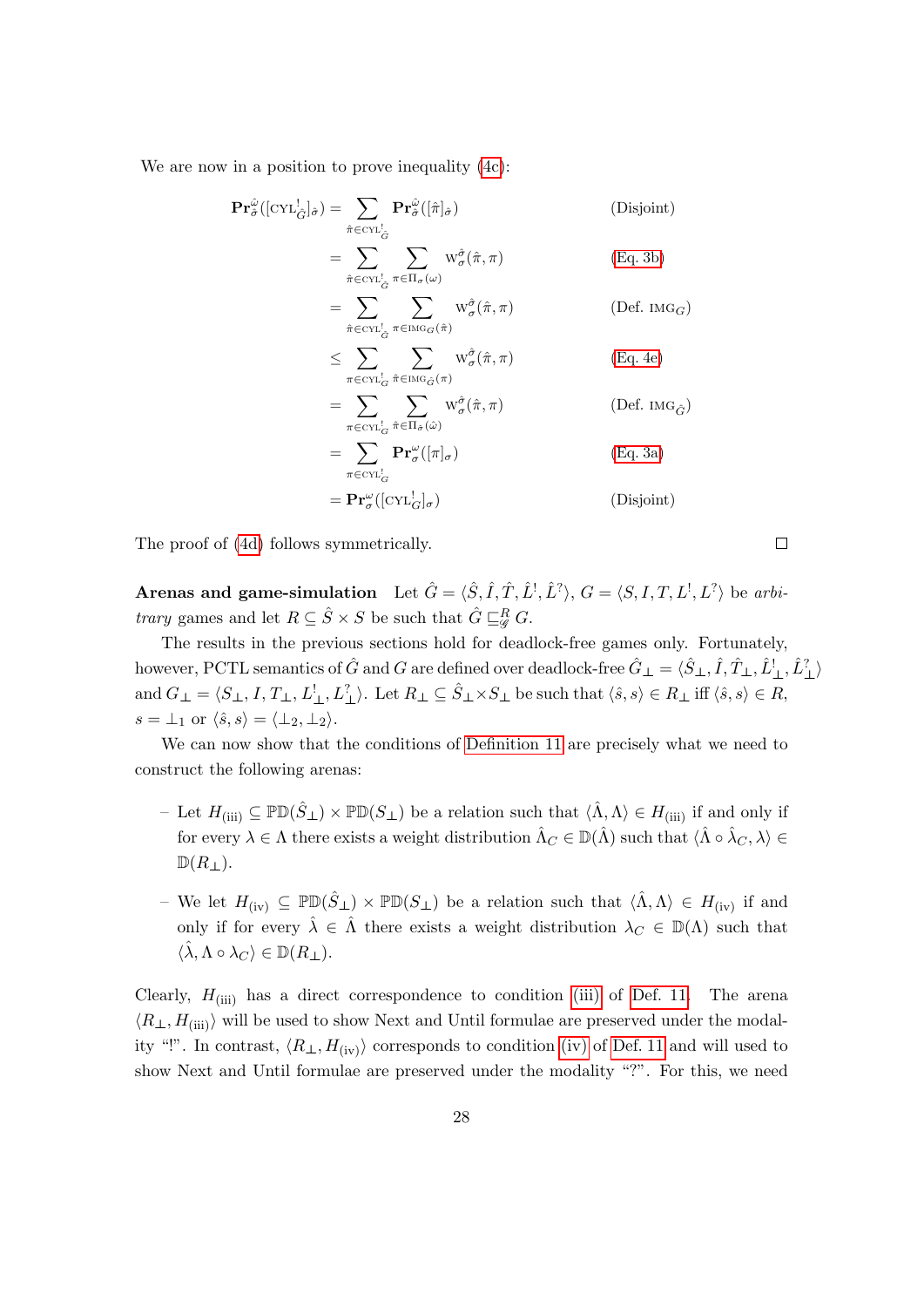We are now in a position to prove inequality  $(4c)$ :

$$
\begin{split}\n\mathbf{Pr}_{\hat{\sigma}}^{\hat{\omega}}([\text{CYL}_{\hat{G}}^{\dagger}]_{\hat{\sigma}}) &= \sum_{\hat{\pi} \in \text{CYL}_{\hat{G}}^{\dagger}} \mathbf{Pr}_{\hat{\sigma}}^{\hat{\omega}}([\hat{\pi}]_{\hat{\sigma}}) \qquad \text{(Disjoint)} \\
&= \sum_{\hat{\pi} \in \text{CYL}_{\hat{G}}^{\dagger}} \sum_{\pi \in \Pi_{\sigma}(\omega)} w_{\sigma}^{\hat{\sigma}}(\hat{\pi}, \pi) \qquad (\text{Eq. 3b}) \\
&= \sum_{\hat{\pi} \in \text{CYL}_{\hat{G}}^{\dagger}} \sum_{\pi \in \text{IMG}_{G}(\hat{\pi})} w_{\sigma}^{\hat{\sigma}}(\hat{\pi}, \pi) \qquad (\text{Def. } \text{IMG}_{G}) \\
&\leq \sum_{\pi \in \text{CYL}_{G}^{\dagger}} \sum_{\hat{\pi} \in \text{IMG}_{\hat{G}}(\pi)} w_{\sigma}^{\hat{\sigma}}(\hat{\pi}, \pi) \qquad (\text{Eq. 4e}) \\
&= \sum_{\pi \in \text{CYL}_{G}^{\dagger}} \sum_{\hat{\pi} \in \Pi_{\hat{\sigma}}(\hat{\omega})} w_{\sigma}^{\hat{\sigma}}(\hat{\pi}, \pi) \qquad (\text{Def. } \text{IMG}_{\hat{G}}) \\
&= \sum_{\pi \in \text{CYL}_{G}^{\dagger}} \mathbf{Pr}_{\sigma}^{\omega}([\pi]_{\sigma}) \qquad (\text{Eq. 3a)} \\
&= \mathbf{Pr}_{\sigma}^{\omega}([\text{CYL}_{G}^{\dagger}]_{\sigma}) \qquad (\text{Disjoint)}\n\end{split}
$$

The proof of [\(4d\)](#page-27-3) follows symmetrically.

**Arenas and game-simulation** Let  $\hat{G} = \langle \hat{S}, \hat{I}, \hat{T}, \hat{L}^{\dagger}, \hat{L}^{\dagger} \rangle$ ,  $G = \langle S, I, T, L^{\dagger}, L^{\dagger} \rangle$  be arbi*trary* games and let  $R \subseteq \hat{S} \times S$  be such that  $\hat{G} \sqsubseteq^R_{\mathscr{G}} G$ .

The results in the previous sections hold for deadlock-free games only. Fortunately, however, PCTL semantics of  $\hat{G}$  and  $G$  are defined over deadlock-free  $\hat{G}_{\perp} = \langle \hat{S}_{\perp}, \hat{I}, \hat{T}_{\perp}, \hat{L}_{\perp}^l, \hat{L}_{\perp}^2 \rangle$ and  $G_{\perp} = \langle S_{\perp}, I, T_{\perp}, L_{\perp}^!, L_{\perp}^? \rangle$ . Let  $R_{\perp} \subseteq \hat{S}_{\perp} \times S_{\perp}$  be such that  $\langle \hat{s}, s \rangle \in R_{\perp}$  iff  $\langle \hat{s}, s \rangle \in R$ ,  $s = \perp_1$  or  $\langle \hat{s}, s \rangle = \langle \perp_2, \perp_2 \rangle.$ 

We can now show that the conditions of [Definition 11](#page-11-2) are precisely what we need to construct the following arenas:

- Let  $H_{\text{(iii)}} \subseteq \mathbb{P} \mathbb{D}(\hat{S}_\perp) \times \mathbb{P} \mathbb{D}(S_\perp)$  be a relation such that  $\langle \hat{\Lambda}, \Lambda \rangle \in H_{\text{(iii)}}$  if and only if for every  $\lambda \in \Lambda$  there exists a weight distribution  $\hat{\Lambda}_C \in \mathbb{D}(\hat{\Lambda})$  such that  $\langle \hat{\Lambda} \circ \hat{\lambda}_C, \lambda \rangle \in$  $\mathbb{D}(R_{\perp}).$
- We let  $H_{(iv)} \subseteq \mathbb{P} \mathbb{D}(\hat{S}_{\perp}) \times \mathbb{P} \mathbb{D}(S_{\perp})$  be a relation such that  $\langle \hat{\Lambda}, \Lambda \rangle \in H_{(iv)}$  if and only if for every  $\hat{\lambda} \in \hat{\Lambda}$  there exists a weight distribution  $\lambda_C \in \mathbb{D}(\Lambda)$  such that  $\langle \hat{\lambda}, \Lambda \circ \lambda_C \rangle \in \mathbb{D}(R_{\perp}).$

Clearly,  $H_{\text{(iii)}}$  has a direct correspondence to condition [\(iii\)](#page-12-0) of [Def. 11.](#page-11-2) The arena  $\langle R_{\perp}, H_{\text{(iii)}} \rangle$  will be used to show Next and Until formulae are preserved under the modality "!". In contrast,  $\langle R_\perp, H_{\text{(iv)}} \rangle$  corresponds to condition [\(iv\)](#page-12-1) of [Def. 11](#page-11-2) and will used to show Next and Until formulae are preserved under the modality "?". For this, we need

 $\Box$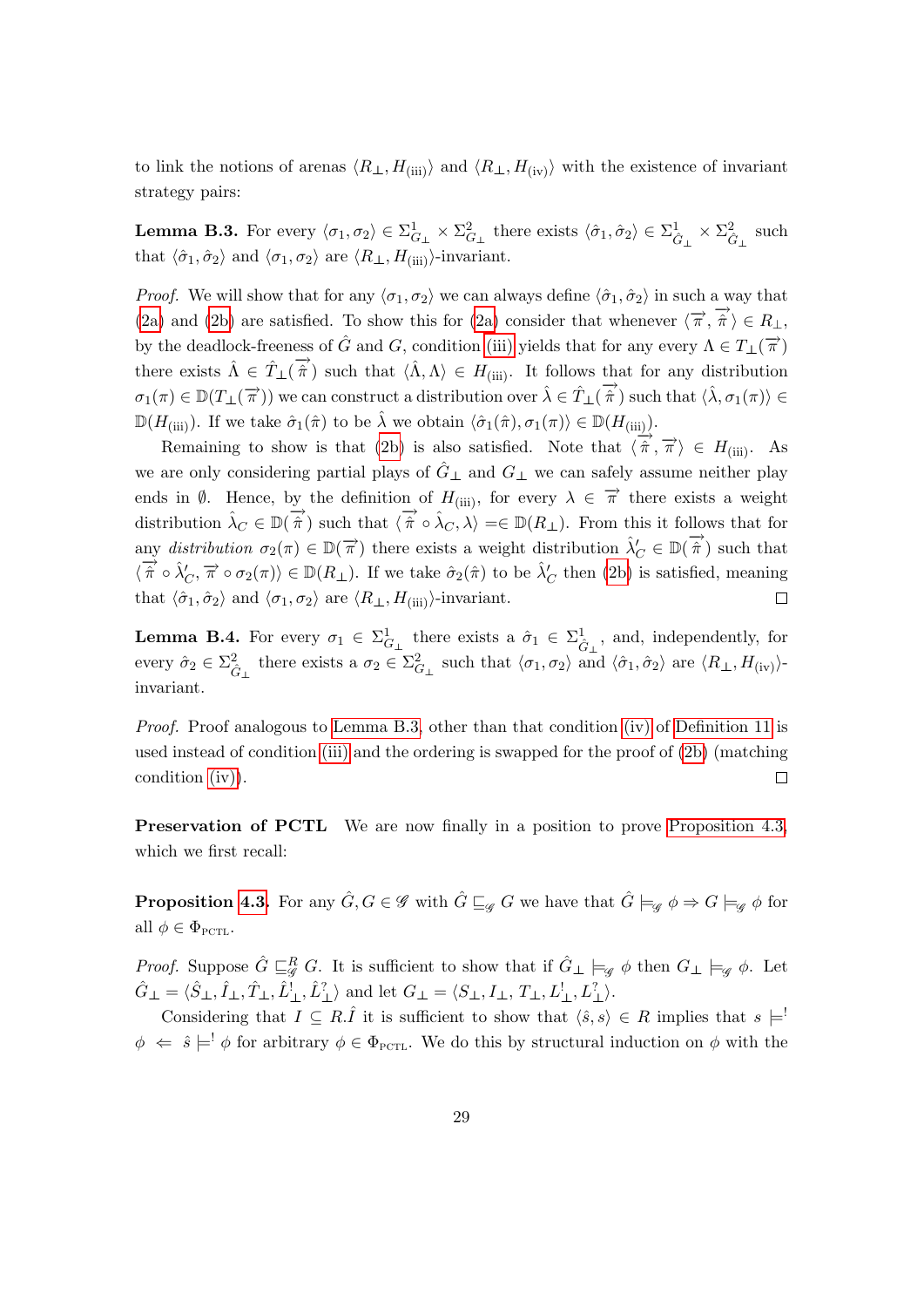to link the notions of arenas  $\langle R_\perp, H_{\text{(iii)}} \rangle$  and  $\langle R_\perp, H_{\text{(iv)}} \rangle$  with the existence of invariant strategy pairs:

<span id="page-29-0"></span>**Lemma B.3.** For every  $\langle \sigma_1, \sigma_2 \rangle \in \Sigma_{G_\perp}^1 \times \Sigma_{G_\perp}^2$  there exists  $\langle \hat{\sigma}_1, \hat{\sigma}_2 \rangle \in \Sigma_{\hat{G}_\perp}^1 \times \Sigma_{\hat{G}_\perp}^2$  such that  $\langle \hat{\sigma}_1, \hat{\sigma}_2 \rangle$  and  $\langle \sigma_1, \sigma_2 \rangle$  are  $\langle R_\perp, H_{\text{(iii)}} \rangle$ -invariant.

*Proof.* We will show that for any  $\langle \sigma_1, \sigma_2 \rangle$  we can always define  $\langle \hat{\sigma}_1, \hat{\sigma}_2 \rangle$  in such a way that [\(2a\)](#page-24-0) and [\(2b\)](#page-24-1) are satisfied. To show this for (2a) consider that whenever  $\langle \vec{\pi}, \vec{\hat{\pi}} \rangle \in R_{\perp}$ , by the deadlock-freeness of  $\hat{G}$  and  $G$ , condition [\(iii\)](#page-12-0) yields that for any every  $\Lambda \in T_{\perp}(\vec{\pi})$ there exists  $\hat{\Lambda} \in \hat{T}_\perp(\vec{\hat{\pi}})$  such that  $\langle \hat{\Lambda}, \Lambda \rangle \in H_{(iii)}$ . It follows that for any distribution  $\sigma_1(\pi) \in \mathbb{D}(T_{\perp}(\vec{\pi}))$  we can construct a distribution over  $\hat{\lambda} \in \hat{T}_{\perp}(\vec{\hat{\pi}})$  such that  $\langle \hat{\lambda}, \sigma_1(\pi) \rangle \in$  $\mathbb{D}(H_{\text{(iii)}})$ . If we take  $\hat{\sigma}_1(\hat{\pi})$  to be  $\hat{\lambda}$  we obtain  $\langle \hat{\sigma}_1(\hat{\pi}), \sigma_1(\pi) \rangle \in \mathbb{D}(H_{\text{(iii)}})$ .

Remaining to show is that [\(2b\)](#page-24-1) is also satisfied. Note that  $\langle \hat{\pi}, \hat{\pi} \rangle \in H_{\text{(iii)}}$ . As we are only considering partial plays of  $G_{\perp}$  and  $G_{\perp}$  we can safely assume neither play ends in  $\emptyset$ . Hence, by the definition of  $H_{(iii)}$ , for every  $\lambda \in \vec{\pi}$  there exists a weight distribution  $\hat{\lambda}_C \in \mathbb{D}(\overrightarrow{\hat{\pi}})$  such that  $\langle \overrightarrow{\hat{\pi}} \circ \hat{\lambda}_C, \lambda \rangle = \in \mathbb{D}(R_\perp)$ . From this it follows that for any distribution  $\sigma_2(\pi) \in \mathbb{D}(\vec{\pi})$  there exists a weight distribution  $\hat{\lambda}'_C \in \mathbb{D}(\vec{\hat{\pi}})$  such that  $\langle \overrightarrow{\hat{\pi}} \circ \hat{\lambda}'_C, \overrightarrow{\pi} \circ \sigma_2(\pi) \rangle \in \mathbb{D}(R_\perp)$ . If we take  $\hat{\sigma}_2(\hat{\pi})$  to be  $\hat{\lambda}'_C$  then [\(2b\)](#page-24-1) is satisfied, meaning that  $\langle \hat{\sigma}_1, \hat{\sigma}_2 \rangle$  and  $\langle \sigma_1, \sigma_2 \rangle$  are  $\langle R_\perp, H_{\text{(iii)}} \rangle$ -invariant.  $\Box$ 

<span id="page-29-1"></span>**Lemma B.4.** For every  $\sigma_1 \in \Sigma_{G_\perp}^1$  there exists a  $\hat{\sigma}_1 \in \Sigma_{\hat{G}_\perp}^1$ , and, independently, for every  $\hat{\sigma}_2 \in \Sigma_{\hat{G}_{\perp}}^2$  there exists a  $\sigma_2 \in \Sigma_{G_{\perp}}^2$  such that  $\langle \sigma_1, \sigma_2 \rangle$  and  $\langle \hat{\sigma}_1, \hat{\sigma}_2 \rangle$  are  $\langle R_{\perp}, H_{\text{(iv)}} \rangle$ invariant.

Proof. Proof analogous to [Lemma B.3,](#page-29-0) other than that condition [\(iv\)](#page-12-1) of [Definition 11](#page-11-2) is used instead of condition [\(iii\)](#page-12-0) and the ordering is swapped for the proof of [\(2b\)](#page-24-1) (matching  $\Box$ condition [\(iv\)\)](#page-12-1).

Preservation of PCTL We are now finally in a position to prove [Proposition 4.3,](#page-14-0) which we first recall:

**Proposition [4.3.](#page-14-0)** For any  $\hat{G}, G \in \mathscr{G}$  with  $\hat{G} \sqsubseteq_{\mathscr{G}} G$  we have that  $\hat{G} \models_{\mathscr{G}} \phi \Rightarrow G \models_{\mathscr{G}} \phi$  for all  $\phi \in \Phi_{\text{PCTL}}$ .

*Proof.* Suppose  $\hat{G} \sqsubseteq_{\mathscr{G}}^R G$ . It is sufficient to show that if  $\hat{G}_\perp \models_{\mathscr{G}} \phi$  then  $G_\perp \models_{\mathscr{G}} \phi$ . Let  $\hat{G}_{\perp} = \langle \hat{S}_{\perp}, \hat{I}_{\perp}, \hat{I}_{\perp}^{\perp}, \hat{L}_{\perp}^? \rangle$  and let  $G_{\perp} = \langle S_{\perp}, I_{\perp}, T_{\perp}, L_{\perp}^!, L_{\perp}^? \rangle$ .

Considering that  $I \subseteq R.\hat{I}$  it is sufficient to show that  $\langle \hat{s}, s \rangle \in R$  implies that  $s \models$ !  $\phi \Leftrightarrow \hat{s} \models' \phi$  for arbitrary  $\phi \in \Phi_{\text{PCTL}}$ . We do this by structural induction on  $\phi$  with the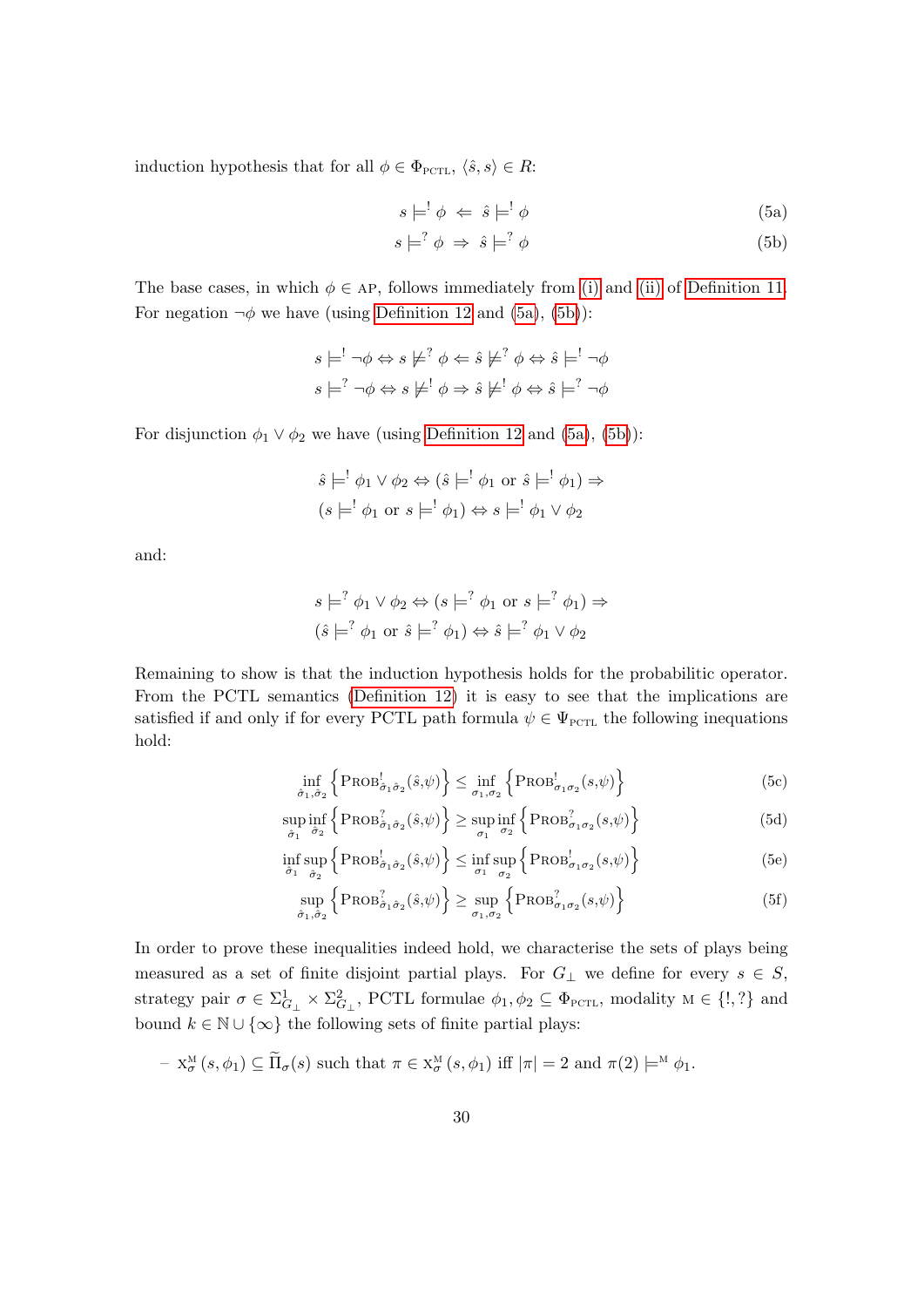induction hypothesis that for all  $\phi \in \Phi_{\text{PCTL}}, \langle \hat{s}, s \rangle \in R$ :

<span id="page-30-1"></span><span id="page-30-0"></span>
$$
s \models^! \phi \iff \hat{s} \models^! \phi \tag{5a}
$$

$$
s \models^? \phi \Rightarrow \hat{s} \models^? \phi \tag{5b}
$$

The base cases, in which  $\phi \in AP$ , follows immediately from [\(i\)](#page-11-3) and [\(ii\)](#page-11-4) of [Definition 11.](#page-11-2) For negation  $\neg \phi$  we have (using [Definition 12](#page-13-1) and [\(5a\)](#page-30-0), [\(5b\)](#page-30-1)):

$$
s \models^! \neg \phi \Leftrightarrow s \not\models^? \phi \Leftrightarrow \hat{s} \not\models^? \phi \Leftrightarrow \hat{s} \models^! \neg \phi
$$
  

$$
s \models^? \neg \phi \Leftrightarrow s \not\models^! \phi \Rightarrow \hat{s} \not\models^! \phi \Leftrightarrow \hat{s} \models^? \neg \phi
$$

For disjunction  $\phi_1 \lor \phi_2$  we have (using [Definition 12](#page-13-1) and [\(5a\)](#page-30-0), [\(5b\)](#page-30-1)):

$$
\hat{s} \models^! \phi_1 \lor \phi_2 \Leftrightarrow (\hat{s} \models^! \phi_1 \text{ or } \hat{s} \models^! \phi_1) \Rightarrow
$$
  

$$
(s \models^! \phi_1 \text{ or } s \models^! \phi_1) \Leftrightarrow s \models^! \phi_1 \lor \phi_2
$$

and:

$$
s \models^? \phi_1 \lor \phi_2 \Leftrightarrow (s \models^? \phi_1 \text{ or } s \models^? \phi_1) \Rightarrow
$$
  

$$
(\hat{s} \models^? \phi_1 \text{ or } \hat{s} \models^? \phi_1) \Leftrightarrow \hat{s} \models^? \phi_1 \lor \phi_2
$$

Remaining to show is that the induction hypothesis holds for the probabilitic operator. From the PCTL semantics [\(Definition 12\)](#page-13-1) it is easy to see that the implications are satisfied if and only if for every PCTL path formula  $\psi \in \Psi_{\text{PCTL}}$  the following inequations hold:

<span id="page-30-3"></span><span id="page-30-2"></span>
$$
\inf_{\hat{\sigma}_1, \hat{\sigma}_2} \left\{ \text{PROB}_{\hat{\sigma}_1 \hat{\sigma}_2}^{\dagger}(\hat{s}, \psi) \right\} \le \inf_{\sigma_1, \sigma_2} \left\{ \text{PROB}_{\sigma_1 \sigma_2}^{\dagger}(s, \psi) \right\} \tag{5c}
$$

$$
\sup_{\hat{\sigma}_1} \inf_{\hat{\sigma}_2} \left\{ \text{PROB}_{\hat{\sigma}_1 \hat{\sigma}_2}^2(\hat{s}, \psi) \right\} \ge \sup_{\sigma_1} \inf_{\sigma_2} \left\{ \text{PROB}_{\sigma_1 \sigma_2}^2(s, \psi) \right\} \tag{5d}
$$

$$
\inf_{\hat{\sigma}_1} \sup_{\hat{\sigma}_2} \left\{ \text{PROB}_{\hat{\sigma}_1 \hat{\sigma}_2}^{\dagger}(\hat{s}, \psi) \right\} \le \inf_{\sigma_1} \sup_{\sigma_2} \left\{ \text{PROB}_{\sigma_1 \sigma_2}^{\dagger}(s, \psi) \right\} \tag{5e}
$$

<span id="page-30-5"></span><span id="page-30-4"></span>
$$
\sup_{\hat{\sigma}_1, \hat{\sigma}_2} \left\{ \text{PROB}_{\hat{\sigma}_1 \hat{\sigma}_2}^2(\hat{s}, \psi) \right\} \ge \sup_{\sigma_1, \sigma_2} \left\{ \text{PROB}_{\sigma_1 \sigma_2}^2(s, \psi) \right\} \tag{5f}
$$

In order to prove these inequalities indeed hold, we characterise the sets of plays being measured as a set of finite disjoint partial plays. For  $G_{\perp}$  we define for every  $s \in S$ , strategy pair  $\sigma \in \Sigma_{G_\perp}^1 \times \Sigma_{G_\perp}^2$ , PCTL formulae  $\phi_1, \phi_2 \subseteq \Phi_{\text{PCTL}}$ , modality  $M \in \{!,?\}$  and bound  $k \in \mathbb{N} \cup \{\infty\}$  the following sets of finite partial plays:

$$
- X_{\sigma}^{\mathcal{M}}(s, \phi_1) \subseteq \widetilde{\Pi}_{\sigma}(s) \text{ such that } \pi \in X_{\sigma}^{\mathcal{M}}(s, \phi_1) \text{ iff } |\pi| = 2 \text{ and } \pi(2) \models^{\mathcal{M}} \phi_1.
$$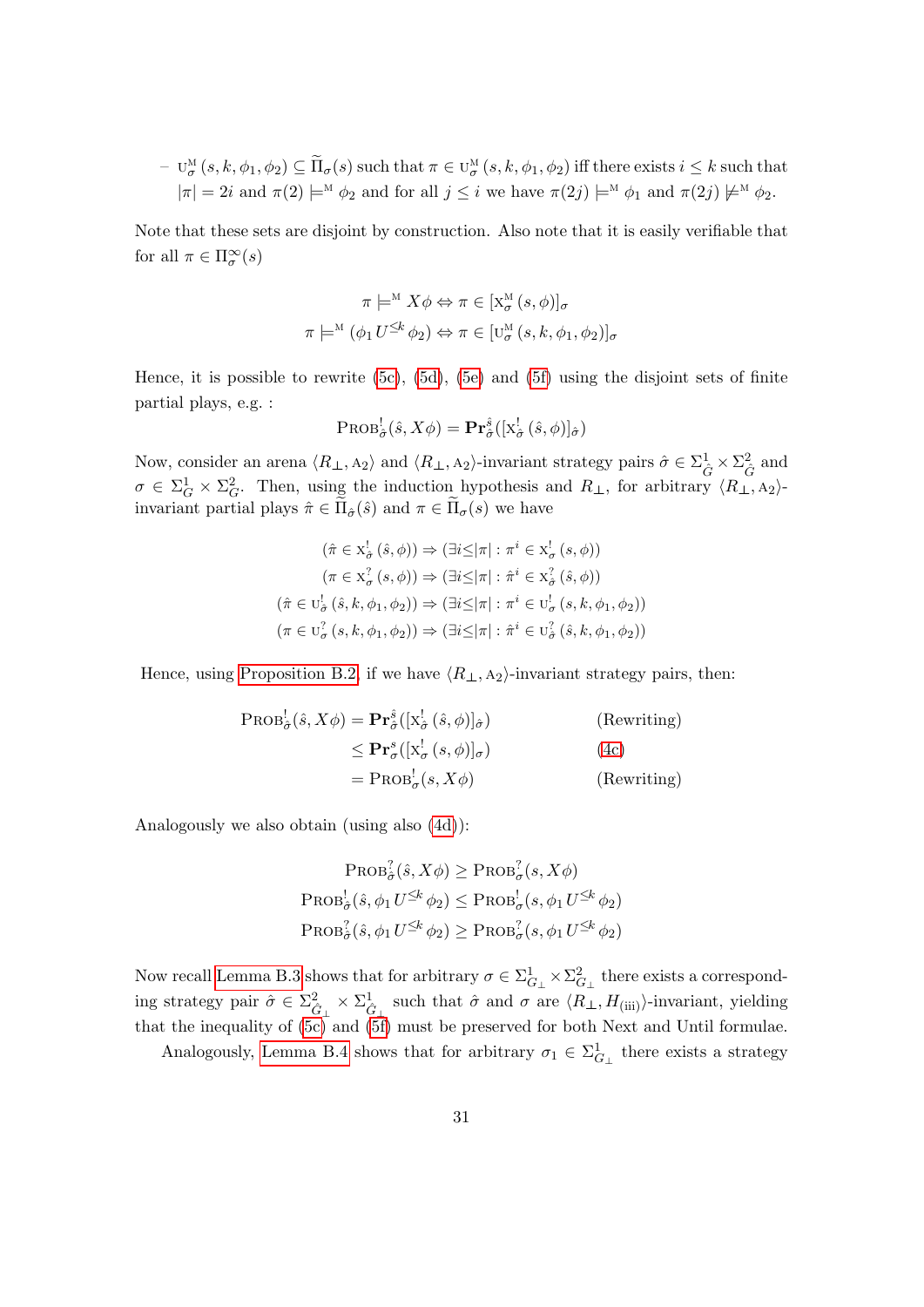$- U_{\sigma}^{\text{M}}$  $\sigma^M_\sigma(s, k, \phi_1, \phi_2) \subseteq \widetilde{\Pi}_\sigma(s)$  such that  $\pi \in \mathbb{U}^M_\sigma$  $_{\sigma}^{\text{M}}\left(s,k,\phi_1,\phi_2\right)$  iff there exists  $i\leq k$  such that  $|\pi| = 2i$  and  $\pi(2) \models^{\mathcal{M}} \phi_2$  and for all  $j \leq i$  we have  $\pi(2j) \models^{\mathcal{M}} \phi_1$  and  $\pi(2j) \not\models^{\mathcal{M}} \phi_2$ .

Note that these sets are disjoint by construction. Also note that it is easily verifiable that for all  $\pi \in \Pi^{\infty}_{\sigma}(s)$ 

$$
\pi \models^{\mathcal{M}} X \phi \Leftrightarrow \pi \in [X_{\sigma}^{\mathcal{M}}(s, \phi)]_{\sigma}
$$

$$
\pi \models^{\mathcal{M}} (\phi_1 U^{\leq k} \phi_2) \Leftrightarrow \pi \in [\mathcal{U}_{\sigma}^{\mathcal{M}}(s, k, \phi_1, \phi_2)]_{\sigma}
$$

Hence, it is possible to rewrite  $(5c)$ ,  $(5d)$ ,  $(5e)$  and  $(5f)$  using the disjoint sets of finite partial plays, e.g. :

$$
\text{PROB}_{\hat{\sigma}}^{\text{!`}}(\hat{s}, X\phi) = \mathbf{Pr}_{\hat{\sigma}}^{\hat{s}}([\mathbf{x}^{\text{!`}}_{\hat{\sigma}}(\hat{s}, \phi)]_{\hat{\sigma}})
$$

Now, consider an arena  $\langle R_{\perp}, A_2 \rangle$  and  $\langle R_{\perp}, A_2 \rangle$ -invariant strategy pairs  $\hat{\sigma} \in \Sigma_{\hat{G}}^1 \times \Sigma_{\hat{G}}^2$  and  $\sigma \in \Sigma_G^1 \times \Sigma_G^2$ . Then, using the induction hypothesis and  $R_{\perp}$ , for arbitrary  $\langle R_{\perp} \rangle$ , A<sub>2</sub>)invariant partial plays  $\hat{\pi} \in \Pi_{\hat{\sigma}}(\hat{s})$  and  $\pi \in \Pi_{\sigma}(s)$  we have

$$
(\hat{\pi} \in X_{\hat{\sigma}}^{\perp}(\hat{s}, \phi)) \Rightarrow (\exists i \leq |\pi| : \pi^{i} \in X_{\sigma}^{\perp}(s, \phi))
$$

$$
(\pi \in X_{\sigma}^{2}(s, \phi)) \Rightarrow (\exists i \leq |\pi| : \hat{\pi}^{i} \in X_{\hat{\sigma}}^{2}(\hat{s}, \phi))
$$

$$
(\hat{\pi} \in U_{\sigma}^{\perp}(\hat{s}, k, \phi_{1}, \phi_{2})) \Rightarrow (\exists i \leq |\pi| : \pi^{i} \in U_{\sigma}^{\perp}(s, k, \phi_{1}, \phi_{2}))
$$

$$
(\pi \in U_{\sigma}^{2}(s, k, \phi_{1}, \phi_{2})) \Rightarrow (\exists i \leq |\pi| : \hat{\pi}^{i} \in U_{\sigma}^{2}(\hat{s}, k, \phi_{1}, \phi_{2}))
$$

Hence, using [Proposition B.2,](#page-26-0) if we have  $\langle R_{\perp}, A_2 \rangle$ -invariant strategy pairs, then:

$$
\begin{aligned} \text{PROB}_{\hat{\sigma}}^{!}(\hat{s}, X\phi) &= \mathbf{Pr}_{\hat{\sigma}}^{\hat{s}}([\mathbf{x}_{\hat{\sigma}}^{!}(\hat{s}, \phi)]_{\hat{\sigma}}) \quad (\text{Rewriting}) \\ &\leq \mathbf{Pr}_{\sigma}^{s}([\mathbf{x}_{\sigma}^{!}(s, \phi)]_{\sigma}) \quad (\text{4c}) \\ &= \text{PROB}_{\sigma}^{!}(s, X\phi) \quad (\text{Rewriting}) \end{aligned}
$$

Analogously we also obtain (using also [\(4d\)](#page-27-3)):

$$
\operatorname{Prob}_{\hat{\sigma}}^2(\hat{s}, X\phi) \ge \operatorname{Prob}_{\sigma}^2(s, X\phi)
$$
  

$$
\operatorname{Prob}_{\hat{\sigma}}^1(\hat{s}, \phi_1 U^{\le k} \phi_2) \le \operatorname{Prob}_{\sigma}^1(s, \phi_1 U^{\le k} \phi_2)
$$
  

$$
\operatorname{Prob}_{\hat{\sigma}}^2(\hat{s}, \phi_1 U^{\le k} \phi_2) \ge \operatorname{Prob}_{\sigma}^2(s, \phi_1 U^{\le k} \phi_2)
$$

Now recall [Lemma B.3](#page-29-0) shows that for arbitrary  $\sigma \in \Sigma^1_{G_\perp} \times \Sigma^2_{G_\perp}$  there exists a corresponding strategy pair  $\hat{\sigma} \in \sum_{\hat{G}_{\perp}}^2 \times \sum_{\hat{G}_{\perp}}^1$  such that  $\hat{\sigma}$  and  $\sigma$  are  $\langle R_{\perp}, H_{\text{(iii)}} \rangle$ -invariant, yielding that the inequality of  $(5c)$  and  $(5f)$  must be preserved for both Next and Until formulae.

Analogously, [Lemma B.4](#page-29-1) shows that for arbitrary  $\sigma_1 \in \Sigma_{G_\perp}^1$  there exists a strategy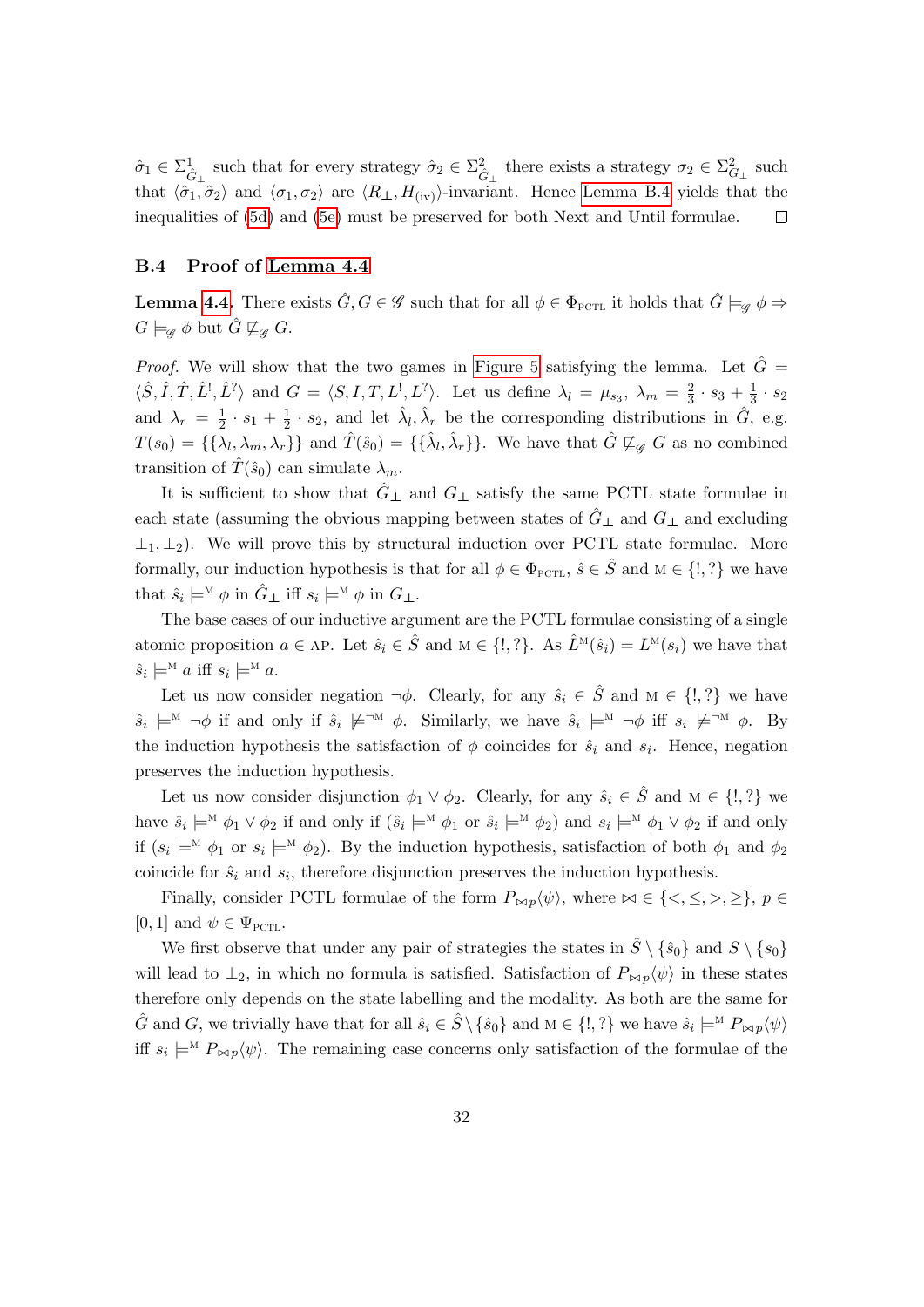$\hat{\sigma}_1 \in \Sigma^1_{\hat{G}_\perp}$  such that for every strategy  $\hat{\sigma}_2 \in \Sigma^2_{\hat{G}_\perp}$  there exists a strategy  $\sigma_2 \in \Sigma^2_{G_\perp}$  such that  $\langle \hat{\sigma}_1, \hat{\sigma}_2 \rangle$  and  $\langle \sigma_1, \sigma_2 \rangle$  are  $\langle R_\perp, H_{\text{(iv)}} \rangle$ -invariant. Hence [Lemma B.4](#page-29-1) yields that the inequalities of [\(5d\)](#page-30-3) and [\(5e\)](#page-30-4) must be preserved for both Next and Until formulae.  $\Box$ 

#### <span id="page-32-0"></span>B.4 Proof of [Lemma 4.4](#page-14-2)

**Lemma [4.4.](#page-14-2)** There exists  $\hat{G}, G \in \mathscr{G}$  such that for all  $\phi \in \Phi_{\text{PCTL}}$  it holds that  $\hat{G} \models_{\mathscr{G}} \phi \Rightarrow$  $G \models_{\mathscr{G}} \phi$  but  $\hat{G} \not\sqsubseteq_{\mathscr{G}} G$ .

*Proof.* We will show that the two games in [Figure 5](#page-15-2) satisfying the lemma. Let  $\hat{G} =$  $\langle \hat{S}, \hat{I}, \hat{T}, \hat{L}^{\dagger}, \hat{L}^{\dagger} \rangle$  and  $G = \langle S, I, T, L^{\dagger}, L^{\dagger} \rangle$ . Let us define  $\lambda_l = \mu_{s_3}, \lambda_m = \frac{2}{3}$  $\frac{2}{3} \cdot s_3 + \frac{1}{3}$  $\frac{1}{3} \cdot s_2$ and  $\lambda_r = \frac{1}{2}$  $\frac{1}{2} \cdot s_1 + \frac{1}{2}$  $\frac{1}{2} \cdot s_2$ , and let  $\hat{\lambda}_l, \hat{\lambda}_r$  be the corresponding distributions in  $\hat{G}$ , e.g.  $T(s_0) = \{\{\lambda_l, \lambda_m, \lambda_r\}\}\$ and  $\hat{T}(\hat{s}_0) = \{\{\hat{\lambda}_l, \hat{\lambda}_r\}\}\$ . We have that  $\hat{G} \not\sqsubseteq_{\mathscr{G}} G$  as no combined transition of  $\hat{T}(\hat{s}_0)$  can simulate  $\lambda_m$ .

It is sufficient to show that  $\hat{G}_{\perp}$  and  $G_{\perp}$  satisfy the same PCTL state formulae in each state (assuming the obvious mapping between states of  $\hat{G}_{\perp}$  and  $G_{\perp}$  and excluding  $\perp_1, \perp_2$ ). We will prove this by structural induction over PCTL state formulae. More formally, our induction hypothesis is that for all  $\phi \in \Phi_{\text{PCTL}}$ ,  $\hat{s} \in \hat{S}$  and  $M \in \{!,?\}$  we have that  $\hat{s}_i \models^{\mathcal{M}} \phi$  in  $\hat{G}_{\perp}$  iff  $s_i \models^{\mathcal{M}} \phi$  in  $G_{\perp}$ .

The base cases of our inductive argument are the PCTL formulae consisting of a single atomic proposition  $a \in AP$ . Let  $\hat{s}_i \in \hat{S}$  and  $M \in \{!, ?\}$ . As  $\hat{L}^M(\hat{s}_i) = L^M(s_i)$  we have that  $\hat{s}_i \models^{\mathcal{M}} a \text{ iff } s_i \models^{\mathcal{M}} a.$ 

Let us now consider negation  $\neg \phi$ . Clearly, for any  $\hat{s}_i \in \hat{S}$  and  $M \in \{!, ?\}$  we have  $\hat{s}_i \models^{\mathcal{M}} \neg \phi$  if and only if  $\hat{s}_i \not\models^{\neg \mathcal{M}} \phi$ . Similarly, we have  $\hat{s}_i \models^{\mathcal{M}} \neg \phi$  iff  $s_i \not\models^{\neg \mathcal{M}} \phi$ . By the induction hypothesis the satisfaction of  $\phi$  coincides for  $\hat{s}_i$  and  $s_i$ . Hence, negation preserves the induction hypothesis.

Let us now consider disjunction  $\phi_1 \vee \phi_2$ . Clearly, for any  $\hat{s}_i \in \hat{S}$  and  $M \in \{!, ?\}$  we have  $\hat{s}_i \models^{\mathcal{M}} \phi_1 \lor \phi_2$  if and only if  $(\hat{s}_i \models^{\mathcal{M}} \phi_1 \text{ or } \hat{s}_i \models^{\mathcal{M}} \phi_2)$  and  $s_i \models^{\mathcal{M}} \phi_1 \lor \phi_2$  if and only if  $(s_i \models^{\mathcal{M}} \phi_1$  or  $s_i \models^{\mathcal{M}} \phi_2$ . By the induction hypothesis, satisfaction of both  $\phi_1$  and  $\phi_2$ coincide for  $\hat{s}_i$  and  $s_i$ , therefore disjunction preserves the induction hypothesis.

Finally, consider PCTL formulae of the form  $P_{\bowtie p}(\psi)$ , where  $\bowtie \in \{<,\leq,>,\geq\}, p \in$ [0, 1] and  $\psi \in \Psi_{\text{PCTL}}$ .

We first observe that under any pair of strategies the states in  $\hat{S} \setminus {\hat{s_0}}$  and  $S \setminus {s_0}$ will lead to  $\perp_2$ , in which no formula is satisfied. Satisfaction of  $P_{\bowtie p}(\psi)$  in these states therefore only depends on the state labelling and the modality. As both are the same for  $\hat{G}$  and  $G$ , we trivially have that for all  $\hat{s}_i \in \hat{S} \setminus {\hat{s}_0}$  and  $M \in \{!, ?\}$  we have  $\hat{s}_i \models^M P_{\bowtie p} \langle \psi \rangle$ iff  $s_i \models^M P_{\bowtie p}(\psi)$ . The remaining case concerns only satisfaction of the formulae of the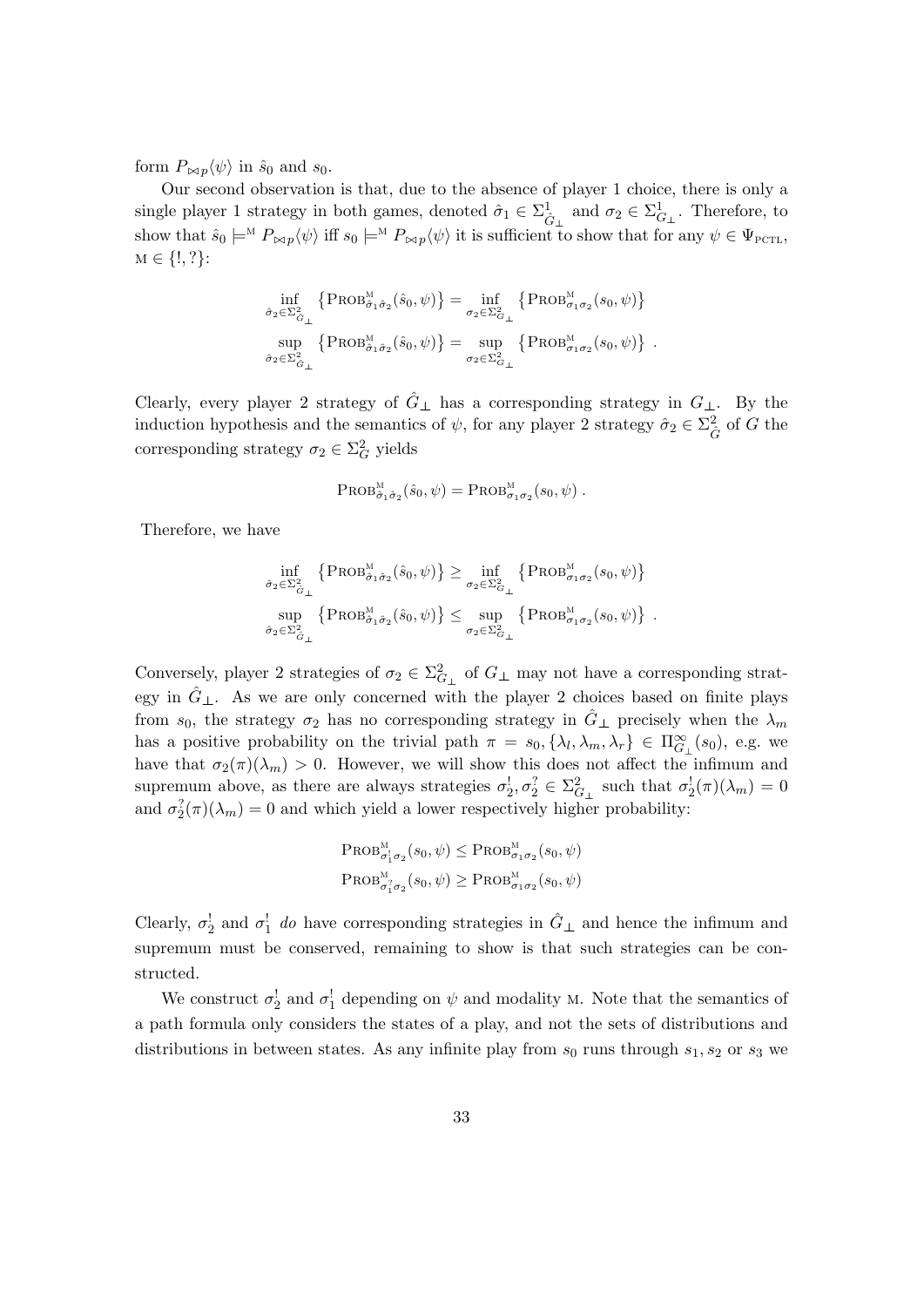form  $P_{\bowtie p} \langle \psi \rangle$  in  $\hat{s}_0$  and  $s_0$ .

Our second observation is that, due to the absence of player 1 choice, there is only a single player 1 strategy in both games, denoted  $\hat{\sigma}_1 \in \Sigma_{\hat{G}_\perp}^1$  and  $\sigma_2 \in \Sigma_{G_\perp}^1$ . Therefore, to show that  $\hat{s}_0 \models^M P_{\bowtie p} \langle \psi \rangle$  iff  $s_0 \models^M P_{\bowtie p} \langle \psi \rangle$  it is sufficient to show that for any  $\psi \in \Psi_{\text{PCTL}}$ ,  $M \in \{!, ?\}$ :

$$
\inf_{\hat{\sigma}_2 \in \Sigma^2_{\hat{G}_\perp}} \left\{ \text{PROB}_{\hat{\sigma}_1 \hat{\sigma}_2}^{\mathcal{M}}(\hat{s}_0, \psi) \right\} = \inf_{\sigma_2 \in \Sigma^2_{G_\perp}} \left\{ \text{PROB}_{\sigma_1 \sigma_2}^{\mathcal{M}}(s_0, \psi) \right\} \n\sup_{\hat{\sigma}_2 \in \Sigma^2_{\hat{G}_\perp}} \left\{ \text{PROB}_{\hat{\sigma}_1 \hat{\sigma}_2}^{\mathcal{M}}(s_0, \psi) \right\} = \sup_{\sigma_2 \in \Sigma^2_{G_\perp}} \left\{ \text{PROB}_{\sigma_1 \sigma_2}^{\mathcal{M}}(s_0, \psi) \right\} .
$$

Clearly, every player 2 strategy of  $\hat{G}_\perp$  has a corresponding strategy in  $G_\perp$ . By the induction hypothesis and the semantics of  $\psi$ , for any player 2 strategy  $\hat{\sigma}_2 \in \Sigma_{\hat{G}}^2$  of G the corresponding strategy  $\sigma_2 \in \Sigma_G^2$  yields

$$
\mathrm{PROB}_{\hat{\sigma}_1\hat{\sigma}_2}^{\mathrm{M}}(\hat{s}_0,\psi)=\mathrm{PROB}_{\sigma_1\sigma_2}^{\mathrm{M}}(s_0,\psi)\ .
$$

Therefore, we have

$$
\inf_{\hat{\sigma}_2 \in \Sigma^2_{\hat{G}_\perp}} \left\{ \text{PROB}_{\hat{\sigma}_1 \hat{\sigma}_2}^{\mathcal{M}}(\hat{s}_0, \psi) \right\} \ge \inf_{\sigma_2 \in \Sigma^2_{G_\perp}} \left\{ \text{PROB}_{\sigma_1 \sigma_2}^{\mathcal{M}}(s_0, \psi) \right\} \sup_{\hat{\sigma}_2 \in \Sigma^2_{\hat{G}_\perp}} \left\{ \text{PROB}_{\sigma_1 \hat{\sigma}_2}^{\mathcal{M}}(s_0, \psi) \right\} \le \sup_{\sigma_2 \in \Sigma^2_{G_\perp}} \left\{ \text{PROB}_{\sigma_1 \sigma_2}^{\mathcal{M}}(s_0, \psi) \right\} .
$$

Conversely, player 2 strategies of  $\sigma_2 \in \Sigma_{G_\perp}^2$  of  $G_\perp$  may not have a corresponding strategy in  $\hat{G}_{\perp}$ . As we are only concerned with the player 2 choices based on finite plays from  $s_0$ , the strategy  $\sigma_2$  has no corresponding strategy in  $\hat{G}_{\perp}$  precisely when the  $\lambda_m$ has a positive probability on the trivial path  $\pi = s_0, \{\lambda_l, \lambda_m, \lambda_r\} \in \Pi_{G_\perp}^{\infty}(s_0)$ , e.g. we have that  $\sigma_2(\pi)(\lambda_m) > 0$ . However, we will show this does not affect the infimum and supremum above, as there are always strategies  $\sigma_2^1, \sigma_2^2 \in \Sigma_{G_\perp}^2$  such that  $\sigma_2^1(\pi)(\lambda_m) = 0$ and  $\sigma_2^2(\pi)(\lambda_m) = 0$  and which yield a lower respectively higher probability:

$$
\text{PROB}_{\sigma_1^1 \sigma_2}^{\mathcal{M}}(s_0, \psi) \le \text{PROB}_{\sigma_1 \sigma_2}^{\mathcal{M}}(s_0, \psi)
$$
  

$$
\text{PROB}_{\sigma_1^2 \sigma_2}^{\mathcal{M}}(s_0, \psi) \ge \text{PROB}_{\sigma_1 \sigma_2}^{\mathcal{M}}(s_0, \psi)
$$

Clearly,  $\sigma_2^!$  and  $\sigma_1^!$  do have corresponding strategies in  $\hat{G}_{\perp}$  and hence the infimum and supremum must be conserved, remaining to show is that such strategies can be constructed.

We construct  $\sigma_2^!$  and  $\sigma_1^!$  depending on  $\psi$  and modality M. Note that the semantics of a path formula only considers the states of a play, and not the sets of distributions and distributions in between states. As any infinite play from  $s_0$  runs through  $s_1, s_2$  or  $s_3$  we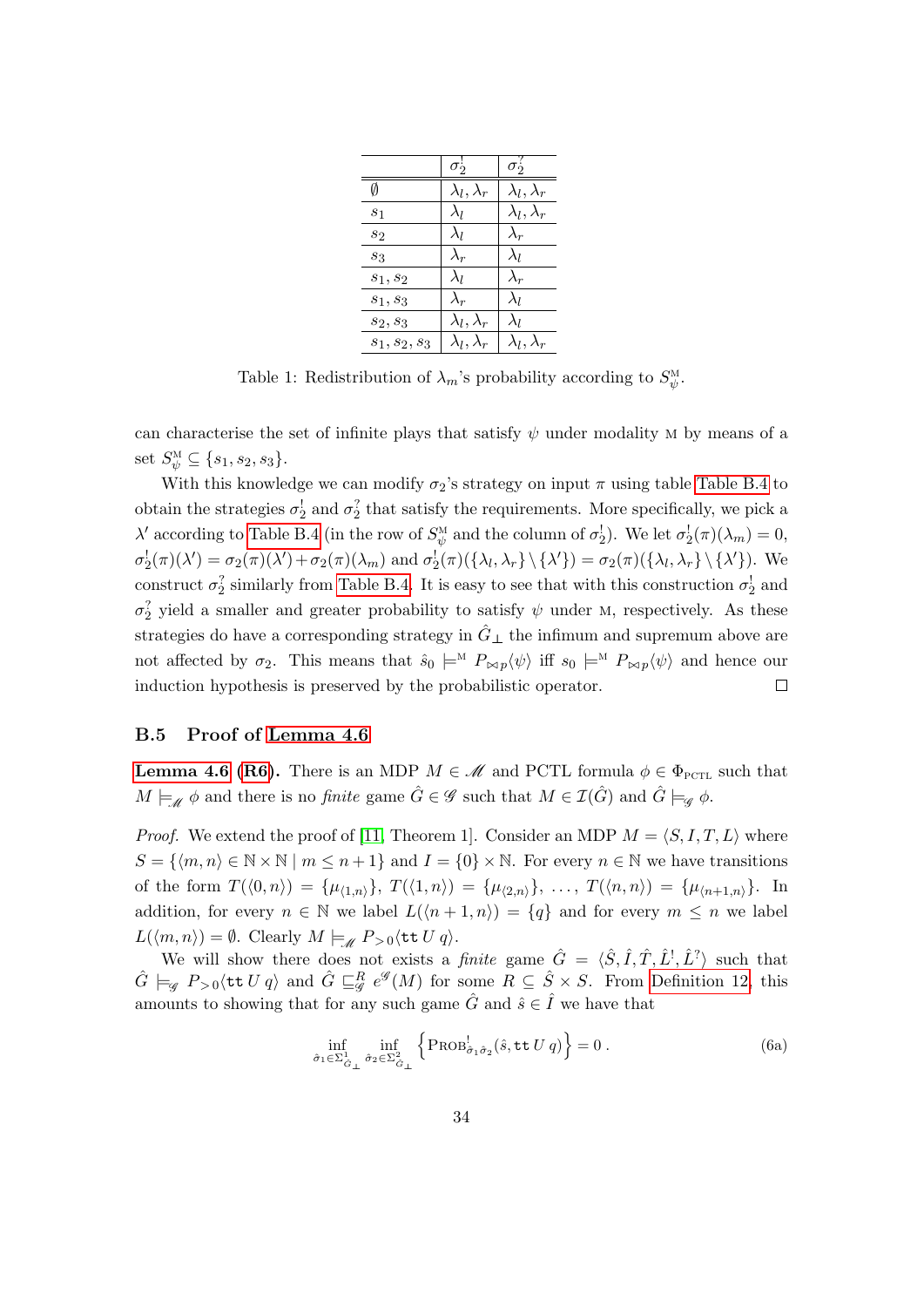|                 | $\sigma_2$             | $\sigma_2^f$           |
|-----------------|------------------------|------------------------|
| Ø               | $\lambda_l, \lambda_r$ | $\lambda_l, \lambda_r$ |
| $s_1$           | $\lambda_l$            | $\lambda_l, \lambda_r$ |
| $s_2$           | $\lambda_{l}$          | $\lambda_r$            |
| 83              | $\lambda_r$            | $\lambda_l$            |
| $s_1,s_2$       | $\lambda_l$            | $\lambda_r$            |
| $s_1,s_3$       | $\lambda_r$            | $\lambda_l$            |
| $s_2,s_3$       | $\lambda_l, \lambda_r$ | $\lambda_l$            |
| $s_1, s_2, s_3$ | $\lambda_l, \lambda_r$ | $\lambda_l, \lambda_r$ |

Table 1: Redistribution of  $\lambda_m$ 's probability according to  $S^M_{\psi}$  $\overset{'}{\psi}$  .

can characterise the set of infinite plays that satisfy  $\psi$  under modality M by means of a set  $S_{\psi}^{\text{M}} \subseteq \{s_1, s_2, s_3\}.$ 

With this knowledge we can modify  $\sigma_2$ 's strategy on input  $\pi$  using table [Table B.4](#page-32-0) to obtain the strategies  $\sigma_2^!$  and  $\sigma_2^?$  that satisfy the requirements. More specifically, we pick a  $\lambda'$  according to [Table B.4](#page-32-0) (in the row of  $S_{\eta}^{\text{M}}$  $\psi^{\text{M}}_{\psi}$  and the column of  $\sigma_2^!)$ . We let  $\sigma_2^!(\pi)(\lambda_m) = 0$ ,  $\sigma_2^!(\pi)(\lambda') = \sigma_2(\pi)(\lambda') + \sigma_2(\pi)(\lambda_m)$  and  $\sigma_2^!(\pi)(\{\lambda_l, \lambda_r\} \setminus {\{\lambda'\}}) = \sigma_2(\pi)(\{\lambda_l, \lambda_r\} \setminus {\{\lambda'\}})$ . We construct  $\sigma_2^2$  similarly from [Table B.4.](#page-32-0) It is easy to see that with this construction  $\sigma_2^1$  and  $\sigma_2^2$  yield a smaller and greater probability to satisfy  $\psi$  under M, respectively. As these strategies do have a corresponding strategy in  $\hat{G}_{\perp}$  the infimum and supremum above are not affected by  $\sigma_2$ . This means that  $\hat{s}_0 \models^M P_{\bowtie p}(\psi)$  iff  $s_0 \models^M P_{\bowtie p}(\psi)$  and hence our induction hypothesis is preserved by the probabilistic operator.  $\Box$ 

#### B.5 Proof of [Lemma 4.6](#page-15-3)

**[Lemma 4.6](#page-15-3) [\(R6\)](#page-9-0).** There is an MDP  $M \in \mathcal{M}$  and PCTL formula  $\phi \in \Phi_{\text{PCTL}}$  such that  $M \models_{\mathscr{M}} \phi$  and there is no *finite* game  $\hat{G} \in \mathscr{G}$  such that  $M \in \mathcal{I}(\hat{G})$  and  $\hat{G} \models_{\mathscr{G}} \phi$ .

*Proof.* We extend the proof of [\[11,](#page-18-14) Theorem 1]. Consider an MDP  $M = \langle S, I, T, L \rangle$  where  $S = \{ \langle m, n \rangle \in \mathbb{N} \times \mathbb{N} \mid m \leq n+1 \}$  and  $I = \{0\} \times \mathbb{N}$ . For every  $n \in \mathbb{N}$  we have transitions of the form  $T(\langle 0, n \rangle) = {\mu_{\langle 1,n \rangle}}, T(\langle 1, n \rangle) = {\mu_{\langle 2,n \rangle}}, \ldots, T(\langle n, n \rangle) = {\mu_{\langle n+1,n \rangle}}.$  In addition, for every  $n \in \mathbb{N}$  we label  $L(\langle n+1,n \rangle) = \{q\}$  and for every  $m \leq n$  we label  $L(\langle m, n \rangle) = \emptyset$ . Clearly  $M \models_{\mathscr{M}} P_{>0} \langle \texttt{tt } U q \rangle$ .

We will show there does not exists a *finite* game  $\hat{G} = \langle \hat{S}, \hat{I}, \hat{T}, \hat{L}^1, \hat{L}^2 \rangle$  such that  $\hat{G} \models_{\mathscr{G}} P_{>0} \langle \texttt{tt } U | q \rangle$  and  $\hat{G} \sqsubseteq_{\mathscr{G}}^R e^{\mathscr{G}}(M)$  for some  $R \subseteq \hat{S} \times S$ . From [Definition 12,](#page-13-1) this amounts to showing that for any such game  $\hat{G}$  and  $\hat{s} \in \hat{I}$  we have that

<span id="page-34-0"></span>
$$
\inf_{\hat{\sigma}_1 \in \Sigma^1_{\hat{G}_{\perp}}} \inf_{\hat{\sigma}_2 \in \Sigma^2_{\hat{G}_{\perp}}} \left\{ \text{PROB}_{\hat{\sigma}_1 \hat{\sigma}_2}^!(\hat{s}, \text{tt } U | q) \right\} = 0. \tag{6a}
$$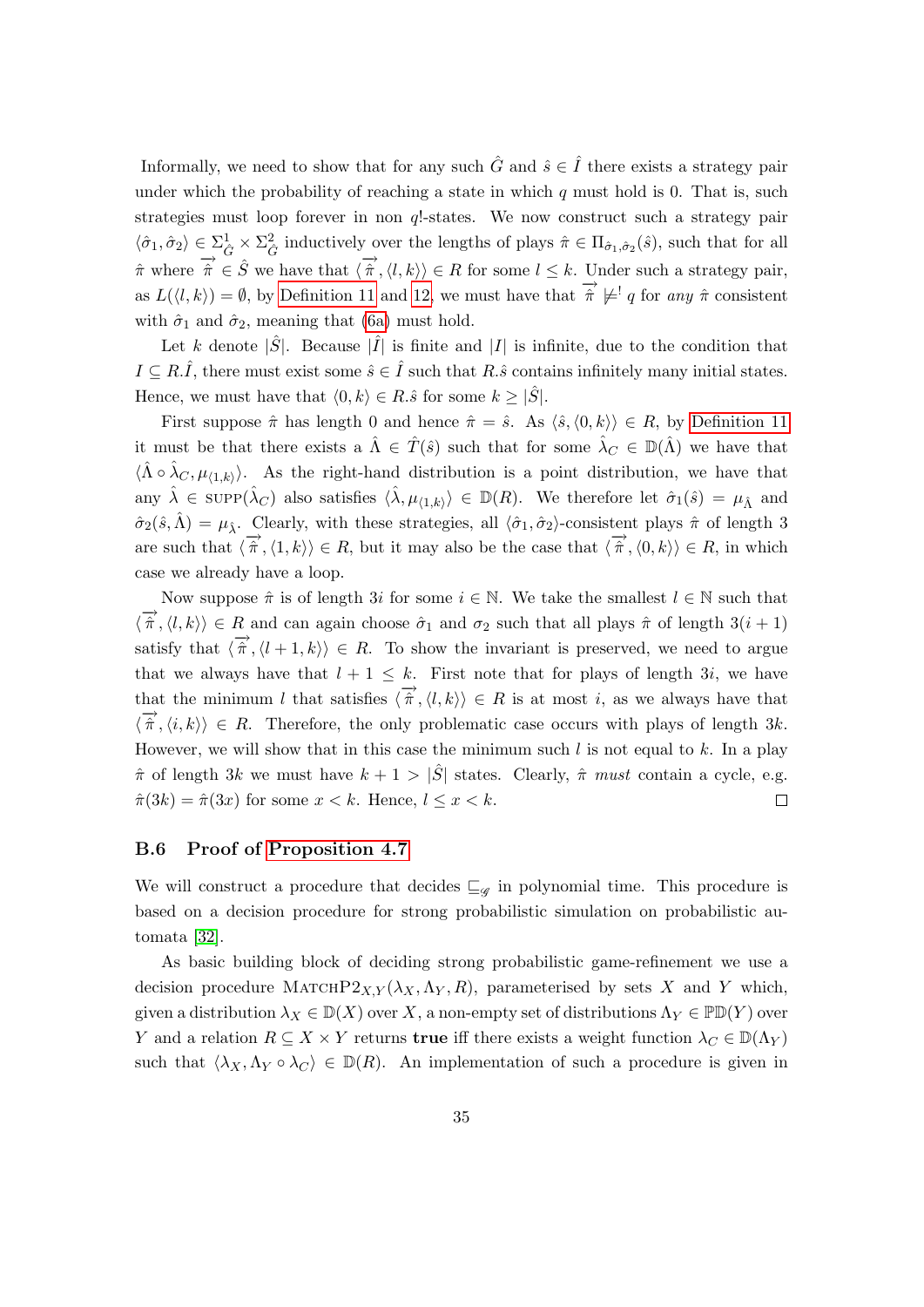Informally, we need to show that for any such  $\hat{G}$  and  $\hat{s} \in \hat{I}$  there exists a strategy pair under which the probability of reaching a state in which  $q$  must hold is 0. That is, such strategies must loop forever in non q!-states. We now construct such a strategy pair  $\langle \hat{\sigma}_1, \hat{\sigma}_2 \rangle \in \sum_{\hat{G}}^1 \times \sum_{\hat{G}}^2$  inductively over the lengths of plays  $\hat{\pi} \in \Pi_{\hat{\sigma}_1, \hat{\sigma}_2}(\hat{s})$ , such that for all  $\hat{\pi}$  where  $\hat{\pi} \in \hat{S}$  we have that  $\langle \hat{\pi}, \langle l, k \rangle \rangle \in R$  for some  $l \leq k$ . Under such a strategy pair, as  $L(\langle l, k \rangle) = \emptyset$ , by [Definition 11](#page-11-2) and [12,](#page-13-1) we must have that  $\hat{\pi} \not\models q$  for any  $\hat{\pi}$  consistent with  $\hat{\sigma}_1$  and  $\hat{\sigma}_2$ , meaning that [\(6a\)](#page-34-0) must hold.

Let k denote  $|\hat{S}|$ . Because  $|\hat{I}|$  is finite and  $|I|$  is infinite, due to the condition that  $I \subseteq R.\hat{I}$ , there must exist some  $\hat{s} \in \hat{I}$  such that  $R.\hat{s}$  contains infinitely many initial states. Hence, we must have that  $\langle 0, k \rangle \in R.\hat{s}$  for some  $k \geq |\hat{S}|$ .

First suppose  $\hat{\pi}$  has length 0 and hence  $\hat{\pi} = \hat{s}$ . As  $\langle \hat{s}, \langle 0, k \rangle \rangle \in R$ , by [Definition 11](#page-11-2) it must be that there exists a  $\hat{\Lambda} \in \hat{T}(\hat{s})$  such that for some  $\hat{\lambda}_C \in \mathbb{D}(\hat{\Lambda})$  we have that  $\langle \hat{\Lambda} \circ \hat{\lambda}_C, \mu_{\langle 1,k \rangle} \rangle$ . As the right-hand distribution is a point distribution, we have that any  $\hat{\lambda} \in \text{supp}(\hat{\lambda}_C)$  also satisfies  $\langle \hat{\lambda}, \mu_{\langle 1,k \rangle} \rangle \in \mathbb{D}(R)$ . We therefore let  $\hat{\sigma}_1(\hat{s}) = \mu_{\hat{\Lambda}}$  and  $\hat{\sigma}_2(\hat{s},\hat{\Lambda}) = \mu_{\hat{\Lambda}}$ . Clearly, with these strategies, all  $\langle \hat{\sigma}_1, \hat{\sigma}_2 \rangle$ -consistent plays  $\hat{\pi}$  of length 3 are such that  $\langle \overrightarrow{\hat{\pi}}, \langle 1, k \rangle \rangle \in R$ , but it may also be the case that  $\langle \overrightarrow{\hat{\pi}}, \langle 0, k \rangle \rangle \in R$ , in which case we already have a loop.

Now suppose  $\hat{\pi}$  is of length 3i for some  $i \in \mathbb{N}$ . We take the smallest  $l \in \mathbb{N}$  such that  $\langle \vec{\hat{\pi}}, \langle l, k \rangle \rangle \in R$  and can again choose  $\hat{\sigma}_1$  and  $\sigma_2$  such that all plays  $\hat{\pi}$  of length  $3(i + 1)$ satisfy that  $\langle \overrightarrow{\hat{\pi}}, \langle l+1, k \rangle \rangle \in R$ . To show the invariant is preserved, we need to argue that we always have that  $l + 1 \leq k$ . First note that for plays of length 3i, we have that the minimum l that satisfies  $\langle \hat{\pi}, \langle l, k \rangle \rangle \in R$  is at most i, as we always have that  $\langle \overrightarrow{\hat{\pi}}, \langle i,k \rangle \rangle \in R$ . Therefore, the only problematic case occurs with plays of length 3k. However, we will show that in this case the minimum such  $l$  is not equal to  $k$ . In a play  $\hat{\pi}$  of length 3k we must have  $k + 1 > |\hat{S}|$  states. Clearly,  $\hat{\pi}$  must contain a cycle, e.g.  $\hat{\pi}(3k) = \hat{\pi}(3x)$  for some  $x < k$ . Hence,  $l \leq x < k$ .  $\Box$ 

#### B.6 Proof of [Proposition 4.7](#page-16-0)

We will construct a procedure that decides  $\sqsubseteq_{\mathscr{G}}$  in polynomial time. This procedure is based on a decision procedure for strong probabilistic simulation on probabilistic automata [\[32\]](#page-19-7).

As basic building block of deciding strong probabilistic game-refinement we use a decision procedure MATCHP2<sub>X,Y</sub> ( $\lambda_X$ ,  $\Lambda_Y$ , R), parameterised by sets X and Y which, given a distribution  $\lambda_X \in D(X)$  over X, a non-empty set of distributions  $\Lambda_Y \in \mathbb{P}D(Y)$  over Y and a relation  $R \subseteq X \times Y$  returns **true** iff there exists a weight function  $\lambda_C \in D(\Lambda_Y)$ such that  $\langle \lambda_X, \Lambda_Y \circ \lambda_C \rangle \in \mathbb{D}(R)$ . An implementation of such a procedure is given in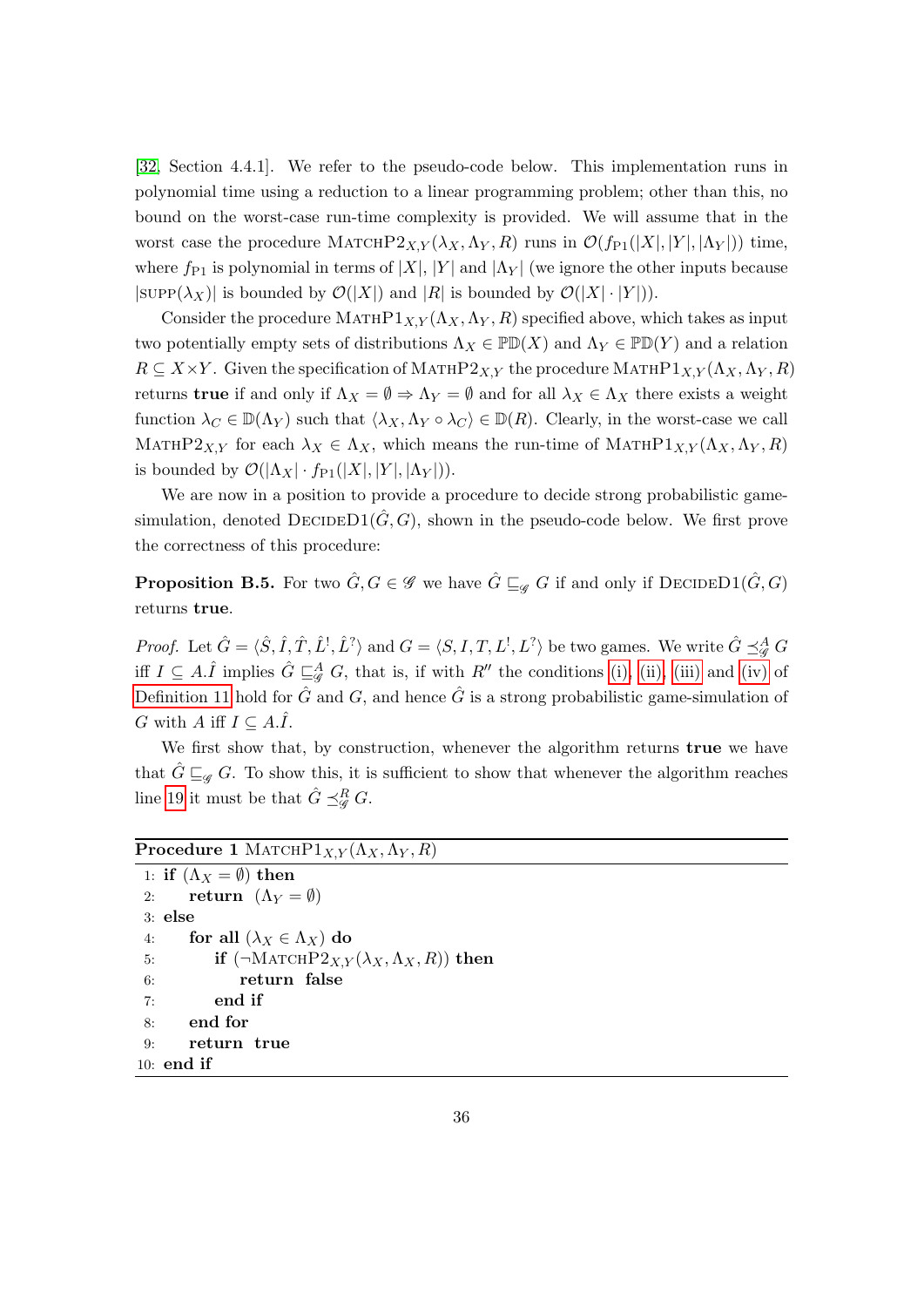[\[32,](#page-19-7) Section 4.4.1]. We refer to the pseudo-code below. This implementation runs in polynomial time using a reduction to a linear programming problem; other than this, no bound on the worst-case run-time complexity is provided. We will assume that in the worst case the procedure MATCHP2<sub>X,Y</sub> ( $\lambda_X, \Lambda_Y, R$ ) runs in  $\mathcal{O}(f_{P1}(|X|, |Y|, |\Lambda_Y|))$  time, where  $f_{P1}$  is polynomial in terms of  $|X|, |Y|$  and  $|\Lambda_Y|$  (we ignore the other inputs because  $|\text{supp}(\lambda_X)|$  is bounded by  $\mathcal{O}(|X|)$  and  $|R|$  is bounded by  $\mathcal{O}(|X| \cdot |Y|)$ .

Consider the procedure  $MATHP1_{X,Y}(\Lambda_X, \Lambda_Y, R)$  specified above, which takes as input two potentially empty sets of distributions  $\Lambda_X \in \mathbb{P} \mathbb{D}(X)$  and  $\Lambda_Y \in \mathbb{P} \mathbb{D}(Y)$  and a relation  $R \subseteq X \times Y$ . Given the specification of MATHP2 $_{X,Y}$  the procedure MATHP1 $_{X,Y}(\Lambda_X, \Lambda_Y, R)$ returns **true** if and only if  $\Lambda_X = \emptyset \Rightarrow \Lambda_Y = \emptyset$  and for all  $\lambda_X \in \Lambda_X$  there exists a weight function  $\lambda_C \in \mathbb{D}(\Lambda_Y)$  such that  $\langle \lambda_X, \Lambda_Y \circ \lambda_C \rangle \in \mathbb{D}(R)$ . Clearly, in the worst-case we call MATHP2<sub>X,Y</sub> for each  $\lambda_X \in \Lambda_X$ , which means the run-time of MATHP1<sub>X,Y</sub> ( $\Lambda_X$ ,  $\Lambda_Y$ , R) is bounded by  $\mathcal{O}(|\Lambda_X| \cdot f_{P1}(|X|, |Y|, |\Lambda_Y|)).$ 

We are now in a position to provide a procedure to decide strong probabilistic gamesimulation, denoted  $\text{DECIDED1}(\hat{G}, G)$ , shown in the pseudo-code below. We first prove the correctness of this procedure:

<span id="page-36-2"></span>**Proposition B.5.** For two  $\hat{G}, G \in \mathscr{G}$  we have  $\hat{G} \sqsubseteq_{\mathscr{G}} G$  if and only if  $\text{DecIDED1}(\hat{G}, G)$ returns true.

*Proof.* Let  $\hat{G} = \langle \hat{S}, \hat{I}, \hat{T}, \hat{L}^!, \hat{L}^? \rangle$  and  $G = \langle S, I, T, L^!, L^? \rangle$  be two games. We write  $\hat{G} \preceq^A_{\mathscr{G}} G$ iff  $I \subseteq A.\hat{I}$  implies  $\hat{G} \sqsubseteq_{\mathscr{G}}^A G$ , that is, if with  $R''$  the conditions [\(i\),](#page-11-3) [\(ii\),](#page-11-4) [\(iii\)](#page-12-0) and [\(iv\)](#page-12-1) of [Definition 11](#page-11-2) hold for  $\hat{G}$  and  $G$ , and hence  $\hat{G}$  is a strong probabilistic game-simulation of G with A iff  $I \subseteq A.\hat{I}$ .

We first show that, by construction, whenever the algorithm returns **true** we have that  $\hat{G} \sqsubseteq_{\mathscr{G}} G$ . To show this, it is sufficient to show that whenever the algorithm reaches line [19](#page-37-0) it must be that  $\hat{G} \preceq^R_{\mathscr{G}} G$ .

### <span id="page-36-1"></span>Procedure 1 MATCH $P1_{X,Y}(\Lambda_X, \Lambda_Y, R)$

```
1: if (\Lambda_X = \emptyset) then
 2: return (\Lambda_Y = \emptyset)3: else
 4: for all (\lambda_X \in \Lambda_X) do
 5: if (\neg \text{MATCHP2}_{X,Y}(\lambda_X, \Lambda_X, R)) then
 6: return false
 7: end if
 8: end for
 9: return true
10: end if
```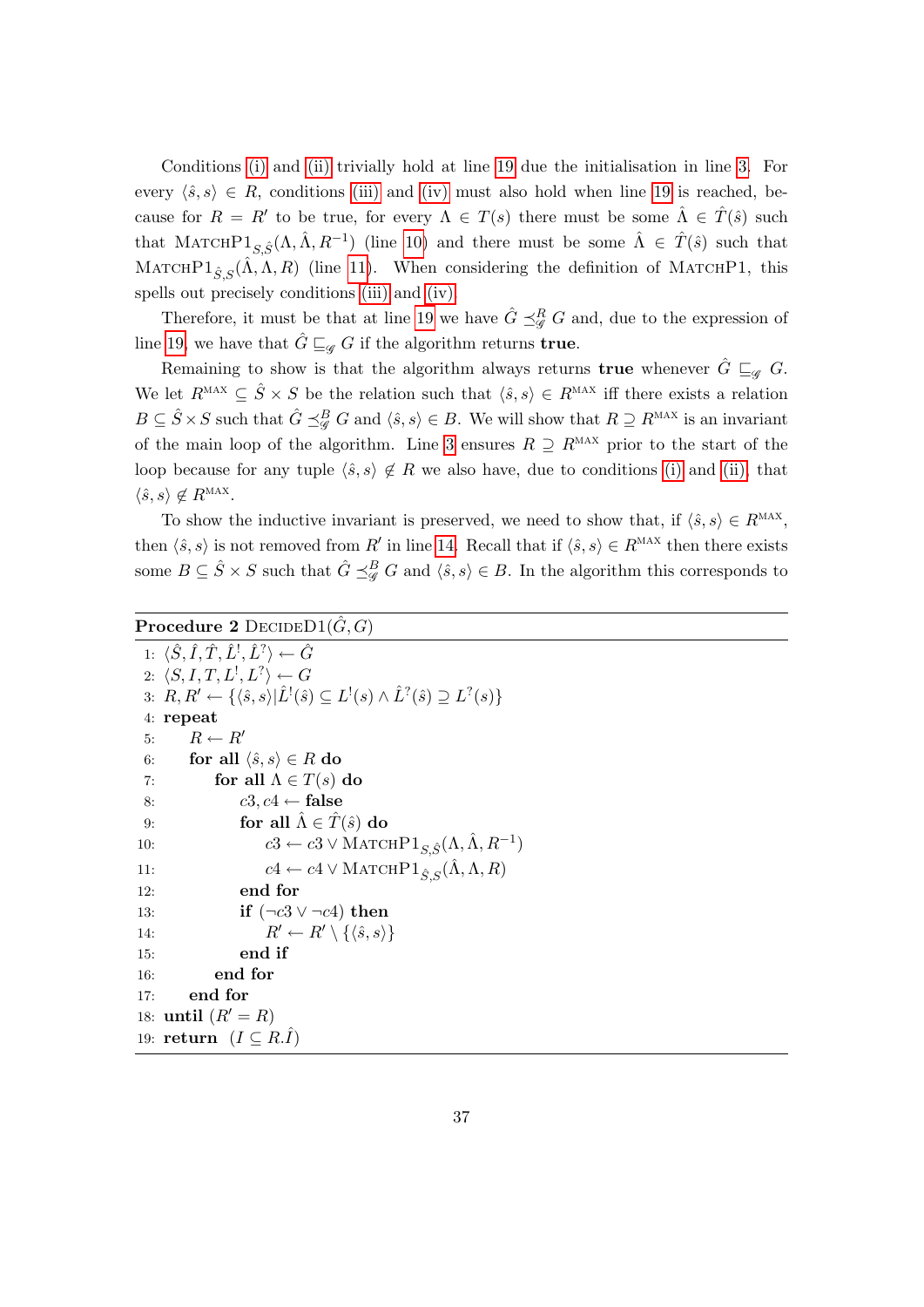Conditions [\(i\)](#page-11-3) and [\(ii\)](#page-11-4) trivially hold at line [19](#page-37-0) due the initialisation in line [3.](#page-36-0) For every  $\langle \hat{s}, s \rangle \in R$ , conditions [\(iii\)](#page-12-0) and [\(iv\)](#page-12-1) must also hold when line [19](#page-37-0) is reached, because for  $R = R'$  to be true, for every  $\Lambda \in T(s)$  there must be some  $\hat{\Lambda} \in \hat{T}(\hat{s})$  such that MATCHP $1_{S,\hat{S}}(\Lambda,\hat{\Lambda},R^{-1})$  (line [10\)](#page-36-1) and there must be some  $\hat{\Lambda} \in \hat{T}(\hat{s})$  such that MATCHP1<sub> $\hat{S}_{\hat{S}}(\hat{\Lambda}, \Lambda, R)$  (line [11\)](#page-37-1). When considering the definition of MATCHP1, this</sub> spells out precisely conditions [\(iii\)](#page-12-0) and [\(iv\).](#page-12-1)

Therefore, it must be that at line [19](#page-37-0) we have  $\hat{G} \preceq^R_{\mathscr{G}} G$  and, due to the expression of line [19,](#page-37-0) we have that  $\hat{G} \sqsubseteq_{\mathscr{G}} G$  if the algorithm returns true.

Remaining to show is that the algorithm always returns **true** whenever  $\hat{G} \sqsubseteq_{\mathscr{A}} G$ . We let  $R^{MAX} \subseteq \hat{S} \times S$  be the relation such that  $\langle \hat{s}, s \rangle \in R^{MAX}$  iff there exists a relation  $B \subseteq \hat{S} \times S$  such that  $\hat{G} \preceq^B_{\mathscr{G}} G$  and  $\langle \hat{s}, s \rangle \in B$ . We will show that  $R \supseteq R^{\text{MAX}}$  is an invariant of the main loop of the algorithm. Line [3](#page-36-0) ensures  $R \supseteq R^{\text{MAX}}$  prior to the start of the loop because for any tuple  $\langle \hat{s}, s \rangle \notin R$  we also have, due to conditions [\(i\)](#page-11-3) and [\(ii\),](#page-11-4) that  $\langle \hat{s}, s \rangle \notin R^{\text{MAX}}.$ 

To show the inductive invariant is preserved, we need to show that, if  $\langle \hat{s}, s \rangle \in R^{\text{MAX}}$ , then  $\langle \hat{s}, s \rangle$  is not removed from R' in line [14.](#page-37-2) Recall that if  $\langle \hat{s}, s \rangle \in R^{MAX}$  then there exists some  $B \subseteq \hat{S} \times S$  such that  $\hat{G} \preceq^B_{\mathscr{G}} G$  and  $\langle \hat{s}, s \rangle \in B$ . In the algorithm this corresponds to

```
Procedure 2 DECIDED1(\hat{G}, G)
```
<span id="page-37-2"></span><span id="page-37-1"></span>

|     | 1: $\langle \hat{S}, \hat{I}, \hat{T}, \hat{L}^{\dagger}, \hat{L}^{\dagger} \rangle \leftarrow \hat{G}$                                                                 |
|-----|-------------------------------------------------------------------------------------------------------------------------------------------------------------------------|
|     | 2: $\langle S, I, T, L^1, L^2 \rangle \leftarrow G$                                                                                                                     |
|     | 3: $R, R' \leftarrow \{ \langle \hat{s}, s \rangle   \hat{L}^{\dagger}(\hat{s}) \subseteq L^{\dagger}(s) \wedge \hat{L}^{\dagger}(\hat{s}) \supseteq L^{\dagger}(s) \}$ |
|     | 4: repeat                                                                                                                                                               |
|     | $R \leftarrow R'$<br>5:                                                                                                                                                 |
| 6:  | for all $\langle \hat{s}, s \rangle \in R$ do                                                                                                                           |
| 7:  | for all $\Lambda \in T(s)$ do                                                                                                                                           |
| 8:  | $c3, c4 \leftarrow false$                                                                                                                                               |
| 9:  | for all $\hat{\Lambda} \in \hat{T}(\hat{s})$ do                                                                                                                         |
| 10: | $c3 \leftarrow c3 \vee \text{MATCHP1}_{S,\hat{S}}(\Lambda, \Lambda, R^{-1})$                                                                                            |
| 11: | $c4 \leftarrow c4 \vee \text{MATCHP1}_{\hat{S},S}(\hat{\Lambda}, \Lambda, R)$                                                                                           |
| 12: | end for                                                                                                                                                                 |
| 13: | if $(\neg c3 \lor \neg c4)$ then                                                                                                                                        |
| 14: | $R' \leftarrow R' \setminus \{\langle \hat{s}, s \rangle\}$                                                                                                             |
| 15: | end if                                                                                                                                                                  |
| 16: | end for                                                                                                                                                                 |
| 17: | end for                                                                                                                                                                 |
|     | 18: until $(R' = R)$                                                                                                                                                    |
|     | 19: return $(I \subseteq R.\hat{I})$                                                                                                                                    |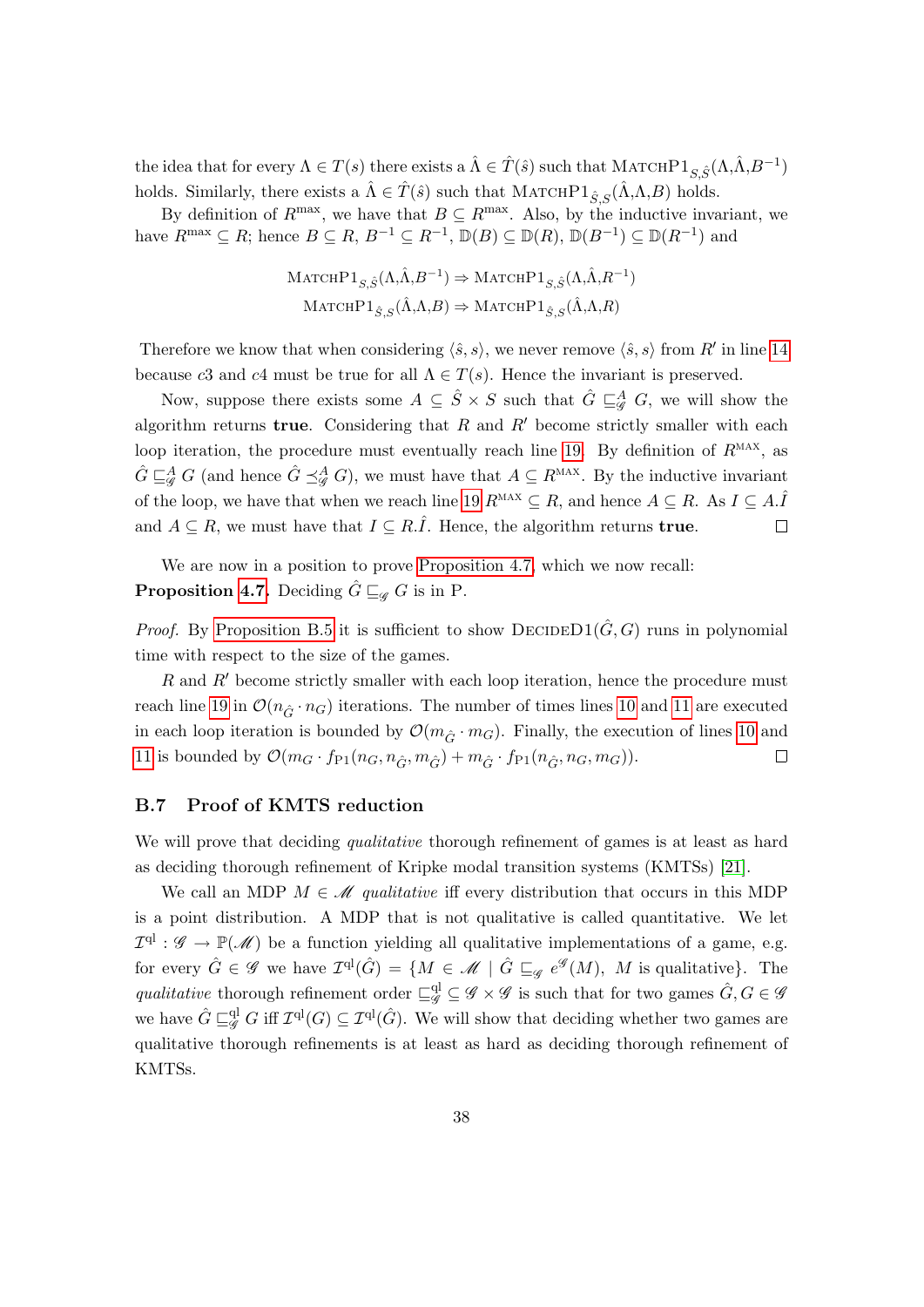the idea that for every  $\Lambda \in T(s)$  there exists a  $\hat{\Lambda} \in \hat{T}(\hat{s})$  such that  $\text{MATCHP1}_{S,\hat{S}}(\Lambda,\hat{\Lambda},B^{-1})$ holds. Similarly, there exists a  $\hat{\Lambda} \in \hat{T}(\hat{s})$  such that MATCHP1 $_{\hat{S},S}(\hat{\Lambda}, \Lambda, B)$  holds.

By definition of  $R^{\max}$ , we have that  $B \subseteq R^{\max}$ . Also, by the inductive invariant, we have  $R^{\max} \subseteq R$ ; hence  $B \subseteq R$ ,  $B^{-1} \subseteq R^{-1}$ ,  $\mathbb{D}(B) \subseteq \mathbb{D}(R)$ ,  $\mathbb{D}(B^{-1}) \subseteq \mathbb{D}(R^{-1})$  and

$$
\begin{aligned} \text{MatchPl}_{S,\hat{S}}(\Lambda,\hat{\Lambda},B^{-1}) &\Rightarrow \text{MatchPl}_{S,\hat{S}}(\Lambda,\hat{\Lambda},R^{-1})\\ \text{MatchPl}_{\hat{S},S}(\hat{\Lambda},\Lambda,B) &\Rightarrow \text{MatchPl}_{\hat{S},S}(\hat{\Lambda},\Lambda,R) \end{aligned}
$$

Therefore we know that when considering  $\langle \hat{s}, s \rangle$ , we never remove  $\langle \hat{s}, s \rangle$  from R' in line [14](#page-37-2) because c3 and c4 must be true for all  $\Lambda \in T(s)$ . Hence the invariant is preserved.

Now, suppose there exists some  $A \subseteq \hat{S} \times S$  such that  $\hat{G} \sqsubseteq_{\mathscr{G}}^A G$ , we will show the algorithm returns true. Considering that  $R$  and  $R'$  become strictly smaller with each loop iteration, the procedure must eventually reach line [19.](#page-37-0) By definition of  $R<sup>MAX</sup>$ , as  $\hat{G} \sqsubseteq_{\mathscr{G}}^A G$  (and hence  $\hat{G} \preceq_{\mathscr{G}}^A G$ ), we must have that  $A \subseteq R^{\text{MAX}}$ . By the inductive invariant of the loop, we have that when we reach line [19](#page-37-0)  $R^{MAX} \subseteq R$ , and hence  $A \subseteq R$ . As  $I \subseteq A.\hat{I}$ and  $A \subseteq R$ , we must have that  $I \subseteq R.\hat{I}$ . Hence, the algorithm returns **true**.  $\Box$ 

We are now in a position to prove [Proposition 4.7,](#page-16-0) which we now recall: **Proposition [4.7.](#page-16-0)** Deciding  $\hat{G} \sqsubseteq_{\mathscr{G}} G$  is in P.

*Proof.* By [Proposition B.5](#page-36-2) it is sufficient to show  $\text{DECIDED1}(\hat{G}, G)$  runs in polynomial time with respect to the size of the games.

 $R$  and  $R'$  become strictly smaller with each loop iteration, hence the procedure must reach line [19](#page-37-0) in  $\mathcal{O}(n_{\hat{G}} \cdot n_G)$  iterations. The number of times lines [10](#page-36-1) and [11](#page-37-1) are executed in each loop iteration is bounded by  $\mathcal{O}(m_{\hat{G}} \cdot m_G)$ . Finally, the execution of lines [10](#page-36-1) and [11](#page-37-1) is bounded by  $\mathcal{O}(m_G \cdot f_{P1}(n_G, n_{\hat{G}}, m_{\hat{G}}) + m_{\hat{G}} \cdot f_{P1}(n_{\hat{G}}, n_G, m_G)).$  $\Box$ 

#### B.7 Proof of KMTS reduction

We will prove that deciding *qualitative* thorough refinement of games is at least as hard as deciding thorough refinement of Kripke modal transition systems (KMTSs) [\[21\]](#page-18-16).

We call an MDP  $M \in \mathcal{M}$  qualitative iff every distribution that occurs in this MDP is a point distribution. A MDP that is not qualitative is called quantitative. We let  $\mathcal{I}^{\text{ql}}$  :  $\mathscr{G} \to \mathbb{P}(\mathscr{M})$  be a function yielding all qualitative implementations of a game, e.g. for every  $\hat{G} \in \mathscr{G}$  we have  $\mathcal{I}^{\mathrm{ql}}(\hat{G}) = \{ M \in \mathscr{M} \mid \hat{G} \sqsubseteq_{\mathscr{G}} e^{\mathscr{G}}(M), M \text{ is qualitative}\}.$  The qualitative thorough refinement order  $\Box_g^{\text{ql}} \subseteq \mathscr{G} \times \mathscr{G}$  is such that for two games  $\hat{G}, G \in \mathscr{G}$ we have  $\hat{G} \sqsubseteq^{\mathrm{ql}}_{\mathscr{G}} G$  iff  $\mathcal{I}^{\mathrm{ql}}(G) \subseteq \mathcal{I}^{\mathrm{ql}}(\hat{G})$ . We will show that deciding whether two games are qualitative thorough refinements is at least as hard as deciding thorough refinement of KMTSs.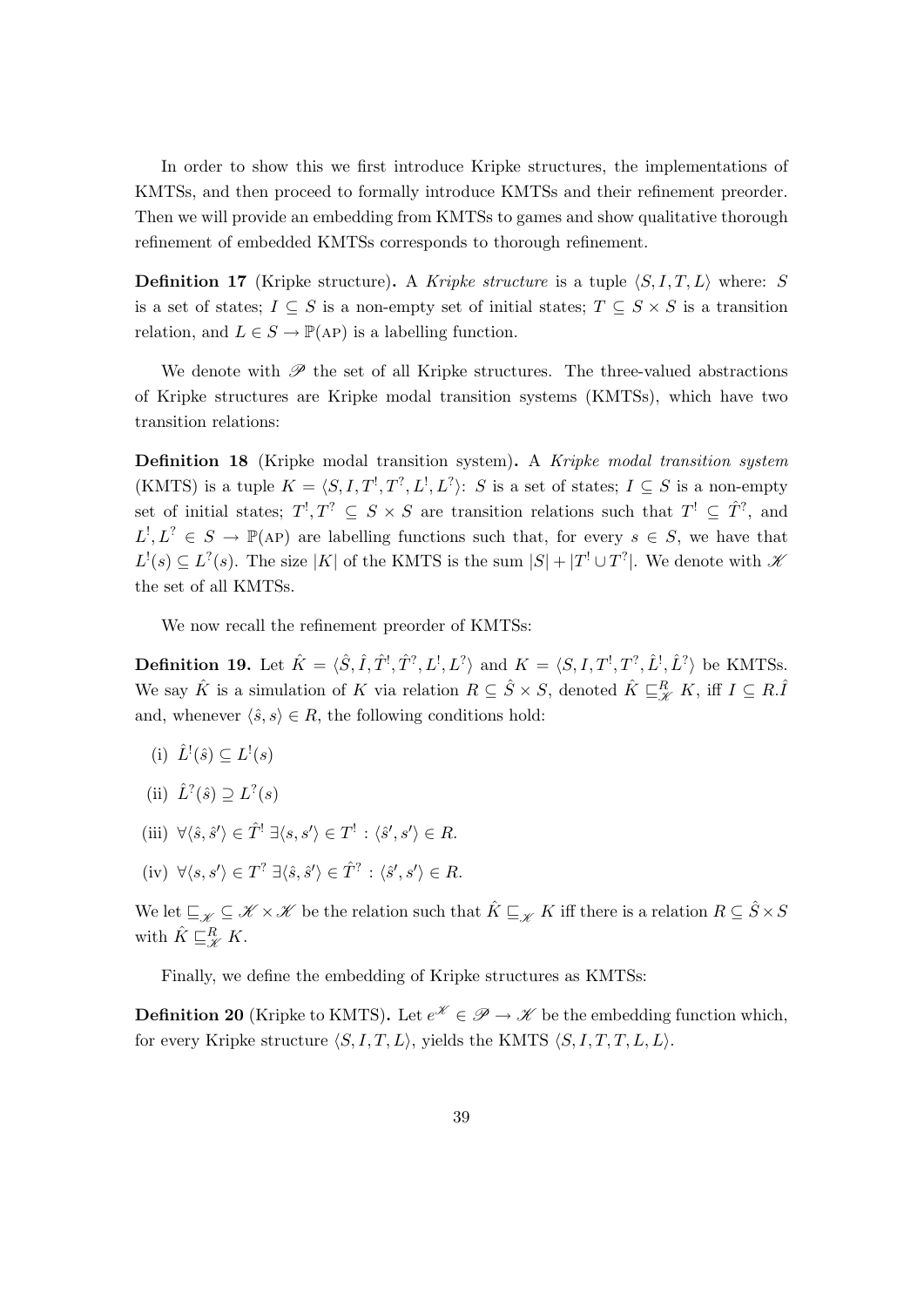In order to show this we first introduce Kripke structures, the implementations of KMTSs, and then proceed to formally introduce KMTSs and their refinement preorder. Then we will provide an embedding from KMTSs to games and show qualitative thorough refinement of embedded KMTSs corresponds to thorough refinement.

**Definition 17** (Kripke structure). A Kripke structure is a tuple  $\langle S, I, T, L \rangle$  where: S is a set of states;  $I \subseteq S$  is a non-empty set of initial states;  $T \subseteq S \times S$  is a transition relation, and  $L \in S \to \mathbb{P}(AP)$  is a labelling function.

We denote with  $\mathscr P$  the set of all Kripke structures. The three-valued abstractions of Kripke structures are Kripke modal transition systems (KMTSs), which have two transition relations:

Definition 18 (Kripke modal transition system). A Kripke modal transition system (KMTS) is a tuple  $K = \langle S, I, T^!, T^?, L^!, L^? \rangle$ : S is a set of states;  $I \subseteq S$  is a non-empty set of initial states;  $T^!, T^? \subseteq S \times S$  are transition relations such that  $T^! \subseteq \hat{T}^?$ , and  $L^!, L^? \in S \to \mathbb{P}(AP)$  are labelling functions such that, for every  $s \in S$ , we have that  $L^!(s) \subseteq L^?$  (s). The size |K| of the KMTS is the sum  $|S| + |T^! \cup T^?|$ . We denote with  $\mathscr K$ the set of all KMTSs.

We now recall the refinement preorder of KMTSs:

<span id="page-39-1"></span>**Definition 19.** Let  $\hat{K} = \langle \hat{S}, \hat{I}, \hat{T}^1, \hat{T}^7, L^1, L^7 \rangle$  and  $K = \langle S, I, T^1, T^7, \hat{L}^1, \hat{L}^7 \rangle$  be KMTSs. We say  $\hat{K}$  is a simulation of K via relation  $R \subseteq \hat{S} \times S$ , denoted  $\hat{K} \sqsubseteq_R^R K$ , iff  $I \subseteq R.\hat{I}$ and, whenever  $\langle \hat{s}, s \rangle \in R$ , the following conditions hold:

- (i)  $\hat{L}^!(\hat{s}) \subseteq L^!(s)$
- (ii)  $\hat{L}^?(\hat{s}) \supseteq L^?(s)$
- <span id="page-39-2"></span>(iii)  $\forall \langle \hat{s}, \hat{s}' \rangle \in \hat{T}^! \; \exists \langle s, s' \rangle \in T^! : \langle \hat{s}', s' \rangle \in R.$
- <span id="page-39-3"></span> $(iv) \ \forall \langle s, s' \rangle \in T^? \ \exists \langle \hat{s}, \hat{s}' \rangle \in \hat{T}^? : \langle \hat{s}', s' \rangle \in R.$

We let  $\subseteq_{\mathscr{K}} \subseteq \mathscr{K} \times \mathscr{K}$  be the relation such that  $\hat{K} \subseteq_{\mathscr{K}} K$  iff there is a relation  $R \subseteq \hat{S} \times S$ with  $\hat{K} \sqsubseteq_{\mathscr{K}}^R K$ .

Finally, we define the embedding of Kripke structures as KMTSs:

<span id="page-39-0"></span>**Definition 20** (Kripke to KMTS). Let  $e^{\mathscr{K}} \in \mathscr{P} \to \mathscr{K}$  be the embedding function which, for every Kripke structure  $\langle S, I, T, L \rangle$ , yields the KMTS  $\langle S, I, T, T, L, L \rangle$ .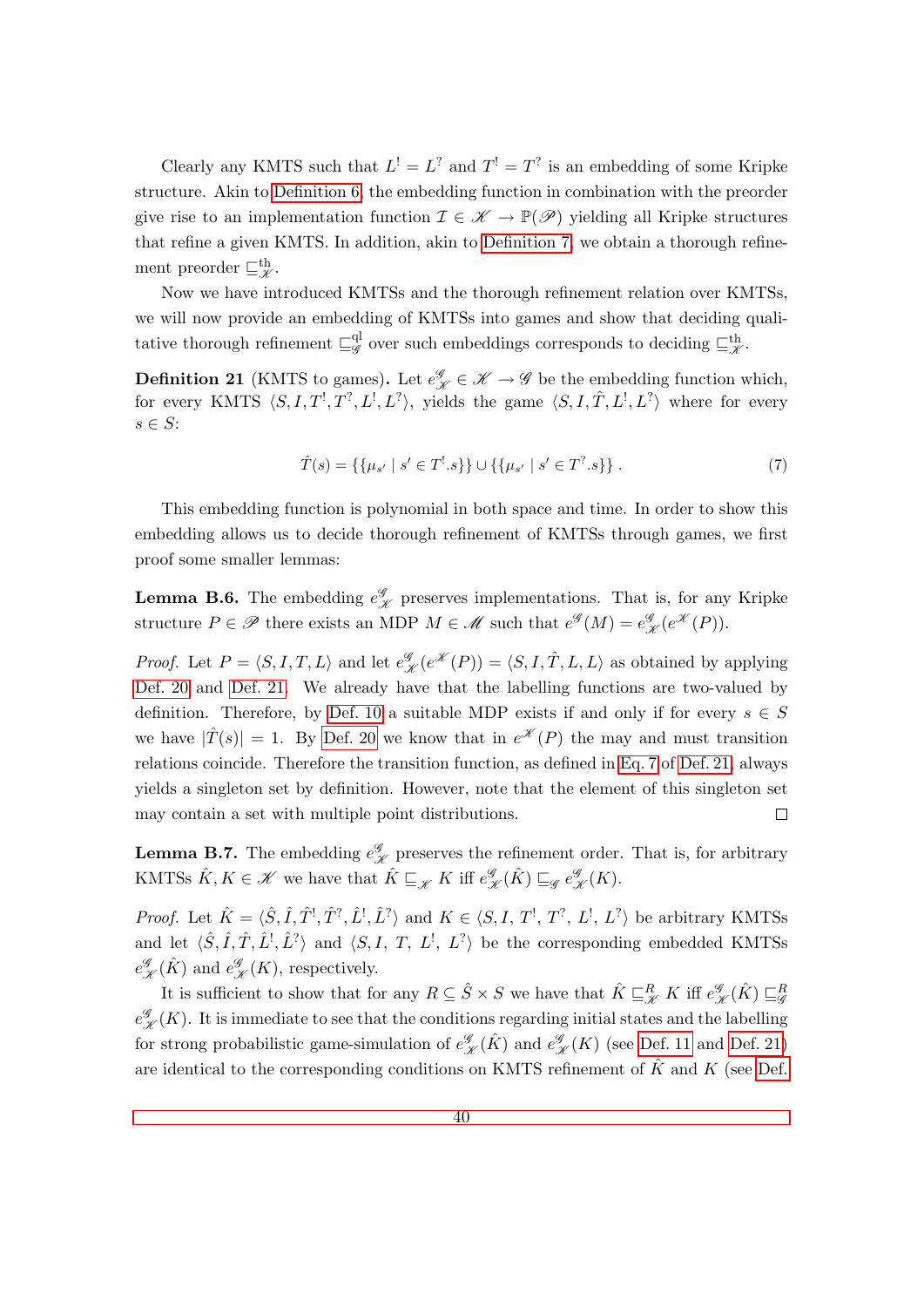Clearly any KMTS such that  $L^! = L^?$  and  $T^! = T^?$  is an embedding of some Kripke structure. Akin to [Definition 6,](#page-7-3) the embedding function in combination with the preorder give rise to an implementation function  $\mathcal{I} \in \mathcal{K} \to \mathbb{P}(\mathcal{P})$  yielding all Kripke structures that refine a given KMTS. In addition, akin to [Definition 7,](#page-7-5) we obtain a thorough refinement preorder  $\sqsubseteq^{\text{th}}_{\mathscr{K}}$ .

Now we have introduced KMTSs and the thorough refinement relation over KMTSs, we will now provide an embedding of KMTSs into games and show that deciding qualitative thorough refinement  $\sqsubseteq_q^{\mathrm{ql}}$  $\mathcal{G}^{\text{ul}}_{\mathscr{G}}$  over such embeddings corresponds to deciding  $\sqsubseteq^{\text{th}}_{\mathscr{K}}$ .

<span id="page-40-0"></span>**Definition 21** (KMTS to games). Let  $e^{\mathscr{G}}_{\mathscr{K}} \in \mathscr{K} \to \mathscr{G}$  be the embedding function which, for every KMTS  $\langle S, I, T^!, T^?, L^!, L^? \rangle$ , yields the game  $\langle S, I, \hat{T}, L^!, L^? \rangle$  where for every  $s \in S$ :

<span id="page-40-1"></span>
$$
\hat{T}(s) = \{ \{\mu_{s'} \mid s' \in T^! . s \} \} \cup \{ \{\mu_{s'} \mid s' \in T^? . s \} \} .
$$
\n(7)

This embedding function is polynomial in both space and time. In order to show this embedding allows us to decide thorough refinement of KMTSs through games, we first proof some smaller lemmas:

<span id="page-40-3"></span>**Lemma B.6.** The embedding  $e_{\mathcal{K}}^{\mathcal{G}}$  preserves implementations. That is, for any Kripke structure  $P \in \mathscr{P}$  there exists an MDP  $M \in \mathscr{M}$  such that  $e^{\mathscr{G}}(M) = e^{\mathscr{G}}_{\mathscr{K}}(e^{\mathscr{K}}(P)).$ 

*Proof.* Let  $P = \langle S, I, T, L \rangle$  and let  $e_{\mathcal{K}}^{\mathcal{G}}(e^{\mathcal{K}}(P)) = \langle S, I, \hat{T}, L, L \rangle$  as obtained by applying [Def. 20](#page-39-0) and [Def. 21.](#page-40-0) We already have that the labelling functions are two-valued by definition. Therefore, by [Def. 10](#page-11-1) a suitable MDP exists if and only if for every  $s \in S$ we have  $|\hat{T}(s)| = 1$ . By [Def. 20](#page-39-0) we know that in  $e^{\mathscr{K}}(P)$  the may and must transition relations coincide. Therefore the transition function, as defined in [Eq. 7](#page-40-1) of [Def. 21,](#page-40-0) always yields a singleton set by definition. However, note that the element of this singleton set may contain a set with multiple point distributions.  $\Box$ 

<span id="page-40-2"></span>**Lemma B.7.** The embedding  $e^{\mathscr{G}}_{\mathscr{K}}$  preserves the refinement order. That is, for arbitrary KMTSs  $\hat{K}, K \in \mathscr{K}$  we have that  $\hat{K} \sqsubseteq_{\mathscr{K}} K$  iff  $e_{\mathscr{K}}^{\mathscr{G}}(\hat{K}) \sqsubseteq_{\mathscr{G}} e_{\mathscr{K}}^{\mathscr{G}}(K)$ .

*Proof.* Let  $\hat{K} = \langle \hat{S}, \hat{I}, \hat{T}^!, \hat{T}^?, \hat{L}^!, \hat{L}^? \rangle$  and  $K \in \langle S, I, T^!, T^?, L^!, L^? \rangle$  be arbitrary KMTSs and let  $\langle \hat{S}, \hat{I}, \hat{T}, \hat{L}^1, \hat{L}^2 \rangle$  and  $\langle S, I, T, L^1, L^2 \rangle$  be the corresponding embedded KMTSs  $e^{\mathscr{G}}_{\mathscr{K}}(\hat{K})$  and  $e^{\mathscr{G}}_{\mathscr{K}}(K)$ , respectively.

It is sufficient to show that for any  $R \subseteq \hat{S} \times S$  we have that  $\hat{K} \sqsubseteq_{\mathscr{K}}^R K$  iff  $e_{\mathscr{K}}^{\mathscr{G}}(\hat{K}) \sqsubseteq_{\mathscr{G}}^R$  $e_{\mathscr{K}}^{\mathscr{G}}(K)$ . It is immediate to see that the conditions regarding initial states and the labelling for strong probabilistic game-simulation of  $e_{\mathcal{K}}^{\mathcal{G}}(\hat{K})$  and  $e_{\mathcal{K}}^{\mathcal{G}}(K)$  (see [Def. 11](#page-11-2) and [Def. 21\)](#page-40-0) are identical to the corresponding conditions on KMTS refinement of  $\hat{K}$  and K (see [Def.](#page-39-1)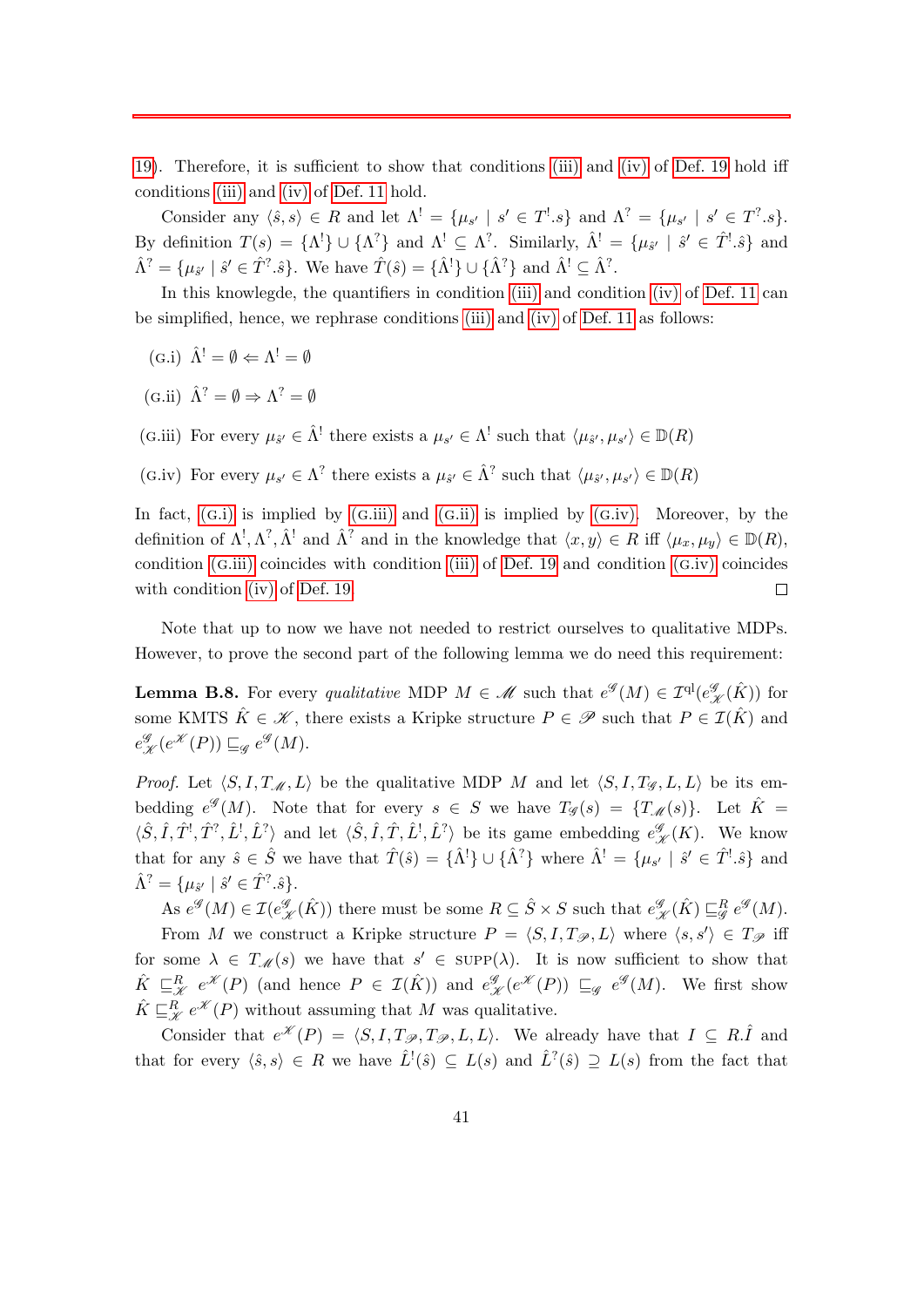[19\)](#page-39-1). Therefore, it is sufficient to show that conditions [\(iii\)](#page-39-2) and [\(iv\)](#page-39-3) of [Def. 19](#page-39-1) hold iff conditions [\(iii\)](#page-12-0) and [\(iv\)](#page-12-1) of [Def. 11](#page-11-2) hold.

Consider any  $\langle \hat{s}, s \rangle \in R$  and let  $\Lambda^! = {\mu_{s'} \mid s' \in T^! . s}$  and  $\Lambda^? = {\mu_{s'} \mid s' \in T^? . s}$ . By definition  $T(s) = {\Lambda<sup>!</sup>} \cup {\Lambda<sup>?</sup>}$  and  $\Lambda<sup>!</sup> \subseteq \Lambda<sup>?</sup>$ . Similarly,  $\hat{\Lambda}<sup>!</sup> = {\mu_{\hat{s'}} \mid \hat{s'} \in \hat{T}<sup>!</sup>}$  and  $\hat{\Lambda}^? = \{\mu_{\hat{s}'} \mid \hat{s}' \in \hat{T}^?, \hat{s}\}.$  We have  $\hat{T}(\hat{s}) = \{\hat{\Lambda}^!\} \cup \{\hat{\Lambda}^?\}$  and  $\hat{\Lambda}^! \subseteq \hat{\Lambda}^?$ .

In this knowlegde, the quantifiers in condition [\(iii\)](#page-12-0) and condition [\(iv\)](#page-12-1) of [Def. 11](#page-11-2) can be simplified, hence, we rephrase conditions [\(iii\)](#page-12-0) and [\(iv\)](#page-12-1) of [Def. 11](#page-11-2) as follows:

- <span id="page-41-0"></span>(G.i)  $\hat{\Lambda}^! = \emptyset \Leftarrow \Lambda^! = \emptyset$
- <span id="page-41-2"></span>(g.ii)  $\hat{\Lambda}^? = \emptyset \Rightarrow \Lambda^? = \emptyset$
- <span id="page-41-1"></span>(G.iii) For every  $\mu_{\hat{s}'} \in \hat{\Lambda}^!$  there exists a  $\mu_{s'} \in \Lambda^!$  such that  $\langle \mu_{\hat{s}'}, \mu_{s'} \rangle \in \mathbb{D}(R)$
- <span id="page-41-3"></span>(G.iv) For every  $\mu_{s'} \in \Lambda^?$  there exists a  $\mu_{\hat{s}'} \in \hat{\Lambda}^?$  such that  $\langle \mu_{\hat{s}'}, \mu_{s'} \rangle \in \mathbb{D}(R)$

In fact,  $(G,i)$  is implied by  $(G.iii)$  $(G.iii)$  and  $(G.ii)$  $(G.ii)$  is implied by  $(G.iv)$ . Moreover, by the definition of  $\Lambda^!, \Lambda^?, \hat{\Lambda}^!$  and  $\hat{\Lambda}^?$  and in the knowledge that  $\langle x, y \rangle \in R$  iff  $\langle \mu_x, \mu_y \rangle \in \mathbb{D}(R)$ , condition (g[.iii\)](#page-41-1) coincides with condition [\(iii\)](#page-39-2) of [Def. 19](#page-39-1) and condition (g[.iv\)](#page-41-3) coincides with condition [\(iv\)](#page-39-3) of [Def. 19.](#page-39-1)  $\Box$ 

Note that up to now we have not needed to restrict ourselves to qualitative MDPs. However, to prove the second part of the following lemma we do need this requirement:

<span id="page-41-4"></span>**Lemma B.8.** For every *qualitative* MDP  $M \in \mathcal{M}$  such that  $e^{\mathcal{G}}(M) \in \mathcal{I}^{ql}(e^{\mathcal{G}}_{\mathcal{K}}(\hat{K}))$  for some KMTS  $\hat{K} \in \mathscr{K}$ , there exists a Kripke structure  $P \in \mathscr{P}$  such that  $P \in \mathcal{I}(\hat{K})$  and  $e_{\mathscr{K}}^{\mathscr{G}}(e^{\mathscr{K}}(P)) \sqsubseteq_{\mathscr{G}} e^{\mathscr{G}}(M).$ 

*Proof.* Let  $\langle S, I, T_{\mathcal{M}}, L \rangle$  be the qualitative MDP M and let  $\langle S, I, T_{\mathcal{G}}, L, L \rangle$  be its embedding  $e^{\mathscr{G}}(M)$ . Note that for every  $s \in S$  we have  $T_{\mathscr{G}}(s) = \{T_{\mathscr{M}}(s)\}\$ . Let  $\hat{K} =$  $\langle \hat{S}, \hat{I}, \hat{T}^!, \hat{T}^*, \hat{L}^!, \hat{L}^* \rangle$  and let  $\langle \hat{S}, \hat{I}, \hat{T}, \hat{L}^!, \hat{L}^* \rangle$  be its game embedding  $e_{\mathscr{K}}^{\mathscr{G}}(K)$ . We know that for any  $\hat{s} \in \hat{S}$  we have that  $\hat{T}(\hat{s}) = {\hat{\Lambda}}^{\dagger}$   $\cup$   ${\hat{\Lambda}}^{\dagger}$  where  $\hat{\Lambda}^{\dagger} = {\mu_{s'} \mid \hat{s'} \in \hat{T}}^{\dagger} \cdot \hat{s}$  and  $\hat{\Lambda}^? = \{\mu_{\hat{s}'} \mid \hat{s}' \in \hat{T}^?, \hat{s}\}.$ 

As  $e^{\mathscr{G}}(M) \in \mathcal{I}(e^{\mathscr{G}}_{\mathscr{K}}(\hat{K}))$  there must be some  $R \subseteq \hat{S} \times S$  such that  $e^{\mathscr{G}}_{\mathscr{K}}(\hat{K}) \sqsubseteq^R_{\mathscr{G}} e^{\mathscr{G}}(M)$ . From M we construct a Kripke structure  $P = \langle S, I, T_{\mathscr{P}}, L \rangle$  where  $\langle s, s' \rangle \in T_{\mathscr{P}}$  iff for some  $\lambda \in T_{\mathscr{M}}(s)$  we have that  $s' \in \text{supp}(\lambda)$ . It is now sufficient to show that  $\hat{K} \subseteq_{\mathscr{K}}^R e^{\mathscr{K}}(P)$  (and hence  $P \in \mathcal{I}(\hat{K})$ ) and  $e_{\mathscr{K}}^{\mathscr{G}}(e^{\mathscr{K}}(P)) \subseteq_{\mathscr{G}} e^{\mathscr{G}}(M)$ . We first show  $\hat{K} \sqsubseteq_{\mathscr{K}}^R e^{\mathscr{K}}(P)$  without assuming that M was qualitative.

Consider that  $e^{\mathscr{K}}(P) = \langle S, I, T_{\mathscr{P}}, T_{\mathscr{P}}, L, L \rangle$ . We already have that  $I \subseteq R.\hat{I}$  and that for every  $\langle \hat{s}, s \rangle \in R$  we have  $\hat{L}^{\dagger}(\hat{s}) \subseteq L(s)$  and  $\hat{L}^{\dagger}(\hat{s}) \supseteq L(s)$  from the fact that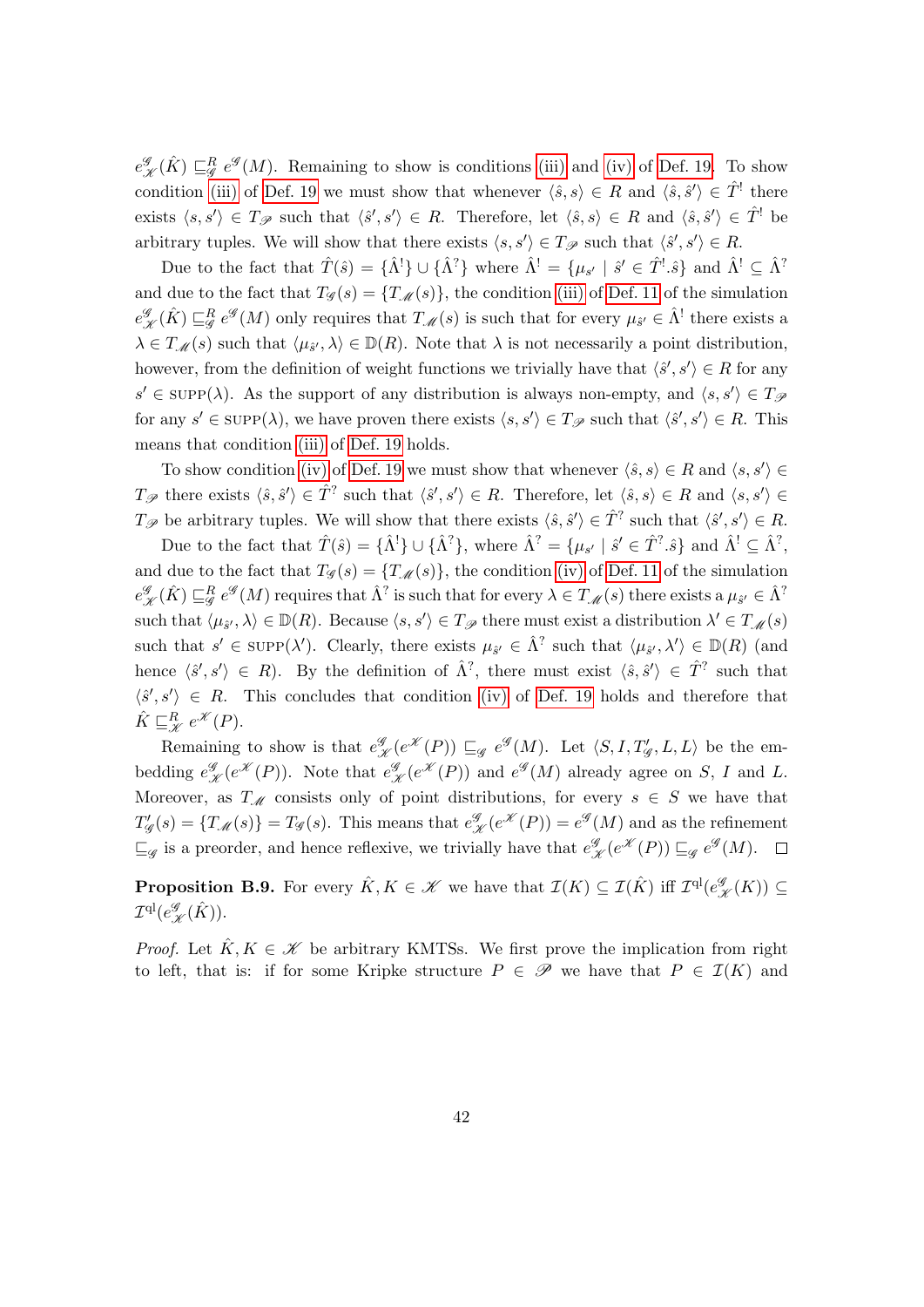$e_{\mathcal{K}}^{\mathcal{G}}(\hat{K}) \sqsubseteq_{\mathcal{G}}^R e^{\mathcal{G}}(M)$ . Remaining to show is conditions [\(iii\)](#page-39-2) and [\(iv\)](#page-39-3) of [Def. 19.](#page-39-1) To show condition [\(iii\)](#page-39-2) of [Def. 19](#page-39-1) we must show that whenever  $\langle \hat{s}, s \rangle \in R$  and  $\langle \hat{s}, \hat{s}' \rangle \in \hat{T}$ <sup>!</sup> there exists  $\langle s, s' \rangle \in T_{\mathscr{P}}$  such that  $\langle \hat{s}', s' \rangle \in R$ . Therefore, let  $\langle \hat{s}, s \rangle \in R$  and  $\langle \hat{s}, \hat{s}' \rangle \in \hat{T}^!$  be arbitrary tuples. We will show that there exists  $\langle s, s' \rangle \in T_{\mathscr{P}}$  such that  $\langle \hat{s}', s' \rangle \in R$ .

Due to the fact that  $\hat{T}(\hat{s}) = {\{\hat{\Lambda}^!\} \cup {\{\hat{\Lambda}^?\}}}$  where  $\hat{\Lambda}^! = {\{\mu_{s'} \mid \hat{s}' \in \hat{T}^!, \hat{s}\}}$  and  $\hat{\Lambda}^! \subseteq \hat{\Lambda}^?$ and due to the fact that  $T_g(s) = \{T_g(s)\}\$ , the condition [\(iii\)](#page-12-0) of [Def. 11](#page-11-2) of the simulation  $e_{\mathcal{K}}^{\mathcal{G}}(\hat{K}) \sqsubseteq_{\mathcal{G}}^R e^{\mathcal{G}}(M)$  only requires that  $T_{\mathcal{M}}(s)$  is such that for every  $\mu_{\hat{s}'} \in \hat{\Lambda}^!$  there exists a  $\lambda \in T_{\mathscr{M}}(s)$  such that  $\langle \mu_{\hat{s}'}, \lambda \rangle \in \mathbb{D}(R)$ . Note that  $\lambda$  is not necessarily a point distribution, however, from the definition of weight functions we trivially have that  $\langle \hat{s}', s' \rangle \in R$  for any  $s' \in \text{SUPP}(\lambda)$ . As the support of any distribution is always non-empty, and  $\langle s, s' \rangle \in T_{\mathscr{P}}$ for any  $s' \in \text{SUPP}(\lambda)$ , we have proven there exists  $\langle s, s' \rangle \in T_{\mathscr{P}}$  such that  $\langle \hat{s}', s' \rangle \in R$ . This means that condition [\(iii\)](#page-39-2) of [Def. 19](#page-39-1) holds.

To show condition [\(iv\)](#page-39-3) of [Def. 19](#page-39-1) we must show that whenever  $\langle \hat{s}, s \rangle \in R$  and  $\langle s, s' \rangle \in$  $T_{\mathscr{P}}$  there exists  $\langle \hat{s}, \hat{s}' \rangle \in \hat{T}^?$  such that  $\langle \hat{s}', s' \rangle \in R$ . Therefore, let  $\langle \hat{s}, s \rangle \in R$  and  $\langle s, s' \rangle \in R$  $T_{\mathscr{P}}$  be arbitrary tuples. We will show that there exists  $\langle \hat{s}, \hat{s}' \rangle \in \hat{T}^?$  such that  $\langle \hat{s}', s' \rangle \in R$ .

Due to the fact that  $\hat{T}(\hat{s}) = {\hat{\Lambda}}^! \cup {\hat{\Lambda}}^?$ , where  $\hat{\Lambda}^? = {\mu_{s'} \mid \hat{s}' \in \hat{T}^?.\hat{s}}$  and  $\hat{\Lambda}^! \subseteq \hat{\Lambda}^?$ , and due to the fact that  $T_g(s) = \{T_{\mathscr{M}}(s)\}\,$ , the condition [\(iv\)](#page-12-1) of [Def. 11](#page-11-2) of the simulation  $e_{\mathscr{K}}^{\mathscr{G}}(\hat{K}) \sqsubseteq_{\mathscr{G}}^R e^{\mathscr{G}}(M)$  requires that  $\hat{\Lambda}^?$  is such that for every  $\lambda \in T_{\mathscr{M}}(s)$  there exists a  $\mu_{\hat{s}'} \in \hat{\Lambda}^?$ such that  $\langle \mu_{\hat{s}'}, \lambda \rangle \in \mathbb{D}(R)$ . Because  $\langle s, s' \rangle \in T_{\mathscr{P}}$  there must exist a distribution  $\lambda' \in T_{\mathscr{M}}(s)$ such that  $s' \in \text{supp}(\lambda')$ . Clearly, there exists  $\mu_{\hat{s}'} \in \hat{\Lambda}^?$  such that  $\langle \mu_{\hat{s}'}, \lambda' \rangle \in \mathbb{D}(R)$  (and hence  $\langle \hat{s}', s' \rangle \in R$ ). By the definition of  $\hat{\Lambda}^?$ , there must exist  $\langle \hat{s}, \hat{s}' \rangle \in \hat{T}^?$  such that  $\langle \hat{s}', s' \rangle \in R$ . This concludes that condition [\(iv\)](#page-39-3) of [Def. 19](#page-39-1) holds and therefore that  $\hat{K} \sqsubseteq_{\mathscr{K}}^R e^{\mathscr{K}}(P).$ 

Remaining to show is that  $e_{\mathcal{K}}^{\mathcal{G}}(e^{\mathcal{K}}(P)) \sqsubseteq_{\mathcal{G}} e^{\mathcal{G}}(M)$ . Let  $\langle S, I, T'_{\mathcal{G}}, L, L \rangle$  be the embedding  $e_{\mathcal{K}}^{\mathcal{G}}(e^{\mathcal{K}}(P))$ . Note that  $e_{\mathcal{K}}^{\mathcal{G}}(e^{\mathcal{K}}(P))$  and  $e^{\mathcal{G}}(M)$  already agree on S, I and L. Moreover, as  $T_M$  consists only of point distributions, for every  $s \in S$  we have that  $T_{4}^{\prime}$  $G'_{\mathscr{G}}(s) = \{T_{\mathscr{M}}(s)\} = T_{\mathscr{G}}(s)$ . This means that  $e^{\mathscr{G}}_{\mathscr{K}}(e^{\mathscr{K}}(P)) = e^{\mathscr{G}}(M)$  and as the refinement  $\sqsubseteq_{\mathscr{G}}$  is a preorder, and hence reflexive, we trivially have that  $e_{\mathscr{K}}^{\mathscr{G}}(e^{\mathscr{K}}(P)) \sqsubseteq_{\mathscr{G}} e^{\mathscr{G}}(M)$ .

**Proposition B.9.** For every  $\hat{K}, K \in \mathcal{K}$  we have that  $\mathcal{I}(K) \subseteq \mathcal{I}(\hat{K})$  iff  $\mathcal{I}^{ql}(e^{\mathscr{G}}_{\mathcal{K}}(K)) \subseteq$  $\mathcal{I}^{\mathrm{ql}}(e_{\mathscr{K}}^{\mathscr{G}}(\hat{K})).$ 

*Proof.* Let  $\hat{K}, K \in \mathcal{K}$  be arbitrary KMTSs. We first prove the implication from right to left, that is: if for some Kripke structure  $P \in \mathscr{P}$  we have that  $P \in \mathcal{I}(K)$  and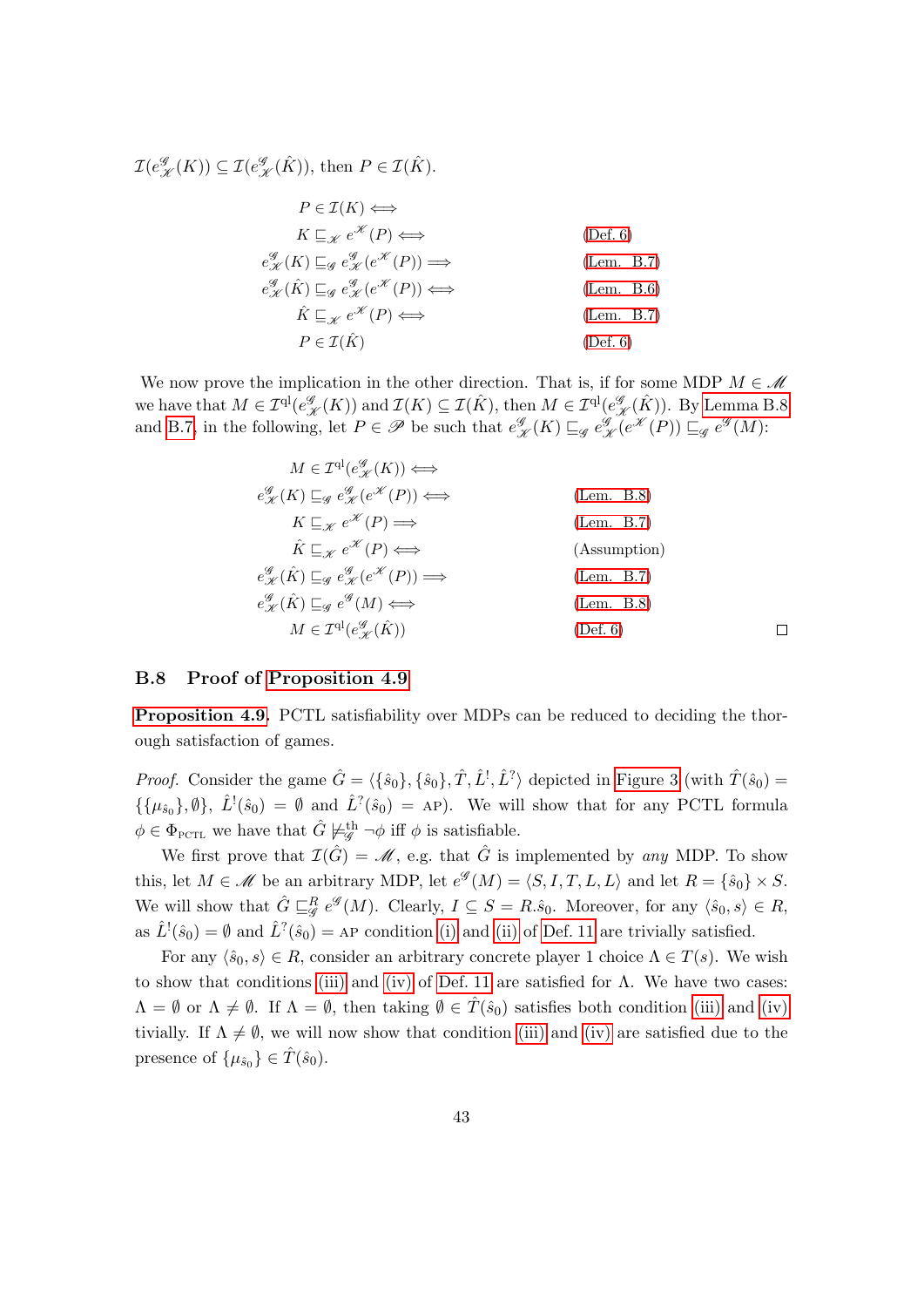$\mathcal{I}(e^{\mathcal{G}}_{\mathcal{K}}(K)) \subseteq \mathcal{I}(e^{\mathcal{G}}_{\mathcal{K}}(\hat{K})),$  then  $P \in \mathcal{I}(\hat{K})$ .

$$
P \in \mathcal{I}(K) \iff
$$
  
\n
$$
K \sqsubseteq_{\mathcal{K}} e^{\mathcal{K}}(P) \iff
$$
  
\n
$$
e^{\mathcal{G}}_{\mathcal{K}}(K) \sqsubseteq_{\mathcal{G}} e^{\mathcal{G}}_{\mathcal{K}}(e^{\mathcal{K}}(P)) \Longrightarrow
$$
  
\n
$$
e^{\mathcal{G}}_{\mathcal{K}}(\hat{K}) \sqsubseteq_{\mathcal{G}} e^{\mathcal{G}}_{\mathcal{K}}(e^{\mathcal{K}}(P)) \iff
$$
  
\n
$$
\hat{K} \sqsubseteq_{\mathcal{K}} e^{\mathcal{K}}(P) \iff
$$
  
\n
$$
P \in \mathcal{I}(\hat{K})
$$
  
\n(1em. B.6)  
\n(1em. B.7)  
\n(1em. B.7)

We now prove the implication in the other direction. That is, if for some MDP  $M \in \mathcal{M}$ we have that  $M \in \mathcal{I}^{\mathrm{ql}}(e_{\mathcal{K}}^{\mathscr{G}}(K))$  and  $\mathcal{I}(K) \subseteq \mathcal{I}(\hat{K})$ , then  $M \in \mathcal{I}^{\mathrm{ql}}(e_{\mathcal{K}}^{\mathscr{G}}(\hat{K}))$ . By [Lemma B.8](#page-41-4) and [B.7,](#page-40-2) in the following, let  $P \in \mathscr{P}$  be such that  $e_{\mathscr{K}}^{\mathscr{G}}(K) \sqsubseteq_{\mathscr{G}} e_{\mathscr{K}}^{\mathscr{G}}(e^{\mathscr{K}}(P)) \sqsubseteq_{\mathscr{G}} e^{\mathscr{G}}(M)$ :

| $M \in \mathcal{I}^{\mathrm{ql}}(e^{\mathscr{G}}_{\mathscr{K}}(K)) \Longleftrightarrow$                                              |              |  |
|--------------------------------------------------------------------------------------------------------------------------------------|--------------|--|
| $e_{\mathscr{K}}^{\mathscr{G}}(K) \sqsubseteq_{\mathscr{G}} e_{\mathscr{K}}^{\mathscr{G}}(e^{\mathscr{K}}(P)) \Longleftrightarrow$   | (Lem. B.8)   |  |
| $K \sqsubseteq_{\mathscr{V}} e^{\mathscr{K}}(P) \Longrightarrow$                                                                     | (Lem. B.7)   |  |
| $\hat{K} \sqsubseteq_{\mathscr{V}} e^{\mathscr{K}}(P) \Longleftrightarrow$                                                           | (Assumption) |  |
| $e^{\mathscr{G}}_{\mathscr{K}}(\hat{K}) \sqsubseteq_{\mathscr{G}} e^{\mathscr{G}}_{\mathscr{K}}(e^{\mathscr{K}}(P)) \Longrightarrow$ | (Lem. B.7)   |  |
| $e^{\mathcal{G}}_{\mathscr{K}}(\hat{K}) \sqsubseteq_{\mathscr{G}} e^{\mathcal{G}}(M) \Longleftrightarrow$                            | (Lem. B.8)   |  |
| $M \in \mathcal{I}^{\mathrm{ql}}(e^{\mathscr{G}}_{\mathscr{K}}(\hat{K}))$                                                            | (Def. 6)     |  |
|                                                                                                                                      |              |  |

#### B.8 Proof of [Proposition 4.9](#page-16-1)

[Proposition 4.9.](#page-16-1) PCTL satisfiability over MDPs can be reduced to deciding the thorough satisfaction of games.

*Proof.* Consider the game  $\hat{G} = \langle {\{\hat{s}_0\}, \{\hat{s}_0\}, \hat{T}, \hat{L}^{\dagger}, \hat{L}^{\dagger}\}\rangle}$  depicted in [Figure 3](#page-14-1) (with  $\hat{T}(\hat{s}_0)$ )  $\{\{\mu_{\hat{s}_0}\},\emptyset\},\ \hat{L}^{\dagger}(\hat{s}_0) = \emptyset\$  and  $\hat{L}^{\dagger}(\hat{s}_0) = AP$ ). We will show that for any PCTL formula  $\phi \in \Phi_{\text{PCTL}}$  we have that  $\hat{G} \not\models^{\text{th}}_{\mathscr{G}} \neg \phi$  iff  $\phi$  is satisfiable.

We first prove that  $\mathcal{I}(\hat{G}) = \mathcal{M}$ , e.g. that  $\hat{G}$  is implemented by any MDP. To show this, let  $M \in \mathcal{M}$  be an arbitrary MDP, let  $e^{\mathcal{G}}(M) = \langle S, I, T, L, L \rangle$  and let  $R = \{\hat{s}_0\} \times S$ . We will show that  $\hat{G} \sqsubseteq_{\mathscr{G}}^R e^{\mathscr{G}}(M)$ . Clearly,  $I \subseteq S = R.\hat{s}_0$ . Moreover, for any  $\langle \hat{s}_0, s \rangle \in R$ , as  $\hat{L}^{\dagger}(\hat{s}_0) = \emptyset$  and  $\hat{L}^{\dagger}(\hat{s}_0) = A P$  condition [\(i\)](#page-11-3) and [\(ii\)](#page-11-4) of [Def. 11](#page-11-2) are trivially satisfied.

For any  $\langle \hat{s}_0, s \rangle \in R$ , consider an arbitrary concrete player 1 choice  $\Lambda \in T(s)$ . We wish to show that conditions [\(iii\)](#page-12-0) and [\(iv\)](#page-12-1) of [Def. 11](#page-11-2) are satisfied for  $\Lambda$ . We have two cases:  $\Lambda = \emptyset$  or  $\Lambda \neq \emptyset$ . If  $\Lambda = \emptyset$ , then taking  $\emptyset \in \hat{T}(\hat{s}_0)$  satisfies both condition [\(iii\)](#page-12-0) and [\(iv\)](#page-12-1) tivially. If  $\Lambda \neq \emptyset$ , we will now show that condition [\(iii\)](#page-12-0) and [\(iv\)](#page-12-1) are satisfied due to the presence of  $\{\mu_{\hat{s}_0}\}\in \hat{T}(\hat{s}_0)$ .